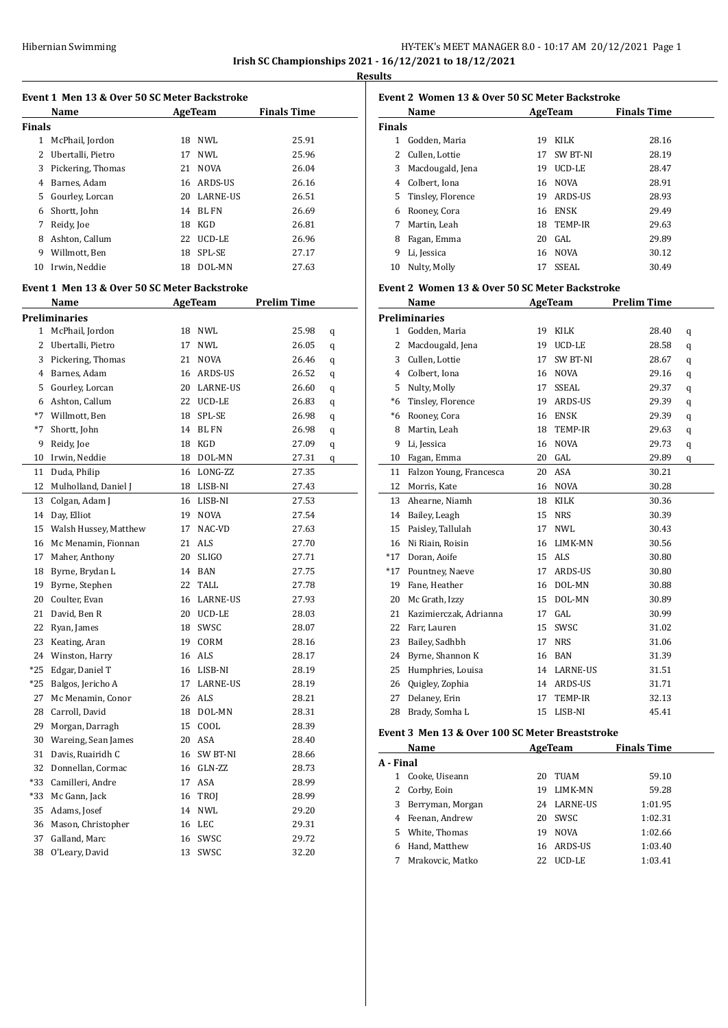# Hibernian Swimming **HY-TEK's MEET MANAGER 8.0 - 10:17 AM 20/12/2021** Page 1 **Irish SC Championships 2021 - 16/12/2021 to 18/12/2021**

**Results**

| Event 1 Men 13 & Over 50 SC Meter Backstroke |                                              |    |                           |                    |   |  |  |
|----------------------------------------------|----------------------------------------------|----|---------------------------|--------------------|---|--|--|
|                                              | Name                                         |    | AgeTeam                   | <b>Finals Time</b> |   |  |  |
| Finals                                       |                                              |    |                           |                    |   |  |  |
| $\mathbf{1}$                                 | McPhail, Jordon                              |    | 18 NWL                    | 25.91              |   |  |  |
| 2                                            | Ubertalli, Pietro                            |    | 17 NWL                    | 25.96              |   |  |  |
| 3                                            | Pickering, Thomas                            |    | 21 NOVA                   | 26.04              |   |  |  |
| 4                                            | Barnes, Adam                                 |    | 16 ARDS-US                | 26.16              |   |  |  |
| 5                                            | Gourley, Lorcan                              |    | 20 LARNE-US               | 26.51              |   |  |  |
| 6                                            | Shortt, John                                 |    | 14 BL FN                  | 26.69              |   |  |  |
|                                              | 7 Reidy, Joe                                 |    | 18 KGD                    | 26.81              |   |  |  |
|                                              | 8 Ashton, Callum                             |    | 22 UCD-LE                 | 26.96              |   |  |  |
|                                              | 9 Willmott, Ben                              |    | 18 SPL-SE                 | 27.17              |   |  |  |
|                                              | 10 Irwin, Neddie                             |    | 18 DOL-MN                 | 27.63              |   |  |  |
|                                              | Event 1 Men 13 & Over 50 SC Meter Backstroke |    |                           |                    |   |  |  |
|                                              | Name                                         |    | AgeTeam                   | <b>Prelim Time</b> |   |  |  |
|                                              |                                              |    |                           |                    |   |  |  |
| $\mathbf{1}$                                 | Preliminaries<br>McPhail, Jordon             |    | 18 NWL                    | 25.98              |   |  |  |
| 2                                            | Ubertalli, Pietro                            |    | 17 NWL                    | 26.05              | q |  |  |
| 3                                            | Pickering, Thomas                            |    |                           |                    | q |  |  |
| 4                                            | Barnes, Adam                                 |    | 21 NOVA                   | 26.46              | q |  |  |
|                                              |                                              |    | 16 ARDS-US<br>20 LARNE-US | 26.52              | q |  |  |
| 5                                            | Gourley, Lorcan                              |    |                           | 26.60              | q |  |  |
|                                              | 6 Ashton, Callum                             |    | 22 UCD-LE                 | 26.83              | q |  |  |
|                                              | *7 Willmott, Ben                             |    | 18 SPL-SE                 | 26.98              | q |  |  |
|                                              | *7 Shortt, John                              |    | 14 BL FN                  | 26.98              | q |  |  |
| 9                                            | Reidy, Joe                                   |    | 18 KGD                    | 27.09              | q |  |  |
| 10                                           | Irwin, Neddie                                |    | 18 DOL-MN                 | 27.31              | q |  |  |
| 11                                           | Duda, Philip                                 |    | 16 LONG-ZZ                | 27.35              |   |  |  |
| 12                                           | Mulholland, Daniel J                         |    | 18 LISB-NI                | 27.43              |   |  |  |
| 13                                           | Colgan, Adam J                               |    | 16 LISB-NI                | 27.53              |   |  |  |
| 14                                           | Day, Elliot                                  |    | 19 NOVA                   | 27.54              |   |  |  |
| 15                                           | Walsh Hussey, Matthew                        |    | 17 NAC-VD                 | 27.63              |   |  |  |
| 16                                           | Mc Menamin, Fionnan                          |    | 21 ALS                    | 27.70              |   |  |  |
| 17                                           | Maher, Anthony                               | 20 | <b>SLIGO</b>              | 27.71              |   |  |  |
| 18                                           | Byrne, Brydan L                              |    | 14 BAN                    | 27.75              |   |  |  |
|                                              | 19 Byrne, Stephen                            |    | 22 TALL                   | 27.78              |   |  |  |
|                                              | 20 Coulter, Evan                             |    | 16 LARNE-US               | 27.93              |   |  |  |
| 21                                           | David, Ben R                                 |    | 20 UCD-LE                 | 28.03              |   |  |  |
| 22                                           | Ryan, James                                  | 18 | SWSC                      | 28.07              |   |  |  |
| 23                                           | Keating, Aran                                | 19 | CORM                      | 28.16              |   |  |  |
| 24                                           | Winston, Harry                               | 16 | ALS                       | 28.17              |   |  |  |
| *25                                          | Edgar, Daniel T                              | 16 | LISB-NI                   | 28.19              |   |  |  |
| *25                                          | Balgos, Jericho A                            | 17 | LARNE-US                  | 28.19              |   |  |  |
| 27                                           | Mc Menamin, Conor                            | 26 | ALS                       | 28.21              |   |  |  |
| 28                                           | Carroll, David                               | 18 | DOL-MN                    | 28.31              |   |  |  |
| 29                                           | Morgan, Darragh                              | 15 | $\texttt{COOL}{}$         | 28.39              |   |  |  |
| 30                                           | Wareing, Sean James                          | 20 | ASA                       | 28.40              |   |  |  |
| 31                                           | Davis, Ruairidh C                            | 16 | SW BT-NI                  | 28.66              |   |  |  |
| 32                                           | Donnellan, Cormac                            | 16 | GLN-ZZ                    | 28.73              |   |  |  |
| *33                                          | Camilleri, Andre                             | 17 | ASA                       | 28.99              |   |  |  |
| *33                                          | Mc Gann, Jack                                | 16 | TROJ                      | 28.99              |   |  |  |
| 35                                           | Adams, Josef                                 | 14 | NWL                       | 29.20              |   |  |  |
| 36                                           | Mason, Christopher                           | 16 | LEC                       | 29.31              |   |  |  |
| 37                                           | Galland, Marc                                | 16 | SWSC                      | 29.72              |   |  |  |
| 38                                           | O'Leary, David                               | 13 | SWSC                      | 32.20              |   |  |  |

### **Event 2 Women 13 & Over 50 SC Meter Backstroke Name Age Team Finals Time Finals** Godden, Maria 19 KILK 28.16 2 Cullen, Lottie 17 SW BT-NI 28.19 Macdougald, Jena 19 UCD-LE 28.47 Colbert, Iona 16 NOVA 28.91 Tinsley, Florence 19 ARDS-US 28.93 Rooney, Cora 16 ENSK 29.49 Martin, Leah 18 TEMP-IR 29.63 Fagan, Emma 20 GAL 29.89 Li, Jessica 16 NOVA 30.12 Nulty, Molly 17 SSEAL 30.49

#### **Event 2 Women 13 & Over 50 SC Meter Backstroke**

|       | Name                    | AgeTeam |                 | <b>Prelim Time</b> |   |
|-------|-------------------------|---------|-----------------|--------------------|---|
|       | <b>Preliminaries</b>    |         |                 |                    |   |
| 1     | Godden, Maria           | 19      | <b>KILK</b>     | 28.40              | q |
| 2     | Macdougald, Jena        | 19      | UCD-LE          | 28.58              | q |
| 3     | Cullen, Lottie          | 17      | SW BT-NI        | 28.67              | q |
| 4     | Colbert, Iona           | 16      | <b>NOVA</b>     | 29.16              | q |
| 5     | Nulty, Molly            | 17      | <b>SSEAL</b>    | 29.37              | q |
| $*6$  | Tinsley, Florence       | 19      | ARDS-US         | 29.39              | q |
| $*6$  | Rooney, Cora            | 16      | <b>ENSK</b>     | 29.39              | q |
| 8     | Martin, Leah            | 18      | TEMP-IR         | 29.63              | q |
| 9     | Li, Jessica             | 16      | <b>NOVA</b>     | 29.73              | q |
| 10    | Fagan, Emma             | 20      | GAL             | 29.89              | q |
| 11    | Falzon Young, Francesca | 20      | <b>ASA</b>      | 30.21              |   |
| 12    | Morris, Kate            | 16      | <b>NOVA</b>     | 30.28              |   |
| 13    | Ahearne, Niamh          | 18      | <b>KILK</b>     | 30.36              |   |
| 14    | Bailey, Leagh           | 15      | <b>NRS</b>      | 30.39              |   |
| 15    | Paisley, Tallulah       | 17      | <b>NWL</b>      | 30.43              |   |
| 16    | Ni Riain, Roisin        | 16      | LIMK-MN         | 30.56              |   |
| $*17$ | Doran, Aoife            | 15      | <b>ALS</b>      | 30.80              |   |
| $*17$ | Pountney, Naeve         | 17      | ARDS-US         | 30.80              |   |
| 19    | Fane, Heather           | 16      | DOL-MN          | 30.88              |   |
| 20    | Mc Grath, Izzy          | 15      | DOL-MN          | 30.89              |   |
| 21    | Kazimierczak, Adrianna  | 17      | GAL             | 30.99              |   |
| 22    | Farr, Lauren            | 15      | SWSC            | 31.02              |   |
| 23    | Bailey, Sadhbh          | 17      | <b>NRS</b>      | 31.06              |   |
| 24    | Byrne, Shannon K        | 16      | <b>BAN</b>      | 31.39              |   |
| 25    | Humphries, Louisa       | 14      | <b>LARNE-US</b> | 31.51              |   |
| 26    | Quigley, Zophia         | 14      | ARDS-US         | 31.71              |   |
| 27    | Delaney, Erin           | 17      | TEMP-IR         | 32.13              |   |
| 28    | Brady, Somha L          | 15      | LISB-NI         | 45.41              |   |

#### **Event 3 Men 13 & Over 100 SC Meter Breaststroke**

| Name      |                    |    | AgeTeam     | <b>Finals Time</b> |  |
|-----------|--------------------|----|-------------|--------------------|--|
| A - Final |                    |    |             |                    |  |
| 1         | Cooke, Uiseann     | 20 | TUAM        | 59.10              |  |
|           | 2 Corby, Eoin      | 19 | LIMK-MN     | 59.28              |  |
|           | 3 Berryman, Morgan |    | 24 LARNE-US | 1:01.95            |  |
|           | 4 Feenan, Andrew   | 20 | SWSC.       | 1:02.31            |  |
| 5.        | White, Thomas      | 19 | <b>NOVA</b> | 1:02.66            |  |
| 6         | Hand, Matthew      | 16 | ARDS-US     | 1:03.40            |  |
|           | Mrakovcic, Matko   | 22 | UCD-LE      | 1:03.41            |  |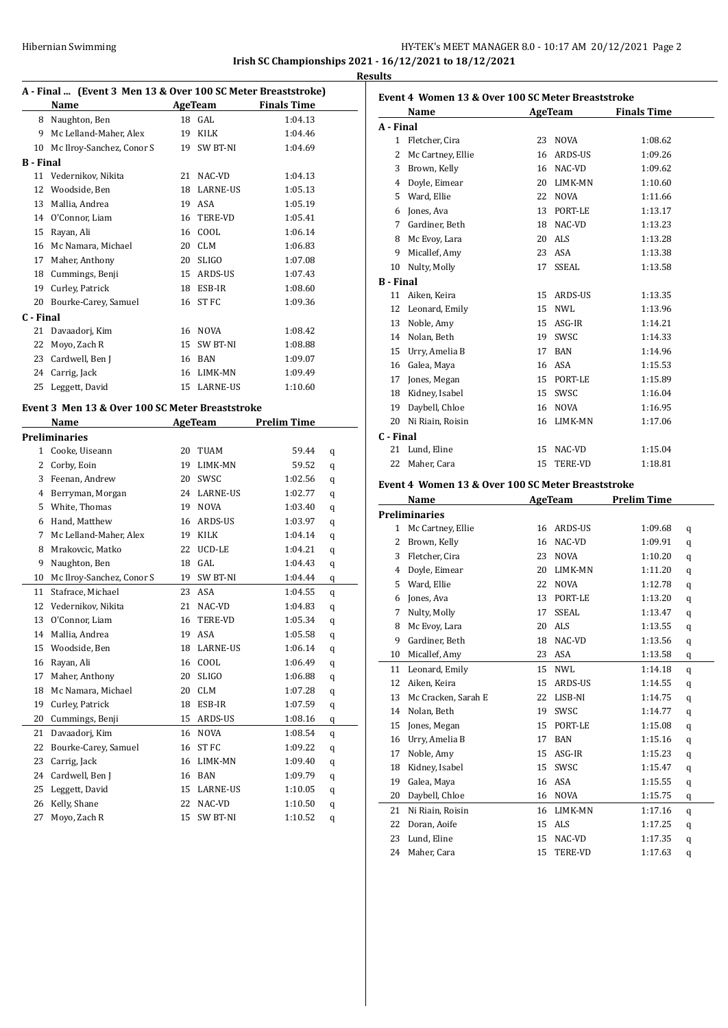### HY-TEK's MEET MANAGER 8.0 - 10:17 AM 20/12/2021 Page 2 **Irish SC Championships 2021 - 16/12/2021 to 18/12/2021 Results**

#### **A - Final ... (Event 3 Men 13 & Over 100 SC Meter Breaststroke)**

| $A$ - Timer  There is no ment to as over two sequence preases trong |           |                           |    |              |                    |  |  |  |
|---------------------------------------------------------------------|-----------|---------------------------|----|--------------|--------------------|--|--|--|
|                                                                     |           | Name                      |    | AgeTeam      | <b>Finals Time</b> |  |  |  |
|                                                                     | 8         | Naughton, Ben             | 18 | GAL          | 1:04.13            |  |  |  |
|                                                                     | 9         | Mc Lelland-Maher, Alex    | 19 | KILK         | 1:04.46            |  |  |  |
|                                                                     | 10        | Mc Ilroy-Sanchez, Conor S | 19 | SW BT-NI     | 1:04.69            |  |  |  |
|                                                                     | B - Final |                           |    |              |                    |  |  |  |
|                                                                     | 11        | Vedernikov, Nikita        | 21 | NAC-VD       | 1:04.13            |  |  |  |
|                                                                     | 12        | Woodside, Ben             | 18 | LARNE-US     | 1:05.13            |  |  |  |
|                                                                     | 13        | Mallia, Andrea            | 19 | ASA          | 1:05.19            |  |  |  |
|                                                                     | 14        | O'Connor, Liam            | 16 | TERE-VD      | 1:05.41            |  |  |  |
|                                                                     | 15        | Rayan, Ali                | 16 | COOL         | 1:06.14            |  |  |  |
|                                                                     | 16        | Mc Namara, Michael        | 20 | <b>CLM</b>   | 1:06.83            |  |  |  |
|                                                                     | 17        | Maher, Anthony            | 20 | <b>SLIGO</b> | 1:07.08            |  |  |  |
|                                                                     | 18        | Cummings, Benji           | 15 | ARDS-US      | 1:07.43            |  |  |  |
|                                                                     | 19        | Curley, Patrick           | 18 | ESB-IR       | 1:08.60            |  |  |  |
|                                                                     | 20        | Bourke-Carey, Samuel      | 16 | ST FC        | 1:09.36            |  |  |  |
|                                                                     | C - Final |                           |    |              |                    |  |  |  |
|                                                                     | 21        | Davaadorj, Kim            | 16 | <b>NOVA</b>  | 1:08.42            |  |  |  |
|                                                                     | 22        | Moyo, Zach R              | 15 | SW BT-NI     | 1:08.88            |  |  |  |
|                                                                     | 23        | Cardwell, Ben J           | 16 | <b>BAN</b>   | 1:09.07            |  |  |  |
|                                                                     | 24        | Carrig, Jack              | 16 | LIMK-MN      | 1:09.49            |  |  |  |
|                                                                     | 25        | Leggett, David            | 15 | LARNE-US     | 1:10.60            |  |  |  |
|                                                                     |           |                           |    |              |                    |  |  |  |

#### **Event 3 Men 13 & Over 100 SC Meter Breaststroke**

|              | Name                      |    | <b>AgeTeam</b>   | Prelim Time |   |  |
|--------------|---------------------------|----|------------------|-------------|---|--|
|              | <b>Preliminaries</b>      |    |                  |             |   |  |
| $\mathbf{1}$ | Cooke, Uiseann            | 20 | TUAM             | 59.44       | q |  |
| 2            | Corby, Eoin               | 19 | LIMK-MN          | 59.52       | q |  |
| 3            | Feenan, Andrew            | 20 | SWSC             | 1:02.56     | q |  |
| 4            | Berryman, Morgan          | 24 | LARNE-US         | 1:02.77     | q |  |
| 5            | White, Thomas             | 19 | <b>NOVA</b>      | 1:03.40     | q |  |
| 6            | Hand, Matthew             | 16 | ARDS-US          | 1:03.97     | q |  |
| 7            | Mc Lelland-Maher, Alex    | 19 | <b>KILK</b>      | 1:04.14     | q |  |
| 8            | Mrakovcic, Matko          | 22 | UCD-LE           | 1:04.21     | q |  |
| 9            | Naughton, Ben             | 18 | GAL              | 1:04.43     | q |  |
| 10           | Mc Ilroy-Sanchez, Conor S | 19 | SW BT-NI         | 1:04.44     | q |  |
| 11           | Stafrace, Michael         | 23 | <b>ASA</b>       | 1:04.55     | q |  |
| 12           | Vedernikov, Nikita        | 21 | NAC-VD           | 1:04.83     | q |  |
| 13           | O'Connor, Liam            | 16 | TERE-VD          | 1:05.34     | q |  |
| 14           | Mallia, Andrea            | 19 | <b>ASA</b>       | 1:05.58     | q |  |
| 15           | Woodside, Ben             | 18 | <b>LARNE-US</b>  | 1:06.14     | q |  |
| 16           | Rayan, Ali                | 16 | COOL             | 1:06.49     | q |  |
| 17           | Maher, Anthony            | 20 | <b>SLIGO</b>     | 1:06.88     | q |  |
| 18           | Mc Namara, Michael        | 20 | <b>CLM</b>       | 1:07.28     | q |  |
| 19           | Curley, Patrick           | 18 | ESB-IR           | 1:07.59     | q |  |
| 20           | Cummings, Benji           | 15 | ARDS-US          | 1:08.16     | q |  |
| 21           | Davaadorj, Kim            | 16 | <b>NOVA</b>      | 1:08.54     | q |  |
| 22           | Bourke-Carey, Samuel      | 16 | ST <sub>FC</sub> | 1:09.22     | q |  |
| 23           | Carrig, Jack              | 16 | LIMK-MN          | 1:09.40     | q |  |
| 24           | Cardwell, Ben J           | 16 | <b>BAN</b>       | 1:09.79     | q |  |
| 25           | Leggett, David            | 15 | <b>LARNE-US</b>  | 1:10.05     | q |  |
| 26           | Kelly, Shane              | 22 | NAC-VD           | 1:10.50     | q |  |
| 27           | Moyo, Zach R              | 15 | SW BT-NI         | 1:10.52     | q |  |

| Event 4 Women 13 & Over 100 SC Meter Breaststroke |                   |    |                |                    |  |  |
|---------------------------------------------------|-------------------|----|----------------|--------------------|--|--|
|                                                   | Name              |    | AgeTeam        | <b>Finals Time</b> |  |  |
| A - Final                                         |                   |    |                |                    |  |  |
| 1                                                 | Fletcher, Cira    | 23 | <b>NOVA</b>    | 1:08.62            |  |  |
| 2                                                 | Mc Cartney, Ellie | 16 | ARDS-US        | 1:09.26            |  |  |
| 3                                                 | Brown, Kelly      | 16 | NAC-VD         | 1:09.62            |  |  |
| 4                                                 | Doyle, Eimear     | 20 | LIMK-MN        | 1:10.60            |  |  |
| 5                                                 | Ward, Ellie       | 22 | <b>NOVA</b>    | 1:11.66            |  |  |
| 6                                                 | Jones, Ava        | 13 | PORT-LE        | 1:13.17            |  |  |
| 7                                                 | Gardiner, Beth    | 18 | NAC-VD         | 1:13.23            |  |  |
| 8                                                 | Mc Evoy, Lara     | 20 | <b>ALS</b>     | 1:13.28            |  |  |
| 9                                                 | Micallef, Amy     | 23 | ASA            | 1:13.38            |  |  |
| 10                                                | Nulty, Molly      | 17 | SSEAL          | 1:13.58            |  |  |
| <b>B</b> - Final                                  |                   |    |                |                    |  |  |
| 11                                                | Aiken, Keira      | 15 | ARDS-US        | 1:13.35            |  |  |
| 12                                                | Leonard, Emily    | 15 | NWI.           | 1:13.96            |  |  |
| 13                                                | Noble, Amy        | 15 | ASG-IR         | 1:14.21            |  |  |
| 14                                                | Nolan, Beth       | 19 | SWSC           | 1:14.33            |  |  |
| 15                                                | Urry, Amelia B    | 17 | <b>BAN</b>     | 1:14.96            |  |  |
| 16                                                | Galea, Maya       | 16 | ASA            | 1:15.53            |  |  |
| 17                                                | Jones, Megan      | 15 | PORT-LE        | 1:15.89            |  |  |
| 18                                                | Kidney, Isabel    | 15 | SWSC           | 1:16.04            |  |  |
| 19                                                | Daybell, Chloe    | 16 | <b>NOVA</b>    | 1:16.95            |  |  |
| 20                                                | Ni Riain, Roisin  | 16 | LIMK-MN        | 1:17.06            |  |  |
| C - Final                                         |                   |    |                |                    |  |  |
| 21                                                | Lund, Eline       | 15 | NAC-VD         | 1:15.04            |  |  |
| 22                                                | Maher, Cara       | 15 | <b>TERE-VD</b> | 1:18.81            |  |  |

### **Event 4 Women 13 & Over 100 SC Meter Breaststroke**

|    | Name                 | <b>AgeTeam</b> |                | <b>Prelim Time</b> |   |
|----|----------------------|----------------|----------------|--------------------|---|
|    | <b>Preliminaries</b> |                |                |                    |   |
| 1  | Mc Cartney, Ellie    | 16             | ARDS-US        | 1:09.68            | q |
| 2  | Brown, Kelly         | 16             | NAC-VD         | 1:09.91            | q |
| 3  | Fletcher, Cira       | 23             | <b>NOVA</b>    | 1:10.20            | q |
| 4  | Doyle, Eimear        | 20             | LIMK-MN        | 1:11.20            | q |
| 5  | Ward, Ellie          | 22             | <b>NOVA</b>    | 1:12.78            | q |
| 6  | Jones, Ava           | 13             | PORT-LE        | 1:13.20            | q |
| 7  | Nulty, Molly         | 17             | SSEAL.         | 1:13.47            | q |
| 8  | Mc Evoy, Lara        | 20             | ALS            | 1:13.55            | q |
| 9  | Gardiner, Beth       | 18             | NAC-VD         | 1:13.56            | q |
| 10 | Micallef, Amy        | 23             | <b>ASA</b>     | 1:13.58            | q |
| 11 | Leonard, Emily       | 15             | <b>NWL</b>     | 1:14.18            | q |
| 12 | Aiken, Keira         | 15             | <b>ARDS-US</b> | 1:14.55            | q |
| 13 | Mc Cracken, Sarah E  | 22             | LISB-NI        | 1:14.75            | q |
| 14 | Nolan, Beth          | 19             | SWSC           | 1:14.77            | q |
| 15 | Jones, Megan         | 15             | PORT-LE        | 1:15.08            | q |
| 16 | Urry, Amelia B       | 17             | <b>BAN</b>     | 1:15.16            | q |
| 17 | Noble, Amy           | 15             | ASG-IR         | 1:15.23            | q |
| 18 | Kidney, Isabel       | 15             | SWSC           | 1:15.47            | q |
| 19 | Galea, Maya          | 16             | <b>ASA</b>     | 1:15.55            | q |
| 20 | Daybell, Chloe       | 16             | <b>NOVA</b>    | 1:15.75            | q |
| 21 | Ni Riain, Roisin     | 16             | LIMK-MN        | 1:17.16            | q |
| 22 | Doran, Aoife         | 15             | <b>ALS</b>     | 1:17.25            | q |
| 23 | Lund, Eline          | 15             | NAC-VD         | 1:17.35            | q |
| 24 | Maher, Cara          | 15             | <b>TERE-VD</b> | 1:17.63            | q |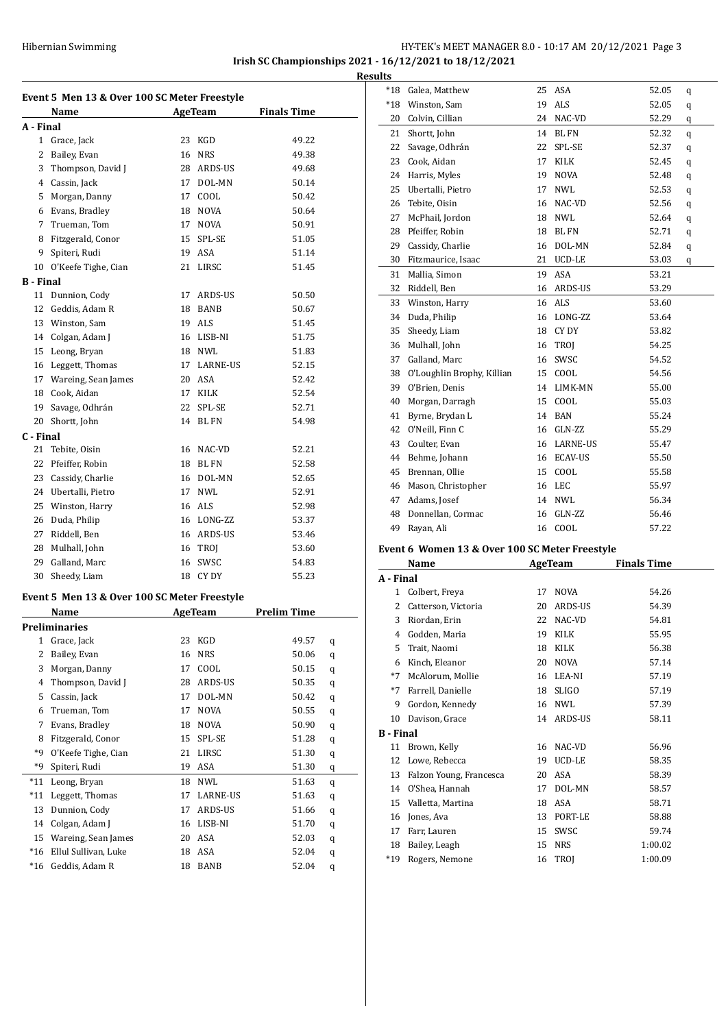### HY-TEK's MEET MANAGER 8.0 - 10:17 AM 20/12/2021 Page 3 **Irish SC Championships 2021 - 16/12/2021 to 18/12/2021 Results**

| Event 5 Men 13 & Over 100 SC Meter Freestyle |                                              |    |             |                    |   |  |  |
|----------------------------------------------|----------------------------------------------|----|-------------|--------------------|---|--|--|
|                                              | Name                                         |    | AgeTeam     | <b>Finals Time</b> |   |  |  |
| A - Final                                    |                                              |    |             |                    |   |  |  |
| $\mathbf{1}$                                 | Grace, Jack                                  |    | 23 KGD      | 49.22              |   |  |  |
| 2                                            | Bailey, Evan                                 |    | 16 NRS      | 49.38              |   |  |  |
| 3                                            | Thompson, David J                            |    | 28 ARDS-US  | 49.68              |   |  |  |
|                                              | 4 Cassin, Jack                               |    | 17 DOL-MN   | 50.14              |   |  |  |
| 5                                            | Morgan, Danny                                |    | 17 COOL     | 50.42              |   |  |  |
| 6                                            | Evans, Bradley                               |    | 18 NOVA     | 50.64              |   |  |  |
| 7                                            | Trueman, Tom                                 |    | 17 NOVA     | 50.91              |   |  |  |
| 8                                            | Fitzgerald, Conor                            |    | 15 SPL-SE   | 51.05              |   |  |  |
| 9                                            | Spiteri, Rudi                                |    | 19 ASA      | 51.14              |   |  |  |
| 10                                           | O'Keefe Tighe, Cian                          |    | 21 LIRSC    | 51.45              |   |  |  |
| B - Final                                    |                                              |    |             |                    |   |  |  |
| 11                                           | Dunnion, Cody                                |    | 17 ARDS-US  | 50.50              |   |  |  |
| 12                                           | Geddis, Adam R                               |    | 18 BANB     | 50.67              |   |  |  |
|                                              | 13 Winston, Sam                              |    | 19 ALS      | 51.45              |   |  |  |
|                                              | 14 Colgan, Adam J                            |    | 16 LISB-NI  | 51.75              |   |  |  |
|                                              | 15 Leong, Bryan                              |    | 18 NWL      | 51.83              |   |  |  |
| 16                                           | Leggett, Thomas                              |    | 17 LARNE-US | 52.15              |   |  |  |
|                                              | 17 Wareing, Sean James                       |    | 20 ASA      | 52.42              |   |  |  |
| 18                                           | Cook, Aidan                                  |    | 17 KILK     | 52.54              |   |  |  |
|                                              | 19 Savage, Odhrán                            |    | 22 SPL-SE   | 52.71              |   |  |  |
|                                              | 20 Shortt, John                              |    | 14 BL FN    | 54.98              |   |  |  |
| C - Final                                    |                                              |    |             |                    |   |  |  |
| 21                                           | Tebite, Oisin                                |    | 16 NAC-VD   | 52.21              |   |  |  |
| 22                                           | Pfeiffer, Robin                              |    | 18 BL FN    | 52.58              |   |  |  |
|                                              | 23 Cassidy, Charlie                          |    | 16 DOL-MN   | 52.65              |   |  |  |
|                                              | 24 Ubertalli, Pietro                         |    | 17 NWL      | 52.91              |   |  |  |
|                                              | 25 Winston, Harry                            |    | 16 ALS      | 52.98              |   |  |  |
| 26                                           | Duda, Philip                                 |    | 16 LONG-ZZ  | 53.37              |   |  |  |
| 27                                           | Riddell, Ben                                 |    | 16 ARDS-US  | 53.46              |   |  |  |
| 28                                           | Mulhall, John                                |    | 16 TROJ     | 53.60              |   |  |  |
| 29                                           | Galland, Marc                                |    | 16 SWSC     | 54.83              |   |  |  |
| 30                                           | Sheedy, Liam                                 |    | 18 CY DY    | 55.23              |   |  |  |
|                                              |                                              |    |             |                    |   |  |  |
|                                              | Event 5 Men 13 & Over 100 SC Meter Freestyle |    | AgeTeam     | <b>Prelim Time</b> |   |  |  |
|                                              | <u>Name</u>                                  |    |             |                    |   |  |  |
| 1                                            | Preliminaries<br>Grace, Jack                 | 23 | KGD         | 49.57              |   |  |  |
| 2                                            | Bailey, Evan                                 | 16 | NRS         | 50.06              | q |  |  |
|                                              | Morgan, Danny                                |    |             |                    | q |  |  |
| 3                                            |                                              | 17 | COOL        | 50.15              | q |  |  |
| 4                                            | Thompson, David J                            | 28 | ARDS-US     | 50.35              | q |  |  |
| 5                                            | Cassin, Jack                                 | 17 | DOL-MN      | 50.42              | q |  |  |
| 6                                            | Trueman, Tom                                 | 17 | NOVA        | 50.55              | q |  |  |
| 7                                            | Evans, Bradley                               | 18 | NOVA        | 50.90              | q |  |  |
| 8                                            | Fitzgerald, Conor                            | 15 | SPL-SE      | 51.28              | q |  |  |
| *9                                           | O'Keefe Tighe, Cian                          | 21 | LIRSC       | 51.30              | q |  |  |
| *9                                           | Spiteri, Rudi                                | 19 | ASA         | 51.30              | q |  |  |
| $*11$                                        | Leong, Bryan                                 | 18 | NWL         | 51.63              | q |  |  |
| $*11$                                        | Leggett, Thomas                              | 17 | LARNE-US    | 51.63              | q |  |  |
| 13                                           | Dunnion, Cody                                | 17 | ARDS-US     | 51.66              | q |  |  |
| 14                                           | Colgan, Adam J                               | 16 | LISB-NI     | 51.70              | q |  |  |
| 15                                           | Wareing, Sean James                          | 20 | ASA         | 52.03              | q |  |  |
| $*16$                                        | Ellul Sullivan, Luke                         | 18 | ASA         | 52.04              | q |  |  |
| $*16$                                        | Geddis, Adam R                               | 18 | BANB        | 52.04              | q |  |  |

| unts   |                            |    |                |       |   |
|--------|----------------------------|----|----------------|-------|---|
| $^*18$ | Galea, Matthew             | 25 | ASA            | 52.05 | q |
| $*18$  | Winston, Sam               | 19 | <b>ALS</b>     | 52.05 | q |
| 20     | Colvin, Cillian            | 24 | NAC-VD         | 52.29 | q |
| 21     | Shortt, John               | 14 | <b>BL FN</b>   | 52.32 | q |
| 22     | Savage, Odhrán             | 22 | SPL-SE         | 52.37 | q |
| 23     | Cook, Aidan                | 17 | KILK           | 52.45 | q |
| 24     | Harris, Myles              | 19 | <b>NOVA</b>    | 52.48 | q |
| 25     | Ubertalli, Pietro          | 17 | <b>NWL</b>     | 52.53 | q |
| 26     | Tebite, Oisin              | 16 | NAC-VD         | 52.56 | q |
| 27     | McPhail, Jordon            | 18 | <b>NWL</b>     | 52.64 | q |
| 28     | Pfeiffer, Robin            | 18 | <b>BLFN</b>    | 52.71 | q |
| 29     | Cassidy, Charlie           | 16 | DOL-MN         | 52.84 | q |
| 30     | Fitzmaurice, Isaac         |    | 21 UCD-LE      | 53.03 | q |
| 31     | Mallia, Simon              | 19 | <b>ASA</b>     | 53.21 |   |
| 32     | Riddell, Ben               | 16 | ARDS-US        | 53.29 |   |
| 33     | Winston, Harry             | 16 | <b>ALS</b>     | 53.60 |   |
| 34     | Duda, Philip               | 16 | LONG-ZZ        | 53.64 |   |
| 35     | Sheedy, Liam               | 18 | CY DY          | 53.82 |   |
|        | 36 Mulhall, John           | 16 | TROI           | 54.25 |   |
| 37     | Galland, Marc              | 16 | SWSC           | 54.52 |   |
| 38     | O'Loughlin Brophy, Killian | 15 | COOL           | 54.56 |   |
| 39     | O'Brien, Denis             |    | 14 LIMK-MN     | 55.00 |   |
| 40     | Morgan, Darragh            | 15 | COOL           | 55.03 |   |
| 41     | Byrne, Brydan L            | 14 | <b>BAN</b>     | 55.24 |   |
| 42     | O'Neill, Finn C            | 16 | GLN-ZZ         | 55.29 |   |
| 43     | Coulter, Evan              |    | 16 LARNE-US    | 55.47 |   |
| 44     | Behme, Johann              | 16 | <b>ECAV-US</b> | 55.50 |   |
| 45     | Brennan, Ollie             | 15 | COOL           | 55.58 |   |
| 46     | Mason, Christopher         |    | 16 LEC         | 55.97 |   |
| 47     | Adams, Josef               | 14 | <b>NWL</b>     | 56.34 |   |
| 48     | Donnellan, Cormac          | 16 | GLN-ZZ         | 56.46 |   |
| 49     | Rayan, Ali                 | 16 | COOL           | 57.22 |   |

#### **Event 6 Women 13 & Over 100 SC Meter Freestyle**

|                  | Name                    |    | AgeTeam        | <b>Finals Time</b> |
|------------------|-------------------------|----|----------------|--------------------|
| A - Final        |                         |    |                |                    |
| $\mathbf{1}$     | Colbert, Freya          | 17 | <b>NOVA</b>    | 54.26              |
| 2                | Catterson, Victoria     | 20 | <b>ARDS-US</b> | 54.39              |
| 3                | Riordan, Erin           | 22 | NAC-VD         | 54.81              |
| 4                | Godden, Maria           | 19 | <b>KILK</b>    | 55.95              |
| 5.               | Trait, Naomi            | 18 | <b>KILK</b>    | 56.38              |
| 6                | Kinch, Eleanor          | 20 | <b>NOVA</b>    | 57.14              |
| $*7$             | McAlorum, Mollie        | 16 | LEA-NI         | 57.19              |
| $*7$             | Farrell, Danielle       | 18 | <b>SLIGO</b>   | 57.19              |
| 9                | Gordon, Kennedy         | 16 | <b>NWL</b>     | 57.39              |
| 10               | Davison, Grace          | 14 | ARDS-US        | 58.11              |
| <b>B</b> - Final |                         |    |                |                    |
| 11               | Brown, Kelly            | 16 | NAC-VD         | 56.96              |
| 12               | Lowe, Rebecca           | 19 | UCD-LE         | 58.35              |
| 13               | Falzon Young, Francesca | 20 | ASA            | 58.39              |
| 14               | O'Shea, Hannah          | 17 | DOL-MN         | 58.57              |
| 15               | Valletta, Martina       | 18 | ASA            | 58.71              |
| 16               | Jones, Ava              | 13 | PORT-LE        | 58.88              |
| 17               | Farr, Lauren            | 15 | SWSC           | 59.74              |
| 18               | Bailey, Leagh           | 15 | <b>NRS</b>     | 1:00.02            |
| $*19$            | Rogers, Nemone          | 16 | <b>TROI</b>    | 1:00.09            |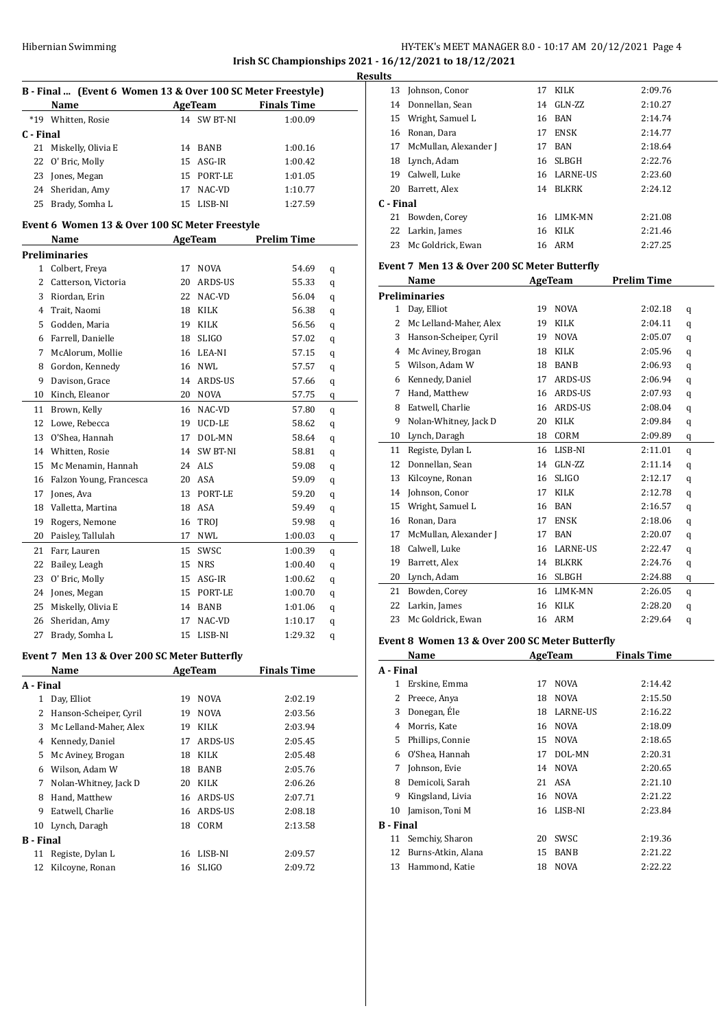### HY-TEK's MEET MANAGER 8.0 - 10:17 AM 20/12/2021 Page 4 **Irish SC Championships 2021 - 16/12/2021 to 18/12/2021 Results**

| B - Final  (Event 6 Women 13 & Over 100 SC Meter Freestyle) |                                                          |         |             |                    |   |  |  |  |  |  |
|-------------------------------------------------------------|----------------------------------------------------------|---------|-------------|--------------------|---|--|--|--|--|--|
|                                                             | Name                                                     | AgeTeam |             | <b>Finals Time</b> |   |  |  |  |  |  |
| $*19$                                                       | Whitten, Rosie                                           |         | 14 SW BT-NI | 1:00.09            |   |  |  |  |  |  |
| C - Final                                                   |                                                          |         |             |                    |   |  |  |  |  |  |
| 21                                                          | Miskelly, Olivia E                                       |         | 14 BANB     | 1:00.16            |   |  |  |  |  |  |
| 22                                                          | O' Bric, Molly                                           |         | 15 ASG-IR   | 1:00.42            |   |  |  |  |  |  |
| 23                                                          | Jones, Megan                                             |         | 15 PORT-LE  | 1:01.05            |   |  |  |  |  |  |
|                                                             | 24 Sheridan, Amy                                         |         | 17 NAC-VD   | 1:10.77            |   |  |  |  |  |  |
| 25                                                          | Brady, Somha L                                           |         | 15 LISB-NI  | 1:27.59            |   |  |  |  |  |  |
| Event 6 Women 13 & Over 100 SC Meter Freestyle              |                                                          |         |             |                    |   |  |  |  |  |  |
|                                                             | <b>Example 2.5 AgeTeam</b><br><b>Prelim Time</b><br>Name |         |             |                    |   |  |  |  |  |  |
|                                                             | <b>Preliminaries</b>                                     |         |             |                    |   |  |  |  |  |  |
|                                                             | 1 Colbert, Freya                                         | 17      | <b>NOVA</b> | 54.69              | q |  |  |  |  |  |
| $\overline{2}$                                              | Catterson, Victoria                                      |         | 20 ARDS-US  | 55.33              | q |  |  |  |  |  |
| 3                                                           | Riordan, Erin                                            |         | 22 NAC-VD   | 56.04              | q |  |  |  |  |  |
| 4                                                           | Trait, Naomi                                             |         | 18 KILK     | 56.38              | q |  |  |  |  |  |
| 5                                                           | Godden, Maria                                            |         | 19 KILK     | 56.56              | q |  |  |  |  |  |
| 6                                                           | Farrell, Danielle                                        |         | 18 SLIGO    | 57.02              | q |  |  |  |  |  |
| 7                                                           | McAlorum, Mollie                                         |         | 16 LEA-NI   | 57.15              | q |  |  |  |  |  |
| 8                                                           | Gordon, Kennedy                                          |         | 16 NWL      | 57.57              | q |  |  |  |  |  |
| 9                                                           | Davison, Grace                                           |         | 14 ARDS-US  | 57.66              | q |  |  |  |  |  |
| 10                                                          | Kinch, Eleanor                                           |         | 20 NOVA     | 57.75              | q |  |  |  |  |  |
| 11                                                          | Brown, Kelly                                             |         | 16 NAC-VD   | 57.80              | q |  |  |  |  |  |
| 12                                                          | Lowe, Rebecca                                            |         | 19 UCD-LE   | 58.62              | q |  |  |  |  |  |
| 13                                                          | O'Shea, Hannah                                           |         | 17 DOL-MN   | 58.64              | q |  |  |  |  |  |
| 14                                                          | Whitten, Rosie                                           |         | 14 SW BT-NI | 58.81              | q |  |  |  |  |  |
| 15                                                          | Mc Menamin, Hannah                                       |         | 24 ALS      | 59.08              | q |  |  |  |  |  |
| 16                                                          | Falzon Young, Francesca                                  |         | 20 ASA      | 59.09              | q |  |  |  |  |  |
| 17                                                          | Jones, Ava                                               |         | 13 PORT-LE  | 59.20              | q |  |  |  |  |  |
| 18                                                          | Valletta, Martina                                        |         | 18 ASA      | 59.49              | q |  |  |  |  |  |
| 19                                                          | Rogers, Nemone                                           |         | 16 TROJ     | 59.98              | q |  |  |  |  |  |
| 20                                                          | Paisley, Tallulah                                        |         | 17 NWL      | 1:00.03            | q |  |  |  |  |  |
| 21                                                          | Farr, Lauren                                             | 15      | SWSC        | 1:00.39            | q |  |  |  |  |  |
| 22                                                          | Bailey, Leagh                                            |         | 15 NRS      | 1:00.40            | q |  |  |  |  |  |
| 23                                                          | O' Bric, Molly                                           |         | 15 ASG-IR   | 1:00.62            | q |  |  |  |  |  |
| 24                                                          | Jones, Megan                                             |         | 15 PORT-LE  | 1:00.70            | q |  |  |  |  |  |
| 25                                                          | Miskelly, Olivia E                                       |         | 14 BANB     | 1:01.06            | q |  |  |  |  |  |
| 26                                                          | Sheridan, Amy                                            | 17      | NAC-VD      | 1:10.17            | q |  |  |  |  |  |
| 27                                                          | Brady, Somha L                                           | 15      | LISB-NI     | 1:29.32            | q |  |  |  |  |  |
|                                                             |                                                          |         |             |                    |   |  |  |  |  |  |

# **Event 7 Men 13 & Over 200 SC Meter Butterfly**

| Name                   | AgeTeam |              | <b>Finals Time</b> |
|------------------------|---------|--------------|--------------------|
| A - Final              |         |              |                    |
| Day, Elliot            | 19      | <b>NOVA</b>  | 2:02.19            |
| Hanson-Scheiper, Cyril | 19      | <b>NOVA</b>  | 2:03.56            |
| Mc Lelland-Maher, Alex | 19      | KILK         | 2:03.94            |
| Kennedy, Daniel        | 17      | ARDS-US      | 2:05.45            |
| Mc Aviney, Brogan      | 18      | KILK         | 2:05.48            |
| Wilson, Adam W         | 18      | BANB         | 2:05.76            |
| Nolan-Whitney, Jack D  | 20      | KILK         | 2:06.26            |
| Hand, Matthew          | 16      |              | 2:07.71            |
| Eatwell, Charlie       | 16      | ARDS-US      | 2:08.18            |
| Lynch, Daragh          | 18      | CORM         | 2:13.58            |
| B - Final              |         |              |                    |
| Registe, Dylan L       | 16      | LISB-NI      | 2:09.57            |
| Kilcoyne, Ronan        | 16      | <b>SLIGO</b> | 2:09.72            |
|                        |         |              | ARDS-US            |

| ullo      |                       |    |              |         |
|-----------|-----------------------|----|--------------|---------|
|           | 13 Johnson, Conor     | 17 | KILK         | 2:09.76 |
|           | 14 Donnellan, Sean    |    | 14 GLN-ZZ    | 2:10.27 |
|           | 15 Wright, Samuel L   |    | 16 BAN       | 2:14.74 |
|           | 16 Ronan, Dara        | 17 | <b>ENSK</b>  | 2:14.77 |
| 17        | McMullan, Alexander J | 17 | BAN          | 2:18.64 |
|           | 18 Lynch, Adam        | 16 | SLBGH        | 2:22.76 |
| 19        | Calwell, Luke         |    | 16 LARNE-US  | 2:23.60 |
| 20        | Barrett, Alex         | 14 | <b>BLKRK</b> | 2:24.12 |
| C - Final |                       |    |              |         |
| 21        | Bowden, Corey         | 16 | LIMK-MN      | 2:21.08 |
|           | 22 Larkin, James      |    | 16 KILK      | 2:21.46 |
| 23        | Mc Goldrick, Ewan     |    | 16 ARM       | 2:27.25 |
|           |                       |    |              |         |

#### **Event 7 Men 13 & Over 200 SC Meter Butterfly**

|    | Name                   |    | AgeTeam         | <b>Prelim Time</b> |   |
|----|------------------------|----|-----------------|--------------------|---|
|    | <b>Preliminaries</b>   |    |                 |                    |   |
| 1  | Day, Elliot            | 19 | <b>NOVA</b>     | 2:02.18            | q |
| 2  | Mc Lelland-Maher, Alex | 19 | <b>KILK</b>     | 2:04.11            | q |
| 3  | Hanson-Scheiper, Cyril | 19 | <b>NOVA</b>     | 2:05.07            | q |
| 4  | Mc Aviney, Brogan      | 18 | <b>KILK</b>     | 2:05.96            | q |
| 5  | Wilson, Adam W         | 18 | <b>BANB</b>     | 2:06.93            | q |
| 6  | Kennedy, Daniel        | 17 | <b>ARDS-US</b>  | 2:06.94            | q |
| 7  | Hand, Matthew          | 16 | ARDS-US         | 2:07.93            | q |
| 8  | Eatwell, Charlie       | 16 | ARDS-US         | 2:08.04            | q |
| 9  | Nolan-Whitney, Jack D  | 20 | <b>KILK</b>     | 2:09.84            | q |
| 10 | Lynch, Daragh          | 18 | CORM            | 2:09.89            | q |
| 11 | Registe, Dylan L       | 16 | LISB-NI         | 2:11.01            | q |
| 12 | Donnellan, Sean        | 14 | GLN-ZZ          | 2:11.14            | q |
| 13 | Kilcoyne, Ronan        | 16 | <b>SLIGO</b>    | 2:12.17            | q |
| 14 | Johnson, Conor         | 17 | <b>KILK</b>     | 2:12.78            | q |
| 15 | Wright, Samuel L       | 16 | <b>BAN</b>      | 2:16.57            | q |
| 16 | Ronan, Dara            | 17 | <b>ENSK</b>     | 2:18.06            | q |
| 17 | McMullan, Alexander J  | 17 | <b>BAN</b>      | 2:20.07            | q |
| 18 | Calwell, Luke          | 16 | <b>LARNE-US</b> | 2:22.47            | q |
| 19 | Barrett, Alex          | 14 | <b>BLKRK</b>    | 2:24.76            | q |
| 20 | Lynch, Adam            | 16 | <b>SLBGH</b>    | 2:24.88            | q |
| 21 | Bowden, Corey          | 16 | LIMK-MN         | 2:26.05            | q |
| 22 | Larkin, James          | 16 | <b>KILK</b>     | 2:28.20            | q |
| 23 | Mc Goldrick, Ewan      | 16 | <b>ARM</b>      | 2:29.64            | q |
|    |                        |    |                 |                    |   |

#### **Event 8 Women 13 & Over 200 SC Meter Butterfly**

|           | Name               |    | <b>AgeTeam</b> | <b>Finals Time</b> |
|-----------|--------------------|----|----------------|--------------------|
| A - Final |                    |    |                |                    |
| 1         | Erskine, Emma      | 17 | <b>NOVA</b>    | 2:14.42            |
| 2         | Preece, Anya       | 18 | <b>NOVA</b>    | 2:15.50            |
| 3         | Donegan, Éle       | 18 | LARNE-US       | 2:16.22            |
| 4         | Morris, Kate       | 16 | NOVA           | 2:18.09            |
| 5         | Phillips, Connie   | 15 | <b>NOVA</b>    | 2:18.65            |
| 6         | O'Shea, Hannah     | 17 | DOL-MN         | 2:20.31            |
| 7         | Johnson, Evie      | 14 | <b>NOVA</b>    | 2:20.65            |
| 8         | Demicoli, Sarah    |    | 21 ASA         | 2:21.10            |
| 9         | Kingsland, Livia   | 16 | NOVA           | 2:21.22            |
| 10        | Jamison, Toni M    | 16 | LISB-NI        | 2:23.84            |
| B - Final |                    |    |                |                    |
| 11        | Semchiy, Sharon    | 20 | SWSC           | 2:19.36            |
| 12        | Burns-Atkin, Alana | 15 | BANB           | 2:21.22            |
| 13        | Hammond, Katie     | 18 | <b>NOVA</b>    | 2:22.22            |
|           |                    |    |                |                    |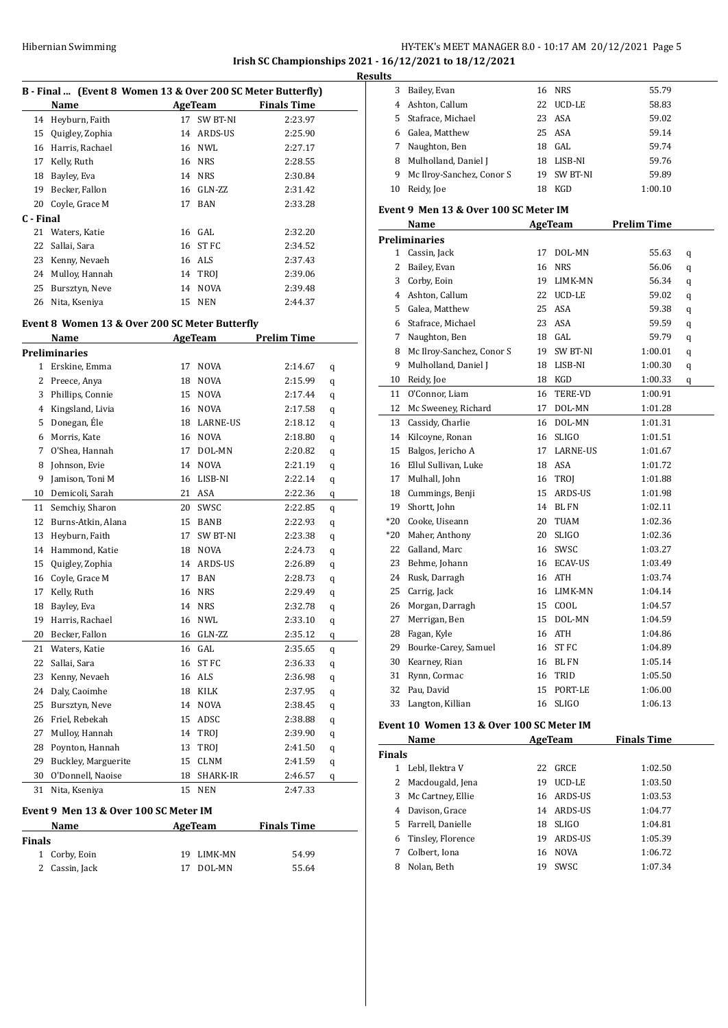# HY-TEK's MEET MANAGER 8.0 - 10:17 AM 20/12/2021 Page 5 **Irish SC Championships 2021 - 16/12/2021 to 18/12/2021 Resu**

|              | B - Final  (Event 8 Women 13 & Over 200 SC Meter Butterfly) |                                                |                  |                    |   |
|--------------|-------------------------------------------------------------|------------------------------------------------|------------------|--------------------|---|
|              | Name                                                        | AgeTeam                                        |                  | <b>Finals Time</b> |   |
| 14           | Heyburn, Faith                                              | 17                                             | SW BT-NI         | 2:23.97            |   |
| 15           | Quigley, Zophia                                             |                                                | 14 ARDS-US       | 2:25.90            |   |
| 16           | Harris, Rachael                                             |                                                | 16 NWL           | 2:27.17            |   |
| 17           | Kelly, Ruth                                                 |                                                | 16 NRS           | 2:28.55            |   |
| 18           | Bayley, Eva                                                 |                                                | 14 NRS           | 2:30.84            |   |
| 19           | Becker, Fallon                                              |                                                | 16 GLN-ZZ        | 2:31.42            |   |
| 20           | Coyle, Grace M                                              | 17                                             | <b>BAN</b>       | 2:33.28            |   |
| C - Final    |                                                             |                                                |                  |                    |   |
| 21           | Waters, Katie                                               |                                                | 16 GAL           | 2:32.20            |   |
| 22           | Sallai, Sara                                                |                                                | 16 ST FC         | 2:34.52            |   |
| 23           |                                                             |                                                | 16 ALS           | 2:37.43            |   |
|              | Kenny, Nevaeh                                               |                                                |                  |                    |   |
| 24           | Mulloy, Hannah                                              |                                                | 14 TROJ          | 2:39.06            |   |
| 25           | Bursztyn, Neve                                              | 14                                             | <b>NOVA</b>      | 2:39.48            |   |
| 26           | Nita, Kseniya                                               | 15                                             | <b>NEN</b>       | 2:44.37            |   |
|              |                                                             | Event 8 Women 13 & Over 200 SC Meter Butterfly |                  |                    |   |
|              | Name                                                        |                                                | AgeTeam          | <b>Prelim Time</b> |   |
|              | Preliminaries                                               |                                                |                  |                    |   |
| $\mathbf{1}$ | Erskine, Emma                                               | 17                                             | <b>NOVA</b>      | 2:14.67            | q |
| 2            | Preece, Anya                                                |                                                | 18 NOVA          | 2:15.99            | q |
| 3            | Phillips, Connie                                            |                                                | 15 NOVA          | 2:17.44            | q |
| 4            | Kingsland, Livia                                            |                                                | 16 NOVA          | 2:17.58            | q |
| 5            | Donegan, Éle                                                |                                                | 18 LARNE-US      | 2:18.12            | q |
| 6            | Morris, Kate                                                |                                                | 16 NOVA          | 2:18.80            | q |
| 7            | O'Shea, Hannah                                              |                                                | 17 DOL-MN        | 2:20.82            | q |
| 8            | Johnson, Evie                                               |                                                | 14 NOVA          | 2:21.19            | q |
| 9            | Jamison, Toni M                                             |                                                | 16 LISB-NI       | 2:22.14            | q |
| 10           | Demicoli, Sarah                                             |                                                | 21 ASA           | 2:22.36            | q |
| 11           | Semchiy, Sharon                                             |                                                | 20 SWSC          | 2:22.85            | q |
| 12           | Burns-Atkin, Alana                                          |                                                | 15 BANB          | 2:22.93            | q |
| 13           | Heyburn, Faith                                              |                                                | 17 SW BT-NI      | 2:23.38            | q |
| 14           | Hammond, Katie                                              |                                                | 18 NOVA          | 2:24.73            | q |
| 15           | Quigley, Zophia                                             |                                                | 14 ARDS-US       | 2:26.89            | q |
| 16           | Coyle, Grace M                                              |                                                | 17 BAN           | 2:28.73            | q |
| 17           | Kelly, Ruth                                                 |                                                | 16 NRS           | 2:29.49            | q |
| 18           | Bayley, Eva                                                 |                                                | 14 NRS           | 2:32.78            | q |
| 19           | Harris, Rachael                                             |                                                | 16 NWL           | 2:33.10            | q |
| 20           | Becker, Fallon                                              | 16                                             | GLN-ZZ           | 2:35.12            | q |
| 21           | Waters, Katie                                               | 16                                             | GAL              | 2:35.65            | q |
| 22           | Sallai, Sara                                                | 16                                             | ST <sub>FC</sub> | 2:36.33            | q |
| 23           | Kenny, Nevaeh                                               | 16                                             | ALS              | 2:36.98            | q |
| 24           | Daly, Caoimhe                                               | 18                                             | KILK             | 2:37.95            | q |
| 25           | Bursztyn, Neve                                              | 14                                             | NOVA             | 2:38.45            | q |
| 26           | Friel, Rebekah                                              | 15                                             | ADSC             | 2:38.88            | q |
| 27           | Mulloy, Hannah                                              | 14                                             | TROJ             | 2:39.90            | q |
| 28           | Poynton, Hannah                                             | 13                                             | TROI             | 2:41.50            | q |
| 29           | Buckley, Marguerite                                         | 15                                             | CLNM             | 2:41.59            | q |
| 30           | O'Donnell, Naoise                                           | 18                                             | SHARK-IR         | 2:46.57            | q |
| 31           | Nita, Kseniya                                               | 15                                             | NEN              | 2:47.33            |   |
|              |                                                             |                                                |                  |                    |   |

#### **Event 9 Men 13 & Over 100 SC Meter IM**

| Name   |                |    | AgeTeam    | <b>Finals Time</b> |       |  |
|--------|----------------|----|------------|--------------------|-------|--|
| Finals |                |    |            |                    |       |  |
|        | 1 Corby, Eoin  |    | 19 LIMK-MN |                    | 54.99 |  |
|        | 2 Cassin, Jack | 17 | DOL-MN     |                    | 55.64 |  |

| ılts |                                       |    |              |                    |   |
|------|---------------------------------------|----|--------------|--------------------|---|
| 3    | Bailey, Evan                          | 16 | <b>NRS</b>   | 55.79              |   |
| 4    | Ashton, Callum                        | 22 | UCD-LE       | 58.83              |   |
| 5    | Stafrace, Michael                     | 23 | ASA          | 59.02              |   |
| 6    | Galea, Matthew                        | 25 | ASA          | 59.14              |   |
| 7    | Naughton, Ben                         |    | 18 GAL       | 59.74              |   |
| 8    | Mulholland, Daniel J                  |    | 18 LISB-NI   | 59.76              |   |
| 9    | Mc Ilroy-Sanchez, Conor S             |    | 19 SW BT-NI  | 59.89              |   |
| 10   | Reidy, Joe                            | 18 | KGD          | 1:00.10            |   |
|      | Event 9 Men 13 & Over 100 SC Meter IM |    |              |                    |   |
|      | Name                                  |    | AgeTeam      | <b>Prelim Time</b> |   |
|      | Preliminaries                         |    |              |                    |   |
|      | 1 Cassin, Jack                        | 17 | DOL-MN       | 55.63              | q |
| 2    | Bailey, Evan                          | 16 | NRS          | 56.06              | q |
| 3    | Corby, Eoin                           | 19 | LIMK-MN      | 56.34              | q |
|      | 4 Ashton, Callum                      | 22 | UCD-LE       | 59.02              | q |
| 5    | Galea, Matthew                        |    | 25 ASA       | 59.38              | q |
| 6    | Stafrace, Michael                     | 23 | ASA          | 59.59              | q |
| 7    | Naughton, Ben                         |    | 18 GAL       | 59.79              | q |
| 8    | Mc Ilroy-Sanchez, Conor S             |    | 19 SW BT-NI  | 1:00.01            | q |
| 9    | Mulholland, Daniel J                  | 18 | LISB-NI      | 1:00.30            | q |
| 10   | Reidy, Joe                            |    | 18 KGD       | 1:00.33            | q |
| 11   | O'Connor, Liam                        | 16 | TERE-VD      | 1:00.91            |   |
| 12   | Mc Sweeney, Richard                   | 17 | DOL-MN       | 1:01.28            |   |
| 13   | Cassidy, Charlie                      |    | 16 DOL-MN    | 1:01.31            |   |
| 14   | Kilcoyne, Ronan                       | 16 | SLIGO        | 1:01.51            |   |
| 15   | Balgos, Jericho A                     | 17 | LARNE-US     | 1:01.67            |   |
| 16   | Ellul Sullivan, Luke                  | 18 | ASA          | 1:01.72            |   |
| 17   | Mulhall, John                         | 16 | TROJ         | 1:01.88            |   |
| 18   | Cummings, Benji                       | 15 | ARDS-US      | 1:01.98            |   |
| 19   | Shortt, John                          | 14 | <b>BL FN</b> | 1:02.11            |   |
| *20  | Cooke, Uiseann                        | 20 | TUAM         | 1:02.36            |   |
| *20  | Maher, Anthony                        | 20 | <b>SLIGO</b> | 1:02.36            |   |
| 22   | Galland, Marc                         |    | 16 SWSC      | 1:03.27            |   |
| 23   | Behme, Johann                         |    | 16 ECAV-US   | 1:03.49            |   |
| 24   | Rusk, Darragh                         | 16 | ATH          | 1:03.74            |   |
| 25   | Carrig, Jack                          | 16 | LIMK-MN      | 1:04.14            |   |
| 26   | Morgan, Darragh                       | 15 | COOL         | 1:04.57            |   |
| 27   | Merrigan, Ben                         |    | 15 DOL-MN    | 1:04.59            |   |
| 28   | Fagan, Kyle                           |    | 16 ATH       | 1:04.86            |   |
| 29   | Bourke-Carey, Samuel                  | 16 | ST FC        | 1:04.89            |   |
| 30   | Kearney, Rian                         | 16 | <b>BLFN</b>  | 1:05.14            |   |
| 31   | Rynn, Cormac                          | 16 | TRID         | 1:05.50            |   |
| 32   | Pau, David                            | 15 | PORT-LE      | 1:06.00            |   |
| 33   | Langton, Killian                      | 16 | <b>SLIGO</b> | 1:06.13            |   |

# **Event 10 Women 13 & Over 100 SC Meter IM**

| Name          |                   |    | AgeTeam      | <b>Finals Time</b> |
|---------------|-------------------|----|--------------|--------------------|
| <b>Finals</b> |                   |    |              |                    |
|               | Lebl, Ilektra V   | 22 | GRCE         | 1:02.50            |
| $\mathbf{Z}$  | Macdougald, Jena  | 19 | UCD-LE       | 1:03.50            |
| 3             | Mc Cartney, Ellie |    | 16 ARDS-US   | 1:03.53            |
| 4             | Davison, Grace    | 14 | ARDS-US      | 1:04.77            |
| 5.            | Farrell, Danielle | 18 | <b>SLIGO</b> | 1:04.81            |
| 6             | Tinsley, Florence | 19 | ARDS-US      | 1:05.39            |
| 7             | Colbert, Iona     | 16 | NOVA         | 1:06.72            |
|               | Nolan, Beth       | 19 | SWSC         | 1:07.34            |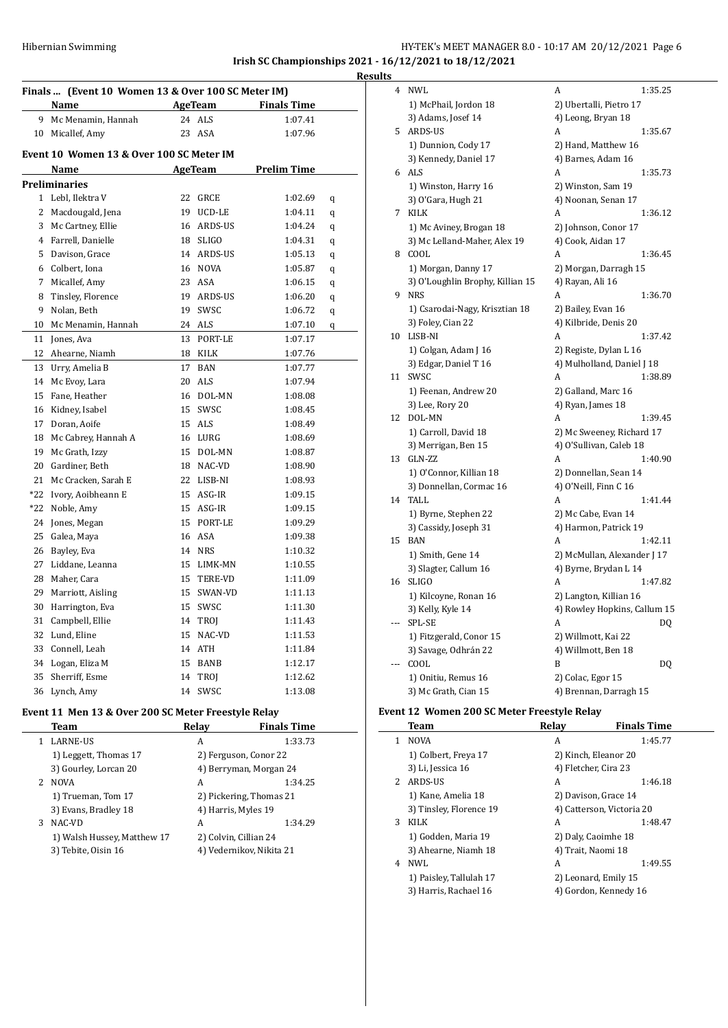# HY-TEK's MEET MANAGER 8.0 - 10:17 AM 20/12/2021 Page 6 **Irish SC Championships 2021 - 16/12/2021 to 18/12/2021 Results**

| Finals  (Event 10 Women 13 & Over 100 SC Meter IM) |                                          |    |              |                    |   |  |
|----------------------------------------------------|------------------------------------------|----|--------------|--------------------|---|--|
|                                                    | Name                                     |    | AgeTeam      | <b>Finals Time</b> |   |  |
| 9                                                  | Mc Menamin, Hannah                       |    | 24 ALS       | 1:07.41            |   |  |
|                                                    | 10 Micallef, Amy                         |    | 23 ASA       | 1:07.96            |   |  |
|                                                    | Event 10 Women 13 & Over 100 SC Meter IM |    |              |                    |   |  |
|                                                    | Name                                     |    | AgeTeam      | <b>Prelim Time</b> |   |  |
|                                                    | <b>Preliminaries</b>                     |    |              |                    |   |  |
|                                                    | 1 Lebl, Ilektra V                        | 22 | GRCE         | 1:02.69            | q |  |
|                                                    | 2 Macdougald, Jena                       | 19 | UCD-LE       | 1:04.11            | q |  |
| 3                                                  | Mc Cartney, Ellie                        | 16 | ARDS-US      | 1:04.24            | q |  |
| $\overline{4}$                                     | Farrell, Danielle                        | 18 | <b>SLIGO</b> | 1:04.31            | q |  |
| 5                                                  | Davison, Grace                           | 14 | ARDS-US      | 1:05.13            | q |  |
|                                                    | 6 Colbert, Iona                          |    | 16 NOVA      | 1:05.87            | q |  |
| 7                                                  | Micallef, Amy                            | 23 | ASA          | 1:06.15            | q |  |
| 8                                                  | Tinsley, Florence                        | 19 | ARDS-US      | 1:06.20            | q |  |
| 9                                                  | Nolan, Beth                              | 19 | SWSC         | 1:06.72            | q |  |
| 10                                                 | Mc Menamin, Hannah                       | 24 | ALS          | 1:07.10            | q |  |
| 11                                                 | Jones, Ava                               | 13 | PORT-LE      | 1:07.17            |   |  |
| 12                                                 | Ahearne, Niamh                           | 18 | KILK         | 1:07.76            |   |  |
| 13                                                 | Urry, Amelia B                           | 17 | <b>BAN</b>   | 1:07.77            |   |  |
| 14                                                 | Mc Evoy, Lara                            | 20 | ALS          | 1:07.94            |   |  |
| 15                                                 | Fane, Heather                            | 16 | DOL-MN       | 1:08.08            |   |  |
| 16                                                 | Kidney, Isabel                           | 15 | SWSC         | 1:08.45            |   |  |
| 17                                                 | Doran, Aoife                             | 15 | ALS          | 1:08.49            |   |  |
| 18                                                 | Mc Cabrey, Hannah A                      | 16 | LURG         | 1:08.69            |   |  |
| 19                                                 | Mc Grath, Izzy                           | 15 | DOL-MN       | 1:08.87            |   |  |
|                                                    | 20 Gardiner, Beth                        | 18 | NAC-VD       | 1:08.90            |   |  |
| 21                                                 | Mc Cracken, Sarah E                      | 22 | LISB-NI      | 1:08.93            |   |  |
| *22                                                | Ivory, Aoibheann E                       | 15 | ASG-IR       | 1:09.15            |   |  |
| *22                                                | Noble, Amy                               | 15 | ASG-IR       | 1:09.15            |   |  |
| 24                                                 | Jones, Megan                             | 15 | PORT-LE      | 1:09.29            |   |  |
| 25                                                 | Galea, Maya                              | 16 | ASA          | 1:09.38            |   |  |
| 26                                                 | Bayley, Eva                              | 14 | <b>NRS</b>   | 1:10.32            |   |  |
| 27                                                 | Liddane, Leanna                          | 15 | LIMK-MN      | 1:10.55            |   |  |
| 28                                                 | Maher, Cara                              | 15 | TERE-VD      | 1:11.09            |   |  |
| 29                                                 | Marriott, Aisling                        | 15 | SWAN-VD      | 1:11.13            |   |  |
| 30                                                 | Harrington, Eva                          | 15 | SWSC         | 1:11.30            |   |  |
| 31                                                 | Campbell, Ellie                          | 14 | TROJ         | 1:11.43            |   |  |
| 32                                                 | Lund, Eline                              | 15 | NAC-VD       | 1:11.53            |   |  |
| 33                                                 | Connell, Leah                            | 14 | ATH          | 1:11.84            |   |  |
| 34                                                 | Logan, Eliza M                           | 15 | <b>BANB</b>  | 1:12.17            |   |  |
| 35                                                 | Sherriff, Esme                           | 14 | TROJ         | 1:12.62            |   |  |
| 36                                                 | Lynch, Amy                               | 14 | SWSC         | 1:13.08            |   |  |

# **Event 11 Men 13 & Over 200 SC Meter Freestyle Relay**

 $\frac{1}{2}$ 

|    | Team                        | Relav | <b>Finals Time</b>       |
|----|-----------------------------|-------|--------------------------|
|    | <b>LARNE-US</b>             | A     | 1:33.73                  |
|    | 1) Leggett, Thomas 17       |       | 2) Ferguson, Conor 22    |
|    | 3) Gourley, Lorcan 20       |       | 4) Berryman, Morgan 24   |
| 2. | <b>NOVA</b>                 | A     | 1:34.25                  |
|    | 1) Trueman, Tom 17          |       | 2) Pickering, Thomas 21  |
|    | 3) Evans, Bradley 18        |       | 4) Harris, Myles 19      |
| 3  | NAC-VD                      | A     | 1:34.29                  |
|    | 1) Walsh Hussey, Matthew 17 |       | 2) Colvin, Cillian 24    |
|    | 3) Tebite, Oisin 16         |       | 4) Vedernikov, Nikita 21 |
|    |                             |       |                          |

| 4   | <b>NWL</b>                       | A<br>1:35.25                 |
|-----|----------------------------------|------------------------------|
|     | 1) McPhail, Jordon 18            | 2) Ubertalli, Pietro 17      |
|     | 3) Adams, Josef 14               | 4) Leong, Bryan 18           |
| 5   | <b>ARDS-US</b>                   | А<br>1:35.67                 |
|     | 1) Dunnion, Cody 17              | 2) Hand, Matthew 16          |
|     | 3) Kennedy, Daniel 17            | 4) Barnes, Adam 16           |
|     | 6 ALS                            | A<br>1:35.73                 |
|     | 1) Winston, Harry 16             | 2) Winston, Sam 19           |
|     | 3) O'Gara, Hugh 21               | 4) Noonan, Senan 17          |
| 7   | <b>KILK</b>                      | 1:36.12<br>A                 |
|     | 1) Mc Aviney, Brogan 18          | 2) Johnson, Conor 17         |
|     | 3) Mc Lelland-Maher, Alex 19     | 4) Cook, Aidan 17            |
| 8   | COOL                             | A<br>1:36.45                 |
|     | 1) Morgan, Danny 17              | 2) Morgan, Darragh 15        |
|     | 3) O'Loughlin Brophy, Killian 15 | 4) Rayan, Ali 16             |
| 9   | <b>NRS</b>                       | A<br>1:36.70                 |
|     | 1) Csarodai-Nagy, Krisztian 18   | 2) Bailey, Evan 16           |
|     | 3) Foley, Cian 22                | 4) Kilbride, Denis 20        |
| 10  | LISB-NI                          | A<br>1:37.42                 |
|     | 1) Colgan, Adam J 16             | 2) Registe, Dylan L 16       |
|     | 3) Edgar, Daniel T 16            | 4) Mulholland, Daniel J 18   |
| 11  | SWSC                             | А<br>1:38.89                 |
|     | 1) Feenan, Andrew 20             | 2) Galland, Marc 16          |
|     | 3) Lee, Rory 20                  | 4) Ryan, James 18            |
| 12  | DOL-MN                           | A<br>1:39.45                 |
|     | 1) Carroll, David 18             | 2) Mc Sweeney, Richard 17    |
|     | 3) Merrigan, Ben 15              | 4) O'Sullivan, Caleb 18      |
| 13  | GLN-ZZ                           | A<br>1:40.90                 |
|     | 1) O'Connor, Killian 18          | 2) Donnellan, Sean 14        |
|     | 3) Donnellan, Cormac 16          | 4) O'Neill, Finn C 16        |
| 14  | <b>TALL</b>                      | A<br>1:41.44                 |
|     | 1) Byrne, Stephen 22             | 2) Mc Cabe, Evan 14          |
|     | 3) Cassidy, Joseph 31            | 4) Harmon, Patrick 19        |
| 15  | <b>BAN</b>                       | A<br>1:42.11                 |
|     | 1) Smith, Gene 14                | 2) McMullan, Alexander J 17  |
|     | 3) Slagter, Callum 16            | 4) Byrne, Brydan L 14        |
| 16  | <b>SLIGO</b>                     | A<br>1:47.82                 |
|     | 1) Kilcoyne, Ronan 16            | 2) Langton, Killian 16       |
|     | 3) Kelly, Kyle 14                | 4) Rowley Hopkins, Callum 15 |
|     | SPL-SE                           | A<br>DQ                      |
|     | 1) Fitzgerald, Conor 15          | 2) Willmott, Kai 22          |
|     | 3) Savage, Odhrán 22             | 4) Willmott, Ben 18          |
| --- | COOL                             | B<br>DQ                      |
|     | 1) Onitiu, Remus 16              | 2) Colac, Egor 15            |
|     | 3) Mc Grath, Cian 15             | 4) Brennan, Darragh 15       |

#### **Event 12 Women 200 SC Meter Freestyle Relay**

|    | Team                    | Relay                | <b>Finals Time</b>        |
|----|-------------------------|----------------------|---------------------------|
| 1. | <b>NOVA</b>             | A                    | 1:45.77                   |
|    | 1) Colbert, Freya 17    | 2) Kinch, Eleanor 20 |                           |
|    | 3) Li, Jessica 16       | 4) Fletcher, Cira 23 |                           |
| 2  | ARDS-US                 | A                    | 1:46.18                   |
|    | 1) Kane, Amelia 18      |                      | 2) Davison, Grace 14      |
|    | 3) Tinsley, Florence 19 |                      | 4) Catterson, Victoria 20 |
| 3  | KILK                    | A                    | 1:48.47                   |
|    | 1) Godden, Maria 19     | 2) Daly, Caoimhe 18  |                           |
|    | 3) Ahearne, Niamh 18    | 4) Trait, Naomi 18   |                           |
| 4  | NWI.                    | A                    | 1:49.55                   |
|    | 1) Paisley, Tallulah 17 |                      | 2) Leonard, Emily 15      |
|    | 3) Harris, Rachael 16   |                      | 4) Gordon, Kennedy 16     |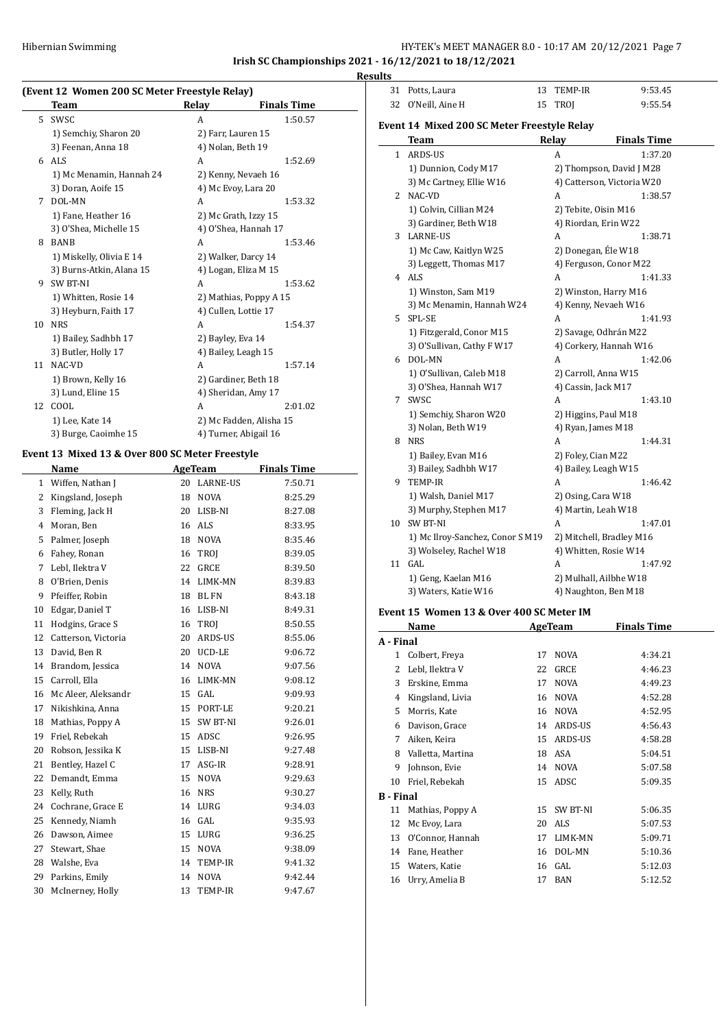# Hibernian Swimming HY-TEK's MEET MANAGER 8.0 - 10:17 AM 20/12/2021 Page 7 **Irish SC Championships 2021 - 16/12/2021 to 18/12/2021**

**Results**

# **(Event 12 Women 200 SC Meter Freestyle Relay)**

|    | Team                     | Relay               | <b>Finals Time</b>      |
|----|--------------------------|---------------------|-------------------------|
| 5  | <b>SWSC</b>              | A                   | 1:50.57                 |
|    | 1) Semchiy, Sharon 20    | 2) Farr, Lauren 15  |                         |
|    | 3) Feenan, Anna 18       | 4) Nolan, Beth 19   |                         |
| 6  | ALS <sub></sub>          | A                   | 1:52.69                 |
|    | 1) Mc Menamin, Hannah 24 |                     | 2) Kenny, Nevaeh 16     |
|    | 3) Doran, Aoife 15       |                     | 4) Mc Evoy, Lara 20     |
| 7  | DOL-MN                   | A                   | 1:53.32                 |
|    | 1) Fane, Heather 16      |                     | 2) Mc Grath, Izzy 15    |
|    | 3) O'Shea, Michelle 15   |                     | 4) O'Shea, Hannah 17    |
| 8  | <b>BANB</b>              | A                   | 1:53.46                 |
|    | 1) Miskelly, Olivia E 14 |                     | 2) Walker, Darcy 14     |
|    | 3) Burns-Atkin, Alana 15 |                     | 4) Logan, Eliza M 15    |
| 9  | <b>SW BT-NI</b>          | A                   | 1:53.62                 |
|    | 1) Whitten, Rosie 14     |                     | 2) Mathias, Poppy A 15  |
|    | 3) Heyburn, Faith 17     |                     | 4) Cullen, Lottie 17    |
| 10 | <b>NRS</b>               | A                   | 1:54.37                 |
|    | 1) Bailey, Sadhbh 17     | 2) Bayley, Eva 14   |                         |
|    | 3) Butler, Holly 17      | 4) Bailey, Leagh 15 |                         |
| 11 | NAC-VD                   | A                   | 1:57.14                 |
|    | 1) Brown, Kelly 16       |                     | 2) Gardiner, Beth 18    |
|    | 3) Lund, Eline 15        |                     | 4) Sheridan, Amy 17     |
| 12 | COOL                     | A                   | 2:01.02                 |
|    | 1) Lee, Kate 14          |                     | 2) Mc Fadden, Alisha 15 |
|    | 3) Burge, Caoimhe 15     |                     | 4) Turner, Abigail 16   |

#### **Event 13 Mixed 13 & Over 800 SC Meter Freestyle**

|              | Name                |    | AgeTeam         | <b>Finals Time</b> |
|--------------|---------------------|----|-----------------|--------------------|
| $\mathbf{1}$ | Wiffen, Nathan J    | 20 | <b>LARNE-US</b> | 7:50.71            |
| 2            | Kingsland, Joseph   | 18 | <b>NOVA</b>     | 8:25.29            |
| 3            | Fleming, Jack H     | 20 | LISB-NI         | 8:27.08            |
| 4            | Moran, Ben          | 16 | <b>ALS</b>      | 8:33.95            |
| 5            | Palmer, Joseph      | 18 | <b>NOVA</b>     | 8:35.46            |
| 6            | Fahey, Ronan        | 16 | TROI            | 8:39.05            |
| 7            | Lebl, Ilektra V     | 22 | <b>GRCE</b>     | 8:39.50            |
| 8            | O'Brien, Denis      | 14 | LIMK-MN         | 8:39.83            |
| 9            | Pfeiffer, Robin     | 18 | <b>BL FN</b>    | 8:43.18            |
| 10           | Edgar, Daniel T     | 16 | LISB-NI         | 8:49.31            |
| 11           | Hodgins, Grace S    | 16 | TROJ            | 8:50.55            |
| 12           | Catterson, Victoria | 20 | ARDS-US         | 8:55.06            |
| 13           | David, Ben R        | 20 | UCD-LE          | 9:06.72            |
| 14           | Brandom, Jessica    | 14 | <b>NOVA</b>     | 9:07.56            |
| 15           | Carroll, Ella       | 16 | LIMK-MN         | 9:08.12            |
| 16           | Mc Aleer, Aleksandr | 15 | GAL             | 9:09.93            |
| 17           | Nikishkina, Anna    | 15 | PORT-LE         | 9:20.21            |
| 18           | Mathias, Poppy A    | 15 | SW BT-NI        | 9:26.01            |
| 19           | Friel, Rebekah      | 15 | ADSC            | 9:26.95            |
| 20           | Robson, Jessika K   | 15 | LISB-NI         | 9:27.48            |
| 21           | Bentley, Hazel C    | 17 | ASG-IR          | 9:28.91            |
| 22           | Demandt, Emma       | 15 | <b>NOVA</b>     | 9:29.63            |
| 23           | Kelly, Ruth         | 16 | <b>NRS</b>      | 9:30.27            |
| 24           | Cochrane, Grace E   | 14 | LURG            | 9:34.03            |
| 25           | Kennedy, Niamh      | 16 | GAL             | 9:35.93            |
| 26           | Dawson, Aimee       | 15 | LURG            | 9:36.25            |
| 27           | Stewart, Shae       | 15 | <b>NOVA</b>     | 9:38.09            |
| 28           | Walshe, Eva         | 14 | TEMP-IR         | 9:41.32            |
| 29           | Parkins, Emily      | 14 | <b>NOVA</b>     | 9:42.44            |
| 30           | McInerney, Holly    | 13 | TEMP-IR         | 9:47.67            |
|              |                     |    |                 |                    |

| 31           | Potts, Laura                                | 13 | TEMP-IR                  | 9:53.45                    |
|--------------|---------------------------------------------|----|--------------------------|----------------------------|
| 32           | O'Neill, Aine H                             | 15 | TROI                     | 9:55.54                    |
|              |                                             |    |                          |                            |
|              | Event 14 Mixed 200 SC Meter Freestyle Relay |    |                          |                            |
|              | Team                                        |    | Relay                    | <b>Finals Time</b>         |
| $\mathbf{1}$ | ARDS-US                                     |    | A                        | 1:37.20                    |
|              | 1) Dunnion, Cody M17                        |    |                          | 2) Thompson, David J M28   |
|              | 3) Mc Cartney, Ellie W16                    |    |                          | 4) Catterson, Victoria W20 |
| 2            | NAC-VD                                      |    | A                        | 1:38.57                    |
|              | 1) Colvin, Cillian M24                      |    | 2) Tebite, Oisin M16     |                            |
|              | 3) Gardiner, Beth W18                       |    | 4) Riordan, Erin W22     |                            |
|              | 3 LARNE-US                                  |    | A                        | 1:38.71                    |
|              | 1) Mc Caw, Kaitlyn W25                      |    | 2) Donegan, Éle W18      |                            |
|              | 3) Leggett, Thomas M17                      |    | 4) Ferguson, Conor M22   |                            |
|              | 4 ALS                                       |    | A                        | 1:41.33                    |
|              | 1) Winston, Sam M19                         |    | 2) Winston, Harry M16    |                            |
|              | 3) Mc Menamin, Hannah W24                   |    | 4) Kenny, Nevaeh W16     |                            |
|              | 5 SPL-SE                                    |    | A                        | 1:41.93                    |
|              | 1) Fitzgerald, Conor M15                    |    | 2) Savage, Odhrán M22    |                            |
|              | 3) O'Sullivan, Cathy F W17                  |    | 4) Corkery, Hannah W16   |                            |
|              | 6 DOL-MN                                    |    | A                        | 1:42.06                    |
|              | 1) O'Sullivan, Caleb M18                    |    | 2) Carroll, Anna W15     |                            |
|              | 3) O'Shea, Hannah W17                       |    | 4) Cassin, Jack M17      |                            |
|              | 7 SWSC                                      |    | A                        | 1:43.10                    |
|              | 1) Semchiy, Sharon W20                      |    | 2) Higgins, Paul M18     |                            |
|              | 3) Nolan, Beth W19                          |    | 4) Ryan, James M18       |                            |
|              | 8 NRS                                       |    | A                        | 1:44.31                    |
|              | 1) Bailey, Evan M16                         |    | 2) Foley, Cian M22       |                            |
|              | 3) Bailey, Sadhbh W17                       |    | 4) Bailey, Leagh W15     |                            |
|              | 9 TEMP-IR                                   |    | A                        | 1:46.42                    |
|              | 1) Walsh, Daniel M17                        |    | 2) Osing, Cara W18       |                            |
|              | 3) Murphy, Stephen M17                      |    | 4) Martin, Leah W18      |                            |
| 10           | SW BT-NI                                    |    | A                        | 1:47.01                    |
|              | 1) Mc Ilroy-Sanchez, Conor S M19            |    | 2) Mitchell, Bradley M16 |                            |
|              | 3) Wolseley, Rachel W18                     |    | 4) Whitten, Rosie W14    |                            |
| 11           | GAL                                         |    | A                        | 1:47.92                    |
|              | 1) Geng, Kaelan M16                         |    | 2) Mulhall, Ailbhe W18   |                            |
|              | 3) Waters, Katie W16                        |    | 4) Naughton, Ben M18     |                            |
|              |                                             |    |                          |                            |

#### **Event 15 Women 13 & Over 400 SC Meter IM**

|                  | Name              |    | AgeTeam     | <b>Finals Time</b> |
|------------------|-------------------|----|-------------|--------------------|
| A - Final        |                   |    |             |                    |
| 1                | Colbert, Freya    | 17 | <b>NOVA</b> | 4:34.21            |
| 2                | Lebl, Ilektra V   | 22 | GRCE        | 4:46.23            |
| 3                | Erskine, Emma     | 17 | <b>NOVA</b> | 4:49.23            |
| 4                | Kingsland, Livia  | 16 | <b>NOVA</b> | 4:52.28            |
| 5                | Morris, Kate      | 16 | <b>NOVA</b> | 4:52.95            |
| 6                | Davison, Grace    | 14 | ARDS-US     | 4:56.43            |
| 7                | Aiken, Keira      | 15 | ARDS-US     | 4:58.28            |
| 8                | Valletta, Martina | 18 | ASA         | 5:04.51            |
| 9                | Johnson, Evie     | 14 | <b>NOVA</b> | 5:07.58            |
| 10               | Friel, Rebekah    | 15 | ADSC        | 5:09.35            |
| <b>B</b> - Final |                   |    |             |                    |
| 11               | Mathias, Poppy A  | 15 | SW BT-NI    | 5:06.35            |
| 12               | Mc Evoy, Lara     | 20 | ALS         | 5:07.53            |
| 13               | O'Connor, Hannah  | 17 | LIMK-MN     | 5:09.71            |
| 14               | Fane, Heather     | 16 | DOL-MN      | 5:10.36            |
| 15               | Waters, Katie     | 16 | GAL         | 5:12.03            |
| 16               | Urry, Amelia B    | 17 | BAN         | 5:12.52            |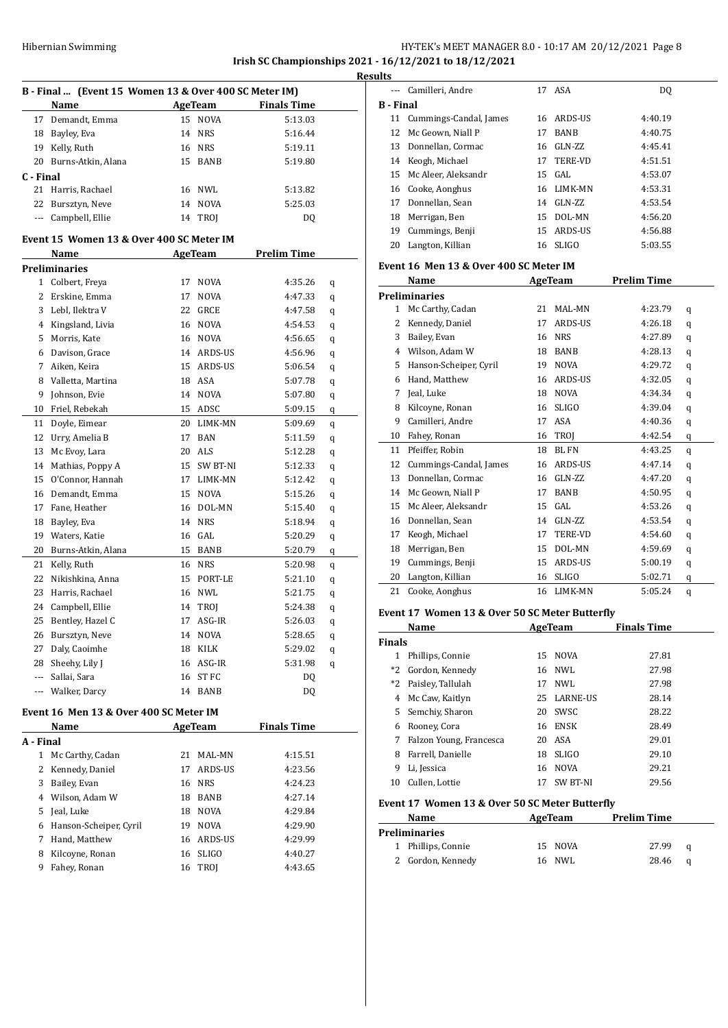### HY-TEK's MEET MANAGER 8.0 - 10:17 AM 20/12/2021 Page 8 **Irish SC Championships 2021 - 16/12/2021 to 18/12/2021 Results**

|                | B - Final  (Event 15 Women 13 & Over 400 SC Meter IM) |         |             |                    |   |  |
|----------------|-------------------------------------------------------|---------|-------------|--------------------|---|--|
|                | Name                                                  | AgeTeam |             | <b>Finals Time</b> |   |  |
| 17             | Demandt, Emma                                         |         | 15 NOVA     | 5:13.03            |   |  |
| 18             | Bayley, Eva                                           |         | 14 NRS      | 5:16.44            |   |  |
|                | 19 Kelly, Ruth                                        |         | 16 NRS      | 5:19.11            |   |  |
|                | 20 Burns-Atkin, Alana                                 |         | 15 BANB     | 5:19.80            |   |  |
| C - Final      |                                                       |         |             |                    |   |  |
| 21             | Harris, Rachael                                       |         | 16 NWL      | 5:13.82            |   |  |
| 22             | Bursztyn, Neve                                        |         | 14 NOVA     | 5:25.03            |   |  |
|                | --- Campbell, Ellie                                   |         | 14 TROI     | DQ                 |   |  |
|                | Event 15  Women 13 & Over 400 SC Meter IM             |         |             |                    |   |  |
|                | Name                                                  |         | AgeTeam     | <b>Prelim Time</b> |   |  |
|                | Preliminaries                                         |         |             |                    |   |  |
| 1              | Colbert, Freya                                        | 17      | <b>NOVA</b> | 4:35.26            | q |  |
| 2              | Erskine, Emma                                         | 17      | <b>NOVA</b> | 4:47.33            | q |  |
| 3              | Lebl, Ilektra V                                       |         | 22 GRCE     | 4:47.58            | q |  |
| $\overline{4}$ | Kingsland, Livia                                      |         | 16 NOVA     | 4:54.53            | q |  |
| 5              | Morris, Kate                                          |         | 16 NOVA     | 4:56.65            | q |  |
| 6              | Davison, Grace                                        |         | 14 ARDS-US  | 4:56.96            | q |  |
| 7              | Aiken, Keira                                          |         | 15 ARDS-US  | 5:06.54            | q |  |
| 8              | Valletta, Martina                                     |         | 18 ASA      | 5:07.78            | q |  |
| 9              | Johnson, Evie                                         |         | 14 NOVA     | 5:07.80            | q |  |
| 10             | Friel, Rebekah                                        |         | 15 ADSC     | 5:09.15            | q |  |
| 11             | Doyle, Eimear                                         |         | 20 LIMK-MN  | 5:09.69            | q |  |
| 12             | Urry, Amelia B                                        | 17      | <b>BAN</b>  | 5:11.59            | q |  |
| 13             | Mc Evoy, Lara                                         |         | 20 ALS      | 5:12.28            | q |  |
| 14             | Mathias, Poppy A                                      |         | 15 SW BT-NI | 5:12.33            | q |  |
| 15             | O'Connor, Hannah                                      |         | 17 LIMK-MN  | 5:12.42            | q |  |
| 16             | Demandt, Emma                                         |         | 15 NOVA     | 5:15.26            | q |  |
| 17             | Fane, Heather                                         |         | 16 DOL-MN   | 5:15.40            | q |  |
| 18             | Bayley, Eva                                           |         | 14 NRS      | 5:18.94            | q |  |
| 19             | Waters, Katie                                         |         | 16 GAL      | 5:20.29            | q |  |
| 20             | Burns-Atkin, Alana                                    |         | 15 BANB     | 5:20.79            | q |  |
| 21             | Kelly, Ruth                                           |         | 16 NRS      | 5:20.98            | q |  |
| 22             | Nikishkina, Anna                                      |         | 15 PORT-LE  | 5:21.10            | q |  |
| 23             | Harris, Rachael                                       |         | 16 NWL      | 5:21.75            | q |  |
| 24             | Campbell, Ellie                                       |         | 14 TROJ     | 5:24.38            | q |  |
| 25             | Bentley, Hazel C                                      |         | 17 ASG-IR   | 5:26.03            | q |  |
| 26             | Bursztyn, Neve                                        |         | 14 NOVA     | 5:28.65            | q |  |
| 27             | Daly, Caoimhe                                         |         | 18 KILK     | 5:29.02            | q |  |
| 28             | Sheehy, Lily J                                        |         | 16 ASG-IR   | 5:31.98            | q |  |
| ---            | Sallai, Sara                                          |         | 16 ST FC    | DQ                 |   |  |
| $\overline{a}$ | Walker, Darcy                                         |         | 14 BANB     | DQ                 |   |  |

### **Event 16 Men 13 & Over 400 SC Meter IM**

|           | Name                   |    | AgeTeam        | <b>Finals Time</b> |  |
|-----------|------------------------|----|----------------|--------------------|--|
| A - Final |                        |    |                |                    |  |
| 1         | Mc Carthy, Cadan       | 21 | MAL-MN         | 4:15.51            |  |
| 2         | Kennedy, Daniel        | 17 | <b>ARDS-US</b> | 4:23.56            |  |
| 3         | Bailey, Evan           | 16 | <b>NRS</b>     | 4:24.23            |  |
| 4         | Wilson, Adam W         | 18 | <b>BANB</b>    | 4:27.14            |  |
| 5.        | Jeal, Luke             | 18 | <b>NOVA</b>    | 4:29.84            |  |
| 6         | Hanson-Scheiper, Cyril | 19 | <b>NOVA</b>    | 4:29.90            |  |
|           | Hand, Matthew          | 16 | ARDS-US        | 4:29.99            |  |
| 8         | Kilcoyne, Ronan        | 16 | SLIGO          | 4:40.27            |  |
| 9         | Fahey, Ronan           | 16 | TROI           | 4:43.65            |  |
|           |                        |    |                |                    |  |

| ullo           |                           |    |              |         |
|----------------|---------------------------|----|--------------|---------|
| $---$          | Camilleri, Andre          |    | 17 ASA       | DQ      |
| <b>B</b> Final |                           |    |              |         |
|                | 11 Cummings-Candal, James |    | 16 ARDS-US   | 4:40.19 |
|                | 12 Mc Geown, Niall P      | 17 | <b>BANB</b>  | 4:40.75 |
|                | 13 Donnellan, Cormac      | 16 | GLN-ZZ       | 4:45.41 |
|                | 14 Keogh, Michael         | 17 | TERE-VD      | 4:51.51 |
|                | 15 Mc Aleer, Aleksandr    |    | $15$ GAL     | 4:53.07 |
|                | 16 Cooke, Aonghus         |    | 16 LIMK-MN   | 4:53.31 |
| 17             | Donnellan, Sean           | 14 | GLN-ZZ       | 4:53.54 |
| 18             | Merrigan, Ben             | 15 | DOL-MN       | 4:56.20 |
| 19             | Cummings, Benji           |    | 15 ARDS-US   | 4:56.88 |
| 20             | Langton, Killian          | 16 | <b>SLIGO</b> | 5:03.55 |

#### **Event 16 Men 13 & Over 400 SC Meter IM**

|              | Name                   |    | <b>AgeTeam</b> | <b>Prelim Time</b> |   |
|--------------|------------------------|----|----------------|--------------------|---|
|              | <b>Preliminaries</b>   |    |                |                    |   |
| $\mathbf{1}$ | Mc Carthy, Cadan       | 21 | MAL-MN         | 4:23.79            | q |
| 2            | Kennedy, Daniel        | 17 | <b>ARDS-US</b> | 4:26.18            | q |
| 3            | Bailey, Evan           | 16 | <b>NRS</b>     | 4:27.89            | q |
| 4            | Wilson. Adam W         | 18 | <b>BANB</b>    | 4:28.13            | q |
| 5            | Hanson-Scheiper, Cyril | 19 | <b>NOVA</b>    | 4:29.72            | q |
| 6            | Hand, Matthew          | 16 | <b>ARDS-US</b> | 4:32.05            | q |
| 7            | Jeal, Luke             | 18 | <b>NOVA</b>    | 4:34.34            | q |
| 8            | Kilcoyne, Ronan        | 16 | <b>SLIGO</b>   | 4:39.04            | q |
| 9            | Camilleri, Andre       | 17 | ASA            | 4:40.36            | q |
| 10           | Fahey, Ronan           | 16 | <b>TROI</b>    | 4:42.54            | q |
| 11           | Pfeiffer, Robin        | 18 | BL FN          | 4:43.25            | q |
| 12           | Cummings-Candal, James | 16 | <b>ARDS-US</b> | 4:47.14            | q |
| 13           | Donnellan, Cormac      | 16 | $GLN-ZZ$       | 4:47.20            | q |
| 14           | Mc Geown, Niall P      | 17 | <b>BANB</b>    | 4:50.95            | q |
| 15           | Mc Aleer, Aleksandr    | 15 | GAL.           | 4:53.26            | q |
| 16           | Donnellan, Sean        | 14 | $GLN-ZZ$       | 4:53.54            | q |
| 17           | Keogh, Michael         | 17 | <b>TERE-VD</b> | 4:54.60            | q |
| 18           | Merrigan, Ben          | 15 | DOL-MN         | 4:59.69            | q |
| 19           | Cummings, Benji        | 15 | <b>ARDS-US</b> | 5:00.19            | q |
| 20           | Langton, Killian       | 16 | <b>SLIGO</b>   | 5:02.71            | q |
| 21           | Cooke, Aonghus         | 16 | LIMK-MN        | 5:05.24            | q |

#### **Event 17 Women 13 & Over 50 SC Meter Butterfly**

|               | Name                    |    | AgeTeam      | <b>Finals Time</b> |  |
|---------------|-------------------------|----|--------------|--------------------|--|
| <b>Finals</b> |                         |    |              |                    |  |
| 1             | Phillips, Connie        | 15 | <b>NOVA</b>  | 27.81              |  |
|               | *2 Gordon, Kennedy      |    | 16 NWL       | 27.98              |  |
|               | *2 Paisley, Tallulah    | 17 | NWI.         | 27.98              |  |
| 4             | Mc Caw, Kaitlyn         |    | 25 LARNE-US  | 28.14              |  |
|               | 5 Semchiy, Sharon       | 20 | SWSC         | 28.22              |  |
| 6             | Rooney, Cora            | 16 | ENSK         | 28.49              |  |
| 7             | Falzon Young, Francesca | 20 | ASA          | 29.01              |  |
| 8             | Farrell, Danielle       | 18 | <b>SLIGO</b> | 29.10              |  |
| 9             | Li, Jessica             | 16 | <b>NOVA</b>  | 29.21              |  |
| 10            | Cullen, Lottie          | 17 | SW BT-NI     | 29.56              |  |

# **Event 17 Women 13 & Over 50 SC Meter Butterfly**

| Name |                    | AgeTeam | <b>Prelim Time</b> |       |   |
|------|--------------------|---------|--------------------|-------|---|
|      | Preliminaries      |         |                    |       |   |
|      | 1 Phillips, Connie | 15 NOVA |                    | 27.99 | a |
|      | 2 Gordon, Kennedy  | 16 NWL  |                    | 28.46 | a |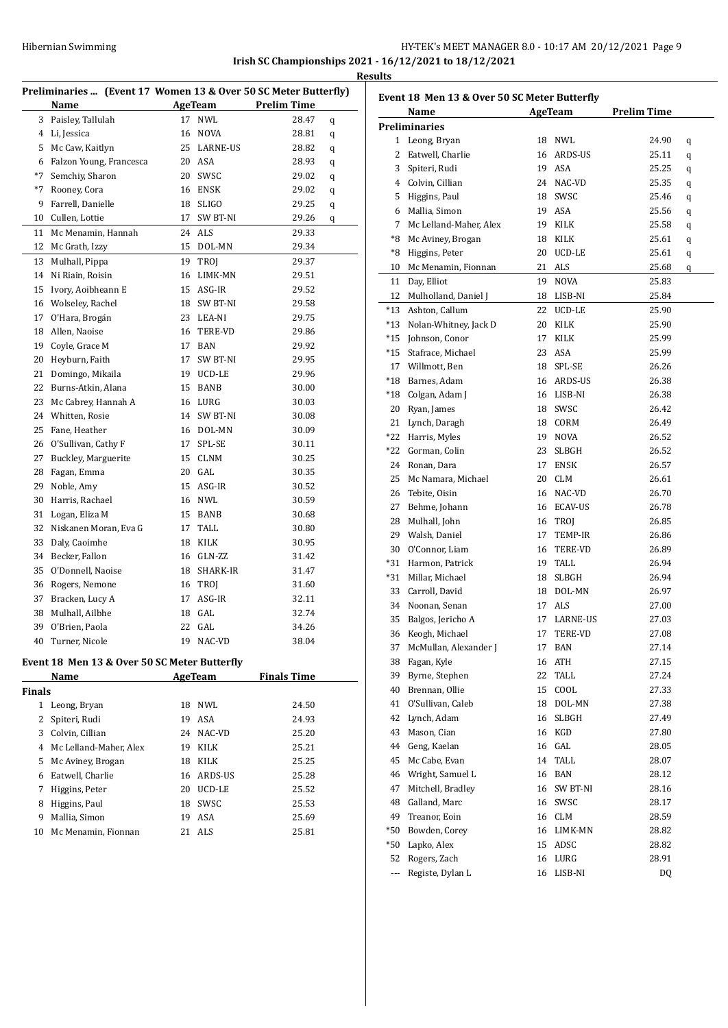# HY-TEK's MEET MANAGER 8.0 - 10:17 AM 20/12/2021 Page 9 **Irish SC Championships 2021 - 16/12/2021 to 18/12/2021 Results**

|              |                                                                 |    |                |                    | ł |
|--------------|-----------------------------------------------------------------|----|----------------|--------------------|---|
|              | Preliminaries  (Event 17 Women 13 & Over 50 SC Meter Butterfly) |    |                |                    |   |
|              | Name                                                            |    | <b>AgeTeam</b> | <b>Prelim Time</b> |   |
| 3            | Paisley, Tallulah                                               | 17 | <b>NWL</b>     | 28.47              | q |
| 4            | Li, Jessica                                                     | 16 | NOVA           | 28.81              | q |
| 5            | Mc Caw, Kaitlyn                                                 |    | 25 LARNE-US    | 28.82              | q |
| 6            | Falzon Young, Francesca                                         |    | 20 ASA         | 28.93              | q |
| $*7$         | Semchiy, Sharon                                                 |    | 20 SWSC        | 29.02              | q |
| $*7$         | Rooney, Cora                                                    |    | 16 ENSK        | 29.02              | q |
| 9            | Farrell, Danielle                                               |    | 18 SLIGO       | 29.25              | q |
| 10           | Cullen, Lottie                                                  |    | 17 SW BT-NI    | 29.26              | q |
| 11           | Mc Menamin, Hannah                                              |    | 24 ALS         | 29.33              |   |
| 12           | Mc Grath, Izzy                                                  |    | 15 DOL-MN      | 29.34              |   |
| 13           | Mulhall, Pippa                                                  | 19 | TROJ           | 29.37              |   |
| 14           | Ni Riain, Roisin                                                | 16 | LIMK-MN        | 29.51              |   |
| 15           | Ivory, Aoibheann E                                              |    | 15 ASG-IR      | 29.52              |   |
| 16           | Wolseley, Rachel                                                |    | 18 SW BT-NI    | 29.58              |   |
| 17           | O'Hara, Brogán                                                  |    | 23 LEA-NI      | 29.75              |   |
| 18           | Allen, Naoise                                                   |    | 16 TERE-VD     | 29.86              |   |
| 19           | Coyle, Grace M                                                  |    | 17 BAN         | 29.92              |   |
| 20           | Heyburn, Faith                                                  | 17 | SW BT-NI       | 29.95              |   |
| 21           | Domingo, Mikaila                                                |    | 19 UCD-LE      | 29.96              |   |
| 22           | Burns-Atkin, Alana                                              |    | 15 BANB        | 30.00              |   |
| 23           | Mc Cabrey, Hannah A                                             |    | 16 LURG        | 30.03              |   |
| 24           | Whitten, Rosie                                                  |    | 14 SW BT-NI    | 30.08              |   |
| 25           | Fane, Heather                                                   |    | 16 DOL-MN      | 30.09              |   |
| 26           | O'Sullivan, Cathy F                                             | 17 | SPL-SE         | 30.11              |   |
| 27           | Buckley, Marguerite                                             |    | 15 CLNM        | 30.25              |   |
| 28           | Fagan, Emma                                                     |    | 20 GAL         | 30.35              |   |
| 29           | Noble, Amy                                                      |    | 15 ASG-IR      | 30.52              |   |
| 30           | Harris, Rachael                                                 |    | 16 NWL         | 30.59              |   |
| 31           | Logan, Eliza M                                                  |    | 15 BANB        | 30.68              |   |
| 32           | Niskanen Moran, Eva G                                           |    | 17 TALL        | 30.80              |   |
| 33           | Daly, Caoimhe                                                   |    | 18 KILK        | 30.95              |   |
| 34           | Becker, Fallon                                                  |    | 16 GLN-ZZ      | 31.42              |   |
| 35           | O'Donnell, Naoise                                               |    | 18 SHARK-IR    | 31.47              |   |
| 36           | Rogers, Nemone                                                  |    | 16 TROJ        | 31.60              |   |
| 37           | Bracken, Lucy A                                                 | 17 | ASG-IR         | 32.11              |   |
| 38           | Mulhall, Ailbhe                                                 |    | 18 GAL         | 32.74              |   |
| 39           | O'Brien, Paola                                                  | 22 | GAL            | 34.26              |   |
| 40           | Turner, Nicole                                                  | 19 | NAC-VD         | 38.04              |   |
|              | Event 18 Men 13 & Over 50 SC Meter Butterfly                    |    |                |                    |   |
|              | Name                                                            |    | <b>AgeTeam</b> | <b>Finals Time</b> |   |
| Finals       |                                                                 |    |                |                    |   |
| $\mathbf{1}$ | Leong, Bryan                                                    | 18 | NWL            | 24.50              |   |
| 2            | Spiteri, Rudi                                                   | 19 | ASA            | 24.93              |   |
| 3            | Colvin, Cillian                                                 |    | 24 NAC-VD      | 25.20              |   |
|              | 4 Mc Lelland-Maher, Alex                                        |    | 19 KILK        | 25.21              |   |
| 5            | Mc Aviney, Brogan                                               | 18 | KILK           | 25.25              |   |
| 6            | Eatwell, Charlie                                                | 16 | ARDS-US        | 25.28              |   |
| 7            | Higgins, Peter                                                  | 20 | UCD-LE         | 25.52              |   |

 Higgins, Paul 18 SWSC 25.53 Mallia, Simon 19 ASA 25.69 Mc Menamin, Fionnan 21 ALS 25.81

| Event 18 Men 13 & Over 50 SC Meter Butterfly |                           |    |             |                    |   |  |
|----------------------------------------------|---------------------------|----|-------------|--------------------|---|--|
|                                              | Name                      |    | AgeTeam     | <b>Prelim Time</b> |   |  |
|                                              | <b>Preliminaries</b>      |    |             |                    |   |  |
|                                              | 1 Leong, Bryan            |    | 18 NWL      | 24.90              | q |  |
|                                              | 2 Eatwell, Charlie        |    | 16 ARDS-US  | 25.11              | q |  |
|                                              | 3 Spiteri, Rudi           |    | 19 ASA      | 25.25              | q |  |
|                                              | 4 Colvin, Cillian         |    | 24 NAC-VD   | 25.35              | q |  |
|                                              | 5 Higgins, Paul           |    | 18 SWSC     | 25.46              | q |  |
|                                              | 6 Mallia, Simon           |    | 19 ASA      | 25.56              | q |  |
|                                              | 7 Mc Lelland-Maher, Alex  |    | 19 KILK     | 25.58              | q |  |
|                                              | *8 Mc Aviney, Brogan      |    | 18 KILK     | 25.61              | q |  |
| *8                                           | Higgins, Peter            | 20 | UCD-LE      | 25.61              | q |  |
| 10                                           | Mc Menamin, Fionnan       |    | 21 ALS      | 25.68              | q |  |
| 11                                           | Day, Elliot               | 19 | <b>NOVA</b> | 25.83              |   |  |
| 12                                           | Mulholland, Daniel J      |    | 18 LISB-NI  | 25.84              |   |  |
|                                              | *13 Ashton, Callum        | 22 | UCD-LE      | 25.90              |   |  |
|                                              | *13 Nolan-Whitney, Jack D | 20 | KILK        | 25.90              |   |  |
|                                              | *15 Johnson, Conor        |    | 17 KILK     | 25.99              |   |  |
|                                              | *15 Stafrace, Michael     |    | 23 ASA      | 25.99              |   |  |
|                                              | 17 Willmott, Ben          |    | 18 SPL-SE   | 26.26              |   |  |
|                                              | *18 Barnes. Adam          |    | 16 ARDS-US  | 26.38              |   |  |
|                                              | *18 Colgan, Adam J        |    | 16 LISB-NI  | 26.38              |   |  |
|                                              | 20 Ryan, James            | 18 | SWSC        | 26.42              |   |  |
|                                              | 21 Lynch, Daragh          | 18 | CORM        | 26.49              |   |  |
|                                              | *22 Harris, Myles         | 19 | <b>NOVA</b> | 26.52              |   |  |
|                                              | *22 Gorman, Colin         | 23 | SLBGH       | 26.52              |   |  |
|                                              | 24 Ronan, Dara            | 17 | ENSK        | 26.57              |   |  |
|                                              | 25 Mc Namara, Michael     | 20 | <b>CLM</b>  | 26.61              |   |  |
|                                              | 26 Tebite, Oisin          |    | 16 NAC-VD   | 26.70              |   |  |
|                                              | 27 Behme, Johann          |    | 16 ECAV-US  | 26.78              |   |  |
|                                              | 28 Mulhall, John          |    | 16 TROJ     | 26.85              |   |  |
|                                              | 29 Walsh, Daniel          | 17 | TEMP-IR     | 26.86              |   |  |
|                                              | 30 O'Connor, Liam         | 16 | TERE-VD     | 26.89              |   |  |
|                                              | *31 Harmon, Patrick       | 19 | TALL        | 26.94              |   |  |
|                                              | *31 Millar, Michael       | 18 | SLBGH       | 26.94              |   |  |
|                                              | 33 Carroll, David         |    | 18 DOL-MN   | 26.97              |   |  |
|                                              | 34 Noonan, Senan          |    | 17 ALS      | 27.00              |   |  |
|                                              | 35 Balgos, Jericho A      |    | 17 LARNE-US | 27.03              |   |  |
|                                              | 36 Keogh, Michael         | 17 | TERE-VD     | 27.08              |   |  |
| 37                                           | McMullan, Alexander J     | 17 | BAN         | 27.14              |   |  |
| 38                                           | Fagan, Kyle               | 16 | ATH         | 27.15              |   |  |
|                                              | 39 Byrne, Stephen         | 22 | TALL        | 27.24              |   |  |
| 40                                           | Brennan, Ollie            | 15 | COOL        | 27.33              |   |  |
| 41                                           | O'Sullivan, Caleb         | 18 | DOL-MN      | 27.38              |   |  |
| 42                                           | Lynch, Adam               | 16 | SLBGH       | 27.49              |   |  |
| 43                                           | Mason, Cian               | 16 | KGD         | 27.80              |   |  |
| 44                                           | Geng, Kaelan              | 16 | GAL         | 28.05              |   |  |
| 45                                           | Mc Cabe, Evan             | 14 | TALL        | 28.07              |   |  |
| 46                                           | Wright, Samuel L          | 16 | BAN         | 28.12              |   |  |
| 47                                           | Mitchell, Bradley         | 16 | SW BT-NI    | 28.16              |   |  |
| 48                                           | Galland, Marc             | 16 | SWSC        | 28.17              |   |  |
|                                              | 49 Treanor, Eoin          | 16 | CLM         | 28.59              |   |  |
|                                              | *50 Bowden, Corey         | 16 | LIMK-MN     | 28.82              |   |  |
|                                              | *50 Lapko, Alex           | 15 | ADSC        | 28.82              |   |  |
|                                              | 52 Rogers, Zach           | 16 | LURG        | 28.91              |   |  |
| ---                                          | Registe, Dylan L          | 16 | LISB-NI     | DQ                 |   |  |
|                                              |                           |    |             |                    |   |  |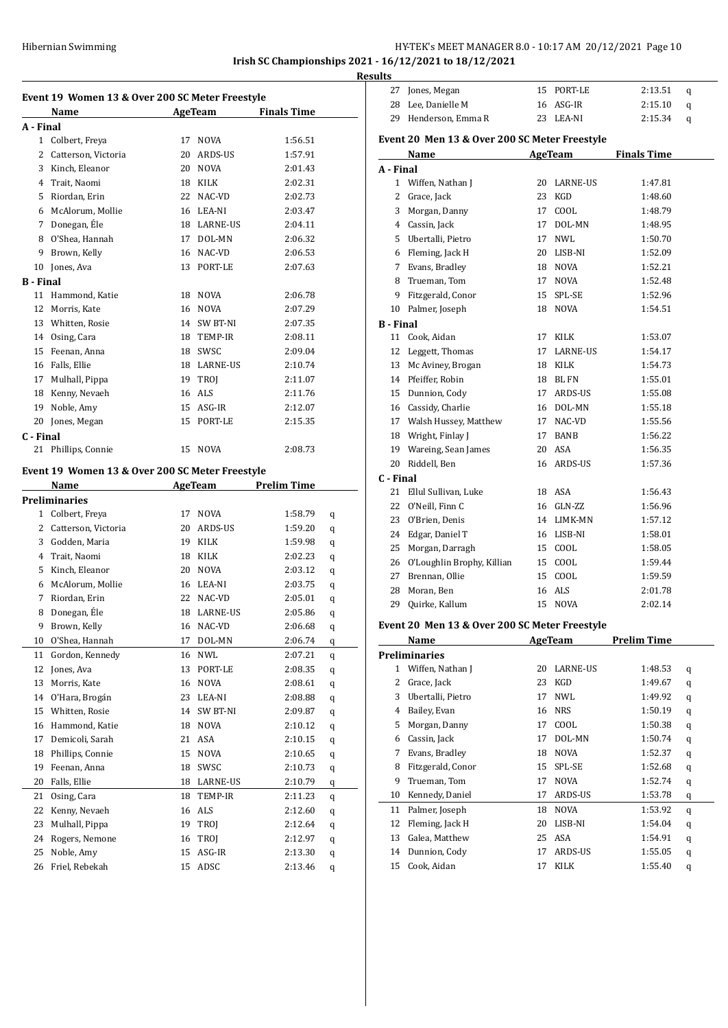#### Hibernian Swimming HY-TEK's MEET MANAGER 8.0 - 10:17 AM 20/12/2021 Page 10 **Irish SC Championships 2021 - 16/12/2021 to 18/12/2021**

**Results**

 $\overline{a}$ 

**Event 19 Women 13 & Over 200 SC Meter Freestyle Name Age Team Finals Time A - Final** Colbert, Freya 17 NOVA 1:56.51 2 Catterson, Victoria 20 ARDS-US 1:57.91 Kinch, Eleanor 20 NOVA 2:01.43 Trait, Naomi 18 KILK 2:02.31 Riordan, Erin 22 NAC-VD 2:02.73 McAlorum, Mollie 16 LEA-NI 2:03.47 7 Donegan, Éle 18 LARNE-US 2:04.11 O'Shea, Hannah 17 DOL-MN 2:06.32 Brown, Kelly 16 NAC-VD 2:06.53 Jones, Ava 13 PORT-LE 2:07.63 **B - Final** Hammond, Katie 18 NOVA 2:06.78 Morris, Kate 16 NOVA 2:07.29 Whitten, Rosie 14 SW BT-NI 2:07.35 Osing, Cara 18 TEMP-IR 2:08.11 Feenan, Anna 18 SWSC 2:09.04 Falls, Ellie 18 LARNE-US 2:10.74 17 Mulhall, Pippa 19 TROJ 2:11.07 Kenny, Nevaeh 16 ALS 2:11.76 Noble, Amy 15 ASG-IR 2:12.07 Jones, Megan 15 PORT-LE 2:15.35 **C - Final** Phillips, Connie 15 NOVA 2:08.73 **Event 19 Women 13 & Over 200 SC Meter Freestyle Name AgeTeam Prelim Time Preliminaries** Colbert, Freya 17 NOVA 1:58.79 q Catterson, Victoria 20 ARDS-US 1:59.20 q Godden, Maria 19 KILK 1:59.98 q Trait, Naomi 18 KILK 2:02.23 q Kinch, Eleanor 20 NOVA 2:03.12 q McAlorum, Mollie 16 LEA-NI 2:03.75 q Riordan, Erin 22 NAC-VD 2:05.01 q 8 Donegan, Éle LARNE-US  $2:05.86$  q Brown, Kelly 16 NAC-VD 2:06.68 q O'Shea, Hannah 17 DOL-MN 2:06.74 q Gordon, Kennedy 16 NWL 2:07.21 q 12 Jones, Ava 13 PORT-LE 2:08.35 q Morris, Kate 16 NOVA 2:08.61 q O'Hara, Brogaín 23 LEA-NI 2:08.88 q Whitten, Rosie 14 SW BT-NI 2:09.87 q Hammond, Katie 18 NOVA 2:10.12 q Demicoli, Sarah 21 ASA 2:10.15 q Phillips, Connie 15 NOVA 2:10.65 q Feenan, Anna 18 SWSC 2:10.73 q Falls, Ellie 18 LARNE-US 2:10.79 q Osing, Cara 18 TEMP-IR 2:11.23 q Kenny, Nevaeh 16 ALS 2:12.60 q Mulhall, Pippa 19 TROJ 2:12.64 q Rogers, Nemone 16 TROJ 2:12.97 q Noble, Amy 15 ASG-IR 2:13.30 q Friel, Rebekah 15 ADSC 2:13.46 q

|           | 28 Lee, Danielle M                                                             |    | 16 ASG-IR       | 2:15.10     | q |  |  |  |  |
|-----------|--------------------------------------------------------------------------------|----|-----------------|-------------|---|--|--|--|--|
|           | 29 Henderson, Emma R                                                           |    | 23 LEA-NI       | 2:15.34     | q |  |  |  |  |
|           |                                                                                |    |                 |             |   |  |  |  |  |
|           | Event 20 Men 13 & Over 200 SC Meter Freestyle<br>AgeTeam<br><b>Finals Time</b> |    |                 |             |   |  |  |  |  |
| A - Final | Name                                                                           |    |                 |             |   |  |  |  |  |
| 1         | Wiffen, Nathan J                                                               |    | 20 LARNE-US     | 1:47.81     |   |  |  |  |  |
| 2         | Grace, Jack                                                                    | 23 | KGD             | 1:48.60     |   |  |  |  |  |
| 3         | Morgan, Danny                                                                  | 17 | COOL            | 1:48.79     |   |  |  |  |  |
|           | 4 Cassin, Jack                                                                 |    | 17 DOL-MN       |             |   |  |  |  |  |
|           |                                                                                |    |                 | 1:48.95     |   |  |  |  |  |
|           | 5 Ubertalli, Pietro                                                            | 17 | NWL             | 1:50.70     |   |  |  |  |  |
| 6         | Fleming, Jack H                                                                |    | 20 LISB-NI      | 1:52.09     |   |  |  |  |  |
| 7         | Evans, Bradley                                                                 |    | 18 NOVA         | 1:52.21     |   |  |  |  |  |
| 8         | Trueman, Tom                                                                   |    | 17 NOVA         | 1:52.48     |   |  |  |  |  |
| 9         | Fitzgerald, Conor                                                              | 15 | SPL-SE          | 1:52.96     |   |  |  |  |  |
| 10        | Palmer, Joseph                                                                 |    | 18 NOVA         | 1:54.51     |   |  |  |  |  |
| B - Final |                                                                                |    |                 |             |   |  |  |  |  |
| 11        | Cook, Aidan                                                                    |    | 17 KILK         | 1:53.07     |   |  |  |  |  |
| 12        | Leggett, Thomas                                                                |    | 17 LARNE-US     | 1:54.17     |   |  |  |  |  |
| 13        | Mc Aviney, Brogan                                                              |    | 18 KILK         | 1:54.73     |   |  |  |  |  |
|           | 14 Pfeiffer, Robin                                                             |    | 18 BLFN         | 1:55.01     |   |  |  |  |  |
|           | 15 Dunnion, Cody                                                               |    | 17 ARDS-US      | 1:55.08     |   |  |  |  |  |
|           | 16 Cassidy, Charlie                                                            |    | 16 DOL-MN       | 1:55.18     |   |  |  |  |  |
|           | 17 Walsh Hussey, Matthew                                                       |    | 17 NAC-VD       | 1:55.56     |   |  |  |  |  |
| 18        | Wright, Finlay J                                                               | 17 | <b>BANB</b>     | 1:56.22     |   |  |  |  |  |
|           | 19 Wareing, Sean James                                                         |    | 20 ASA          | 1:56.35     |   |  |  |  |  |
| 20        | Riddell, Ben                                                                   |    | 16 ARDS-US      | 1:57.36     |   |  |  |  |  |
| C - Final |                                                                                |    |                 |             |   |  |  |  |  |
| 21        | Ellul Sullivan, Luke                                                           |    | 18 ASA          | 1:56.43     |   |  |  |  |  |
| 22        | O'Neill, Finn C                                                                |    | 16 GLN-ZZ       | 1:56.96     |   |  |  |  |  |
| 23        | O'Brien, Denis                                                                 |    | 14 LIMK-MN      | 1:57.12     |   |  |  |  |  |
| 24        | Edgar, Daniel T                                                                |    | 16 LISB-NI      | 1:58.01     |   |  |  |  |  |
| 25        | Morgan, Darragh                                                                |    | 15 COOL         | 1:58.05     |   |  |  |  |  |
| 26        | O'Loughlin Brophy, Killian                                                     |    | 15 COOL         | 1:59.44     |   |  |  |  |  |
| 27        | Brennan, Ollie                                                                 |    | 15 COOL         | 1:59.59     |   |  |  |  |  |
| 28        | Moran, Ben                                                                     |    | 16 ALS          | 2:01.78     |   |  |  |  |  |
| 29        | Quirke, Kallum                                                                 | 15 | <b>NOVA</b>     | 2:02.14     |   |  |  |  |  |
|           |                                                                                |    |                 |             |   |  |  |  |  |
|           | Event 20 Men 13 & Over 200 SC Meter Freestyle                                  |    |                 |             |   |  |  |  |  |
|           | Name                                                                           |    | AgeTeam         | Prelim Time |   |  |  |  |  |
|           | <b>Preliminaries</b>                                                           |    |                 |             |   |  |  |  |  |
| 1         | Wiffen, Nathan J                                                               | 20 | <b>LARNE-US</b> | 1:48.53     | q |  |  |  |  |
| 2         | Grace, Jack                                                                    | 23 | KGD             | 1:49.67     | q |  |  |  |  |
| 3         | Ubertalli, Pietro                                                              | 17 | <b>NWL</b>      | 1:49.92     | q |  |  |  |  |
| 4         | Bailey, Evan                                                                   | 16 | <b>NRS</b>      | 1:50.19     | q |  |  |  |  |
| 5         | Morgan, Danny                                                                  | 17 | COOL            | 1:50.38     | q |  |  |  |  |
| 6         | Cassin, Jack                                                                   | 17 | DOL-MN          | 1:50.74     | q |  |  |  |  |
| 7         | Evans, Bradley                                                                 | 18 | NOVA            | 1:52.37     | q |  |  |  |  |
| 8         | Fitzgerald, Conor                                                              | 15 | SPL-SE          | 1:52.68     | q |  |  |  |  |
| 9         | Trueman, Tom                                                                   | 17 | NOVA            | 1:52.74     | q |  |  |  |  |
| 10        | Kennedy, Daniel                                                                | 17 | ARDS-US         | 1:53.78     | q |  |  |  |  |
| 11        | Palmer, Joseph                                                                 | 18 | NOVA            | 1:53.92     | q |  |  |  |  |
| 12        | Fleming, Jack H                                                                | 20 | LISB-NI         | 1:54.04     | q |  |  |  |  |
| 13        | Galea, Matthew                                                                 | 25 | ASA             | 1:54.91     | q |  |  |  |  |
| 14        | Dunnion, Cody                                                                  | 17 | ARDS-US         | 1:55.05     | q |  |  |  |  |
| 15        | Cook, Aidan                                                                    | 17 | KILK            | 1:55.40     | q |  |  |  |  |

Jones, Megan 15 PORT-LE 2:13.51 q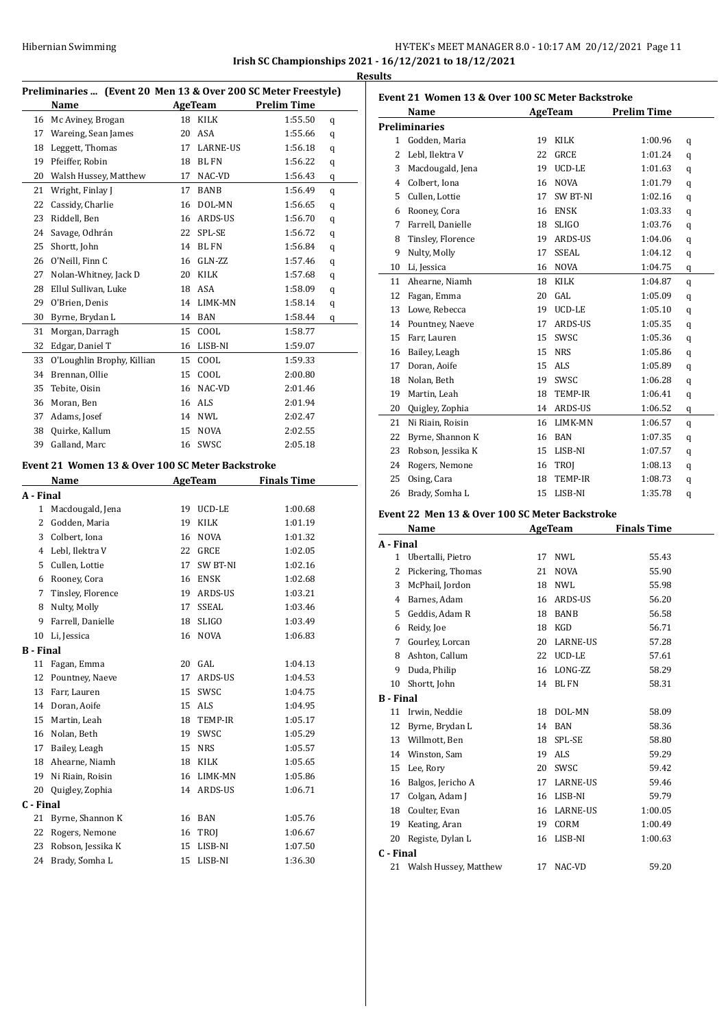### Hibernian Swimming **HY-TEK's MEET MANAGER 8.0 - 10:17 AM 20/12/2021** Page 11 **Irish SC Championships 2021 - 16/12/2021 to 18/12/2021 Results**

| Preliminaries  (Event 20 Men 13 & Over 200 SC Meter Freestyle) |                            |    |                 |                    |   |  |
|----------------------------------------------------------------|----------------------------|----|-----------------|--------------------|---|--|
|                                                                | Name                       |    | AgeTeam         | <b>Prelim Time</b> |   |  |
| 16                                                             | Mc Aviney, Brogan          | 18 | KILK            | 1:55.50            | q |  |
| 17                                                             | Wareing, Sean James        | 20 | ASA             | 1:55.66            | q |  |
| 18                                                             | Leggett, Thomas            | 17 | <b>LARNE-US</b> | 1:56.18            | q |  |
| 19                                                             | Pfeiffer, Robin            | 18 | <b>BL FN</b>    | 1:56.22            | q |  |
| 20                                                             | Walsh Hussey, Matthew      | 17 | NAC-VD          | 1:56.43            | q |  |
| 21                                                             | Wright, Finlay J           | 17 | <b>BANB</b>     | 1:56.49            | q |  |
| 22                                                             | Cassidy, Charlie           | 16 | DOL-MN          | 1:56.65            | q |  |
| 23                                                             | Riddell, Ben               | 16 | ARDS-US         | 1:56.70            | q |  |
| 24                                                             | Savage, Odhrán             | 22 | SPL-SE          | 1:56.72            | q |  |
| 25                                                             | Shortt, John               | 14 | <b>BLFN</b>     | 1:56.84            | q |  |
| 26                                                             | O'Neill, Finn C            | 16 | GLN-ZZ          | 1:57.46            | q |  |
| 27                                                             | Nolan-Whitney, Jack D      | 20 | <b>KILK</b>     | 1:57.68            | q |  |
| 28                                                             | Ellul Sullivan, Luke       | 18 | ASA             | 1:58.09            | q |  |
| 29                                                             | O'Brien, Denis             | 14 | LIMK-MN         | 1:58.14            | q |  |
| 30                                                             | Byrne, Brydan L            | 14 | <b>BAN</b>      | 1:58.44            | q |  |
| 31                                                             | Morgan, Darragh            | 15 | COOL            | 1:58.77            |   |  |
| 32                                                             | Edgar, Daniel T            | 16 | LISB-NI         | 1:59.07            |   |  |
| 33                                                             | O'Loughlin Brophy, Killian | 15 | COOL            | 1:59.33            |   |  |
| 34                                                             | Brennan, Ollie             | 15 | COOL            | 2:00.80            |   |  |
| 35                                                             | Tebite, Oisin              | 16 | NAC-VD          | 2:01.46            |   |  |
| 36                                                             | Moran, Ben                 | 16 | <b>ALS</b>      | 2:01.94            |   |  |
| 37                                                             | Adams, Josef               | 14 | NWL             | 2:02.47            |   |  |
| 38                                                             | Quirke, Kallum             | 15 | <b>NOVA</b>     | 2:02.55            |   |  |
| 39                                                             | Galland, Marc              | 16 | SWSC            | 2:05.18            |   |  |
|                                                                |                            |    |                 |                    |   |  |

#### **Event 21 Women 13 & Over 100 SC Meter Backstroke**

|                  | Name              |    | AgeTeam        | <b>Finals Time</b> |
|------------------|-------------------|----|----------------|--------------------|
| A - Final        |                   |    |                |                    |
| $\mathbf{1}$     | Macdougald, Jena  | 19 | UCD-LE         | 1:00.68            |
| 2                | Godden, Maria     | 19 | <b>KILK</b>    | 1:01.19            |
| 3                | Colbert, Iona     | 16 | <b>NOVA</b>    | 1:01.32            |
| 4                | Lebl, Ilektra V   | 22 | <b>GRCE</b>    | 1:02.05            |
| 5                | Cullen, Lottie    | 17 | SW BT-NI       | 1:02.16            |
| 6                | Rooney, Cora      | 16 | <b>ENSK</b>    | 1:02.68            |
| 7                | Tinsley, Florence | 19 | <b>ARDS-US</b> | 1:03.21            |
| 8                | Nulty, Molly      | 17 | <b>SSEAL</b>   | 1:03.46            |
| 9                | Farrell, Danielle | 18 | <b>SLIGO</b>   | 1:03.49            |
| 10               | Li, Jessica       | 16 | <b>NOVA</b>    | 1:06.83            |
| <b>B</b> - Final |                   |    |                |                    |
| 11               | Fagan, Emma       | 20 | GAL            | 1:04.13            |
| 12               | Pountney, Naeve   | 17 | ARDS-US        | 1:04.53            |
| 13               | Farr, Lauren      | 15 | SWSC           | 1:04.75            |
| 14               | Doran, Aoife      | 15 | <b>ALS</b>     | 1:04.95            |
| 15               | Martin, Leah      | 18 | <b>TEMP-IR</b> | 1:05.17            |
| 16               | Nolan, Beth       | 19 | SWSC           | 1:05.29            |
| 17               | Bailey, Leagh     | 15 | <b>NRS</b>     | 1:05.57            |
| 18               | Ahearne, Niamh    | 18 | KILK           | 1:05.65            |
| 19               | Ni Riain, Roisin  | 16 | LIMK-MN        | 1:05.86            |
| 20               | Quigley, Zophia   | 14 | ARDS-US        | 1:06.71            |
| C - Final        |                   |    |                |                    |
| 21               | Byrne, Shannon K  | 16 | <b>BAN</b>     | 1:05.76            |
| 22               | Rogers, Nemone    | 16 | TROJ           | 1:06.67            |
| 23               | Robson, Jessika K | 15 | LISB-NI        | 1:07.50            |
| 24               | Brady, Somha L    | 15 | LISB-NI        | 1:36.30            |

|                | Name                 |    | AgeTeam        | <b>Prelim Time</b> |   |
|----------------|----------------------|----|----------------|--------------------|---|
|                | <b>Preliminaries</b> |    |                |                    |   |
| $\mathbf{1}$   | Godden, Maria        | 19 | KILK           | 1:00.96            | q |
| 2              | Lebl, Ilektra V      | 22 | <b>GRCE</b>    | 1:01.24            | q |
| 3              | Macdougald, Jena     | 19 | UCD-LE         | 1:01.63            | q |
| $\overline{4}$ | Colbert, Iona        | 16 | <b>NOVA</b>    | 1:01.79            | q |
| 5              | Cullen, Lottie       | 17 | SW BT-NI       | 1:02.16            | q |
| 6              | Rooney, Cora         | 16 | <b>ENSK</b>    | 1:03.33            | q |
| 7              | Farrell. Danielle    | 18 | <b>SLIGO</b>   | 1:03.76            | q |
| 8              | Tinsley, Florence    | 19 | ARDS-US        | 1:04.06            | q |
| 9              | Nulty, Molly         | 17 | <b>SSEAL</b>   | 1:04.12            | q |
| 10             | Li, Jessica          | 16 | <b>NOVA</b>    | 1:04.75            | q |
| 11             | Ahearne, Niamh       | 18 | KILK           | 1:04.87            | q |
| 12             | Fagan, Emma          | 20 | GAL            | 1:05.09            | q |
| 13             | Lowe, Rebecca        | 19 | UCD-LE         | 1:05.10            | q |
| 14             | Pountney, Naeve      | 17 | ARDS-US        | 1:05.35            | q |
| 15             | Farr, Lauren         | 15 | SWSC           | 1:05.36            | q |
| 16             | Bailey, Leagh        | 15 | <b>NRS</b>     | 1:05.86            | q |
| 17             | Doran, Aoife         | 15 | <b>ALS</b>     | 1:05.89            | q |
| 18             | Nolan, Beth          | 19 | SWSC           | 1:06.28            | q |
| 19             | Martin, Leah         | 18 | <b>TEMP-IR</b> | 1:06.41            | q |
| 20             | Quigley, Zophia      | 14 | ARDS-US        | 1:06.52            | q |
| 21             | Ni Riain, Roisin     | 16 | LIMK-MN        | 1:06.57            | q |
| 22             | Byrne, Shannon K     | 16 | <b>BAN</b>     | 1:07.35            | q |
| 23             | Robson, Jessika K    | 15 | LISB-NI        | 1:07.57            | q |
| 24             | Rogers, Nemone       | 16 | TROI           | 1:08.13            | q |
| 25             | Osing, Cara          | 18 | TEMP-IR        | 1:08.73            | q |
| 26             | Brady, Somha L       | 15 | LISB-NI        | 1:35.78            | q |

# **Event 22 Men 13 & Over 100 SC Meter Backstroke**

|                  | Name                  |    | AgeTeam         | <b>Finals Time</b> |
|------------------|-----------------------|----|-----------------|--------------------|
| A - Final        |                       |    |                 |                    |
| 1                | Ubertalli, Pietro     | 17 | <b>NWL</b>      | 55.43              |
| 2                | Pickering, Thomas     | 21 | <b>NOVA</b>     | 55.90              |
| 3                | McPhail, Jordon       | 18 | <b>NWL</b>      | 55.98              |
| 4                | Barnes, Adam          | 16 | <b>ARDS-US</b>  | 56.20              |
| 5                | Geddis, Adam R        | 18 | <b>BANB</b>     | 56.58              |
| 6                | Reidy, Joe            | 18 | <b>KGD</b>      | 56.71              |
| 7                | Gourley, Lorcan       | 20 | <b>LARNE-US</b> | 57.28              |
| 8                | Ashton, Callum        | 22 | <b>UCD-LE</b>   | 57.61              |
| 9                | Duda, Philip          | 16 | LONG-ZZ         | 58.29              |
| 10               | Shortt, John          | 14 | <b>BLFN</b>     | 58.31              |
| <b>B</b> - Final |                       |    |                 |                    |
| 11               | Irwin, Neddie         | 18 | DOL-MN          | 58.09              |
| 12               | Byrne, Brydan L       | 14 | <b>BAN</b>      | 58.36              |
| 13               | Willmott, Ben         | 18 | SPL-SE          | 58.80              |
| 14               | Winston, Sam          | 19 | <b>ALS</b>      | 59.29              |
| 15               | Lee, Rory             | 20 | SWSC            | 59.42              |
| 16               | Balgos, Jericho A     | 17 | <b>LARNE-US</b> | 59.46              |
| 17               | Colgan, Adam I        | 16 | LISB-NI         | 59.79              |
| 18               | Coulter, Evan         | 16 | <b>LARNE-US</b> | 1:00.05            |
| 19               | Keating, Aran         | 19 | CORM            | 1:00.49            |
| 20               | Registe, Dylan L      | 16 | LISB-NI         | 1:00.63            |
| C - Final        |                       |    |                 |                    |
| 21               | Walsh Hussey, Matthew | 17 | NAC-VD          | 59.20              |
|                  |                       |    |                 |                    |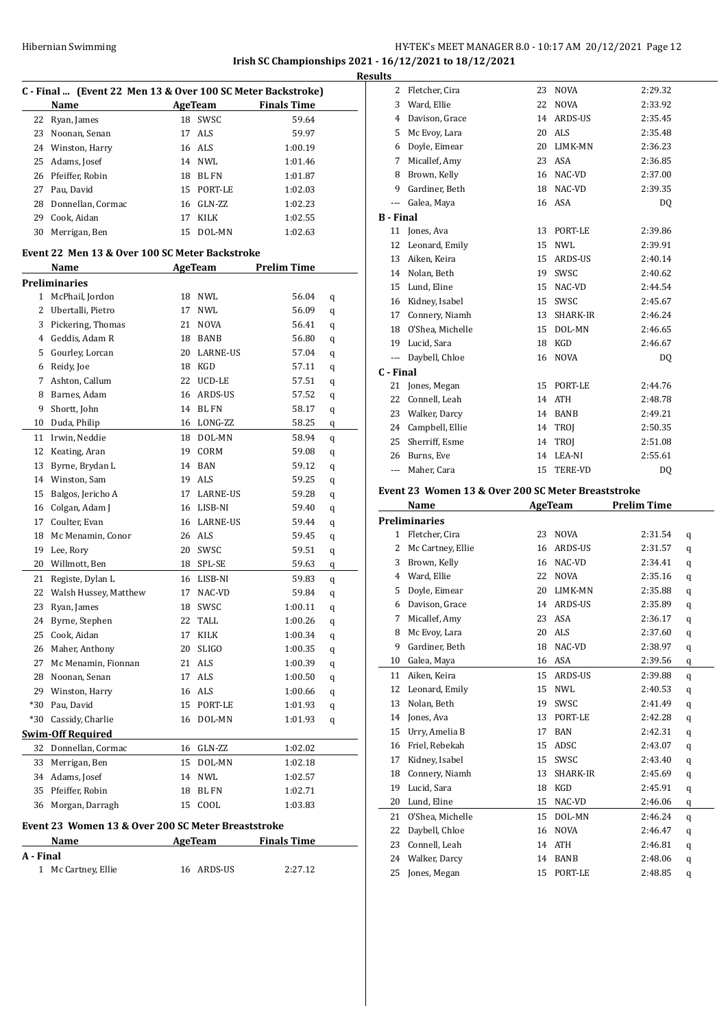# HY-TEK's MEET MANAGER 8.0 - 10:17 AM 20/12/2021 Page 12 **Irish SC Championships 2021 - 16/12/2021 to 18/12/2021 Results**

|           | C - Final  (Event 22 Men 13 & Over 100 SC Meter Backstroke) |    |                 |                    |   |  |  |
|-----------|-------------------------------------------------------------|----|-----------------|--------------------|---|--|--|
|           | Name                                                        |    | AgeTeam         | <b>Finals Time</b> |   |  |  |
| 22        | Ryan, James                                                 | 18 | SWSC            | 59.64              |   |  |  |
| 23        | Noonan, Senan                                               | 17 | ALS             | 59.97              |   |  |  |
|           | 24 Winston, Harry                                           |    | 16 ALS          | 1:00.19            |   |  |  |
| 25        | Adams, Josef                                                |    | 14 NWL          | 1:01.46            |   |  |  |
| 26        | Pfeiffer, Robin                                             |    | 18 BL FN        | 1:01.87            |   |  |  |
| 27        | Pau, David                                                  |    | 15 PORT-LE      | 1:02.03            |   |  |  |
| 28        | Donnellan, Cormac                                           |    | 16 GLN-ZZ       | 1:02.23            |   |  |  |
| 29        | Cook, Aidan                                                 | 17 | KILK            | 1:02.55            |   |  |  |
| 30        | Merrigan, Ben                                               | 15 | DOL-MN          | 1:02.63            |   |  |  |
|           | Event 22 Men 13 & Over 100 SC Meter Backstroke              |    |                 |                    |   |  |  |
|           | Name                                                        |    | AgeTeam         | <b>Prelim Time</b> |   |  |  |
|           | <b>Preliminaries</b>                                        |    |                 |                    |   |  |  |
|           | 1 McPhail, Jordon                                           |    | 18 NWL          | 56.04              | q |  |  |
|           | 2 Ubertalli, Pietro                                         | 17 | NWL             | 56.09              | q |  |  |
| 3         | Pickering, Thomas                                           |    | 21 NOVA         | 56.41              | q |  |  |
|           | 4 Geddis, Adam R                                            |    | 18 BANB         | 56.80              | q |  |  |
| 5         | Gourley, Lorcan                                             |    | 20 LARNE-US     | 57.04              | q |  |  |
| 6         | Reidy, Joe                                                  |    | 18 KGD          | 57.11              | q |  |  |
| 7         | Ashton, Callum                                              |    | 22 UCD-LE       | 57.51              | q |  |  |
| 8         | Barnes, Adam                                                |    | 16 ARDS-US      | 57.52              | q |  |  |
| 9         | Shortt, John                                                |    | 14 BL FN        | 58.17              | q |  |  |
| 10        | Duda, Philip                                                |    | 16 LONG-ZZ      | 58.25              | q |  |  |
| 11        | Irwin, Neddie                                               |    | 18 DOL-MN       | 58.94              | q |  |  |
| 12        | Keating, Aran                                               |    | 19 CORM         | 59.08              | q |  |  |
| 13        | Byrne, Brydan L                                             |    | 14 BAN          | 59.12              | q |  |  |
| 14        | Winston, Sam                                                |    | 19 ALS          | 59.25              | q |  |  |
| 15        | Balgos, Jericho A                                           | 17 | <b>LARNE-US</b> | 59.28              | q |  |  |
| 16        | Colgan, Adam J                                              |    | 16 LISB-NI      | 59.40              | q |  |  |
| 17        | Coulter, Evan                                               |    | 16 LARNE-US     | 59.44              | q |  |  |
| 18        | Mc Menamin, Conor                                           |    | 26 ALS          | 59.45              | q |  |  |
| 19        | Lee, Rory                                                   |    | 20 SWSC         | 59.51              | q |  |  |
| 20        | Willmott, Ben                                               |    | 18 SPL-SE       | 59.63              | q |  |  |
| 21        | Registe, Dylan L                                            |    | 16 LISB-NI      | 59.83              | q |  |  |
| 22        | Walsh Hussey, Matthew                                       | 17 | NAC-VD          | 59.84              | q |  |  |
| 23        | Ryan, James                                                 | 18 | SWSC            | 1:00.11            | q |  |  |
| 24        | Byrne, Stephen                                              | 22 | TALL            | 1:00.26            | q |  |  |
| 25        | Cook, Aidan                                                 | 17 | KILK            | 1:00.34            | q |  |  |
| 26        | Maher, Anthony                                              | 20 | <b>SLIGO</b>    | 1:00.35            | q |  |  |
| 27        | Mc Menamin, Fionnan                                         | 21 | ALS             | 1:00.39            | q |  |  |
| 28        | Noonan, Senan                                               | 17 | ALS             | 1:00.50            | q |  |  |
| 29        | Winston, Harry                                              | 16 | ALS             | 1:00.66            | q |  |  |
| *30       | Pau, David                                                  | 15 | PORT-LE         | 1:01.93            | q |  |  |
| *30       | Cassidy, Charlie                                            | 16 | DOL-MN          | 1:01.93            | q |  |  |
|           | <b>Swim-Off Required</b>                                    |    |                 |                    |   |  |  |
| 32        | Donnellan, Cormac                                           | 16 | GLN-ZZ          | 1:02.02            |   |  |  |
| 33        | Merrigan, Ben                                               | 15 | DOL-MN          | 1:02.18            |   |  |  |
|           | 34 Adams, Josef                                             | 14 | NWL             | 1:02.57            |   |  |  |
| 35        | Pfeiffer, Robin                                             | 18 | BL FN           | 1:02.71            |   |  |  |
| 36        | Morgan, Darragh                                             | 15 | COOL            | 1:03.83            |   |  |  |
|           |                                                             |    |                 |                    |   |  |  |
|           | Event 23 Women 13 & Over 200 SC Meter Breaststroke          |    |                 |                    |   |  |  |
|           | Name                                                        |    | AgeTeam         | <b>Finals Time</b> |   |  |  |
| A - Final |                                                             |    |                 |                    |   |  |  |

| 1 - гшаг |                     |            |         |  |  |  |
|----------|---------------------|------------|---------|--|--|--|
|          | 1 Mc Cartney, Ellie | 16 ARDS-US | 2:27.12 |  |  |  |

| 2                | Fletcher, Cira    | 23 | <b>NOVA</b>    | 2:29.32 |
|------------------|-------------------|----|----------------|---------|
| 3                | Ward, Ellie       | 22 | <b>NOVA</b>    | 2:33.92 |
| 4                | Davison, Grace    | 14 | ARDS-US        | 2:35.45 |
| 5                | Mc Evoy, Lara     | 20 | ALS            | 2:35.48 |
| 6                | Doyle, Eimear     | 20 | LIMK-MN        | 2:36.23 |
| 7                | Micallef, Amy     | 23 | <b>ASA</b>     | 2:36.85 |
| 8                | Brown, Kelly      | 16 | NAC-VD         | 2:37.00 |
| 9                | Gardiner, Beth    | 18 | NAC-VD         | 2:39.35 |
| ---              | Galea, Maya       | 16 | ASA            | DO.     |
| <b>B</b> - Final |                   |    |                |         |
|                  | 11 Jones, Ava     | 13 | PORT-LE        | 2:39.86 |
| 12               | Leonard, Emily    | 15 | NWI.           | 2:39.91 |
| 13               | Aiken, Keira      | 15 | ARDS-US        | 2:40.14 |
|                  | 14 Nolan, Beth    | 19 | SWSC           | 2:40.62 |
| 15               | Lund, Eline       | 15 | NAC-VD         | 2:44.54 |
|                  | 16 Kidney, Isabel | 15 | SWSC           | 2:45.67 |
| 17               | Connery, Niamh    | 13 | SHARK-IR       | 2:46.24 |
| 18               | O'Shea, Michelle  | 15 | DOL-MN         | 2:46.65 |
| 19               | Lucid, Sara       | 18 | KGD            | 2:46.67 |
| ---              | Daybell, Chloe    | 16 | <b>NOVA</b>    | DO.     |
| C - Final        |                   |    |                |         |
| 21               | Jones, Megan      | 15 | PORT-LE        | 2:44.76 |
| 22               | Connell, Leah     | 14 | <b>ATH</b>     | 2:48.78 |
| 23               | Walker, Darcy     | 14 | <b>BANB</b>    | 2:49.21 |
| 24               | Campbell, Ellie   | 14 | <b>TROI</b>    | 2:50.35 |
| 25               | Sherriff, Esme    | 14 | TROJ           | 2:51.08 |
| 26               | Burns. Eve        | 14 | LEA-NI         | 2:55.61 |
| ---              | Maher, Cara       | 15 | <b>TERE-VD</b> | DQ      |
|                  |                   |    |                |         |

#### **Event 23 Women 13 & Over 200 SC Meter Breaststroke**

|              | Name                 |    | AgeTeam        | <b>Prelim Time</b> |   |
|--------------|----------------------|----|----------------|--------------------|---|
|              | <b>Preliminaries</b> |    |                |                    |   |
| $\mathbf{1}$ | Fletcher, Cira       | 23 | <b>NOVA</b>    | 2:31.54            | q |
| 2            | Mc Cartney, Ellie    | 16 | ARDS-US        | 2:31.57            | q |
| 3            | Brown, Kelly         | 16 | NAC-VD         | 2:34.41            | q |
| 4            | Ward, Ellie          | 22 | <b>NOVA</b>    | 2:35.16            | q |
| 5            | Doyle, Eimear        | 20 | LIMK-MN        | 2:35.88            | q |
| 6            | Davison, Grace       | 14 | <b>ARDS-US</b> | 2:35.89            | q |
| 7            | Micallef, Amy        | 23 | ASA            | 2:36.17            | q |
| 8            | Mc Evoy, Lara        | 20 | <b>ALS</b>     | 2:37.60            | q |
| 9            | Gardiner, Beth       | 18 | NAC-VD         | 2:38.97            | q |
| 10           | Galea, Maya          | 16 | <b>ASA</b>     | 2:39.56            | q |
| 11           | Aiken, Keira         | 15 | <b>ARDS-US</b> | 2:39.88            | q |
| 12           | Leonard, Emily       | 15 | NWI.           | 2:40.53            | q |
| 13           | Nolan, Beth          | 19 | SWSC           | 2:41.49            | q |
| 14           | Jones, Ava           | 13 | PORT-LE        | 2:42.28            | q |
| 15           | Urry, Amelia B       | 17 | <b>BAN</b>     | 2:42.31            | q |
| 16           | Friel, Rebekah       | 15 | ADSC           | 2:43.07            | q |
| 17           | Kidney, Isabel       | 15 | SWSC           | 2:43.40            | q |
| 18           | Connery, Niamh       | 13 | SHARK-IR       | 2:45.69            | q |
| 19           | Lucid, Sara          | 18 | <b>KGD</b>     | 2:45.91            | q |
| 20           | Lund, Eline          | 15 | NAC-VD         | 2:46.06            | q |
| 21           | O'Shea, Michelle     | 15 | DOL-MN         | 2:46.24            | q |
| 22           | Daybell, Chloe       | 16 | <b>NOVA</b>    | 2:46.47            | q |
| 23           | Connell, Leah        | 14 | <b>ATH</b>     | 2:46.81            | q |
| 24           | Walker, Darcy        | 14 | <b>BANB</b>    | 2:48.06            | q |
| 25           | Jones, Megan         | 15 | PORT-LE        | 2:48.85            | q |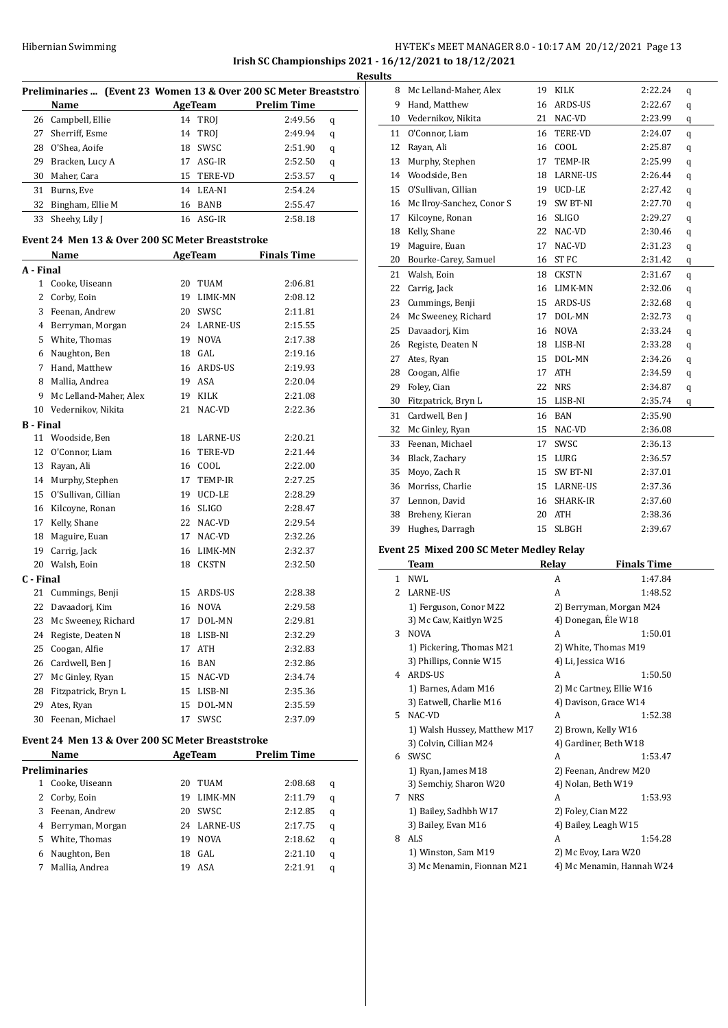# Hibernian Swimming HY-TEK's MEET MANAGER 8.0 - 10:17 AM 20/12/2021 Page 13 **Irish SC Championships 2021 - 16/12/2021 to 18/12/2021**

Preliminaries ... (Event 23 Women 13 & Over 200 SC Meter Breaststrok **Name AgeTeam Prelim Time**  Campbell, Ellie 14 TROJ 2:49.56 q Sherriff, Esme 14 TROJ 2:49.94 q O'Shea, Aoife 18 SWSC 2:51.90 q Bracken, Lucy A 17 ASG-IR 2:52.50 q Maher, Cara 15 TERE-VD 2:53.57 q Burns, Eve 14 LEA-NI 2:54.24 32 Bingham, Ellie M 16 BANB 2:55.47 33 Sheehy, Lily J 16 ASG-IR 2:58.18 **Event 24 Men 13 & Over 200 SC Meter Breaststroke Name Age Team Finals Time A - Final** Cooke, Uiseann 20 TUAM 2:06.81 Corby, Eoin 19 LIMK-MN 2:08.12 Feenan, Andrew 20 SWSC 2:11.81 Berryman, Morgan 24 LARNE-US 2:15.55 White, Thomas 19 NOVA 2:17.38 Naughton, Ben 18 GAL 2:19.16 Hand, Matthew 16 ARDS-US 2:19.93 Mallia, Andrea 19 ASA 2:20.04 Mc Lelland-Maher, Alex 19 KILK 2:21.08 Vedernikov, Nikita 21 NAC-VD 2:22.36 **B - Final** Woodside, Ben 18 LARNE-US 2:20.21 O'Connor, Liam 16 TERE-VD 2:21.44 Rayan, Ali 16 COOL 2:22.00 Murphy, Stephen 17 TEMP-IR 2:27.25 O'Sullivan, Cillian 19 UCD-LE 2:28.29 Kilcoyne, Ronan 16 SLIGO 2:28.47 Kelly, Shane 22 NAC-VD 2:29.54 Maguire, Euan 17 NAC-VD 2:32.26 Carrig, Jack 16 LIMK-MN 2:32.37 Walsh, Eoin 18 CKSTN 2:32.50 **C - Final** 21 Cummings, Benji 15 ARDS-US 2:28.38 Davaadorj, Kim 16 NOVA 2:29.58 23 Mc Sweeney, Richard 17 DOL-MN 2:29.81 Registe, Deaten N 18 LISB-NI 2:32.29 Coogan, Alfie 17 ATH 2:32.83 26 Cardwell, Ben J 16 BAN 2:32.86 Mc Ginley, Ryan 15 NAC-VD 2:34.74 28 Fitzpatrick, Bryn L 15 LISB-NI 2:35.36 Ates, Ryan 15 DOL-MN 2:35.59 Feenan, Michael 17 SWSC 2:37.09

#### **Event 24 Men 13 & Over 200 SC Meter Breaststroke**

|    | Name                 |    | AgeTeam     | <b>Prelim Time</b> |   |  |
|----|----------------------|----|-------------|--------------------|---|--|
|    | <b>Preliminaries</b> |    |             |                    |   |  |
| 1  | Cooke, Uiseann       | 20 | TUAM        | 2:08.68            | q |  |
|    | 2 Corby, Eoin        | 19 | LIMK-MN     | 2:11.79            | q |  |
| 3  | Feenan, Andrew       | 20 | SWSC.       | 2:12.85            | q |  |
| 4  | Berryman, Morgan     | 24 | LARNE-US    | 2:17.75            | q |  |
| 5. | White, Thomas        | 19 | <b>NOVA</b> | 2:18.62            | q |  |
| 6  | Naughton, Ben        | 18 | GAL.        | 2:21.10            | q |  |
|    | Mallia, Andrea       | 19 | ASA         | 2:21.91            | q |  |
|    |                      |    |             |                    |   |  |

|    | <b>Results</b> |                           |    |                 |         |   |  |
|----|----------------|---------------------------|----|-----------------|---------|---|--|
| D. | 8              | Mc Lelland-Maher, Alex    |    | 19 KILK         | 2:22.24 | q |  |
|    | 9              | Hand, Matthew             | 16 | ARDS-US         | 2:22.67 | q |  |
|    | 10             | Vedernikov, Nikita        | 21 | NAC-VD          | 2:23.99 | q |  |
|    | 11             | O'Connor. Liam            | 16 | <b>TERE-VD</b>  | 2:24.07 | q |  |
|    | 12             | Rayan, Ali                | 16 | COOL            | 2:25.87 | q |  |
|    | 13             | Murphy, Stephen           | 17 | <b>TEMP-IR</b>  | 2:25.99 | q |  |
|    | 14             | Woodside, Ben             | 18 | <b>LARNE-US</b> | 2:26.44 | q |  |
|    | 15             | O'Sullivan, Cillian       | 19 | UCD-LE          | 2:27.42 | q |  |
|    | 16             | Mc Ilroy-Sanchez, Conor S | 19 | SW BT-NI        | 2:27.70 | q |  |
|    | 17             | Kilcoyne, Ronan           | 16 | <b>SLIGO</b>    | 2:29.27 | q |  |
|    | 18             | Kelly, Shane              | 22 | NAC-VD          | 2:30.46 | q |  |
|    | 19             | Maguire, Euan             | 17 | NAC-VD          | 2:31.23 | q |  |
|    | 20             | Bourke-Carey, Samuel      | 16 | <b>ST FC</b>    | 2:31.42 | q |  |
|    | 21             | Walsh, Eoin               | 18 | <b>CKSTN</b>    | 2:31.67 | q |  |
|    | 22             | Carrig, Jack              | 16 | LIMK-MN         | 2:32.06 | q |  |
|    | 23             | Cummings, Benji           | 15 | ARDS-US         | 2:32.68 | q |  |
|    | 24             | Mc Sweeney, Richard       | 17 | DOL-MN          | 2:32.73 | q |  |
|    | 25             | Davaadorj, Kim            | 16 | <b>NOVA</b>     | 2:33.24 | q |  |
|    | 26             | Registe, Deaten N         | 18 | LISB-NI         | 2:33.28 | q |  |
|    | 27             | Ates, Ryan                | 15 | DOL-MN          | 2:34.26 | q |  |
|    | 28             | Coogan, Alfie             | 17 | <b>ATH</b>      | 2:34.59 | q |  |
|    | 29             | Foley, Cian               | 22 | <b>NRS</b>      | 2:34.87 | q |  |
|    | 30             | Fitzpatrick, Bryn L       | 15 | LISB-NI         | 2:35.74 | q |  |
|    | 31             | Cardwell, Ben J           | 16 | <b>BAN</b>      | 2:35.90 |   |  |
|    | 32             | Mc Ginley, Ryan           | 15 | NAC-VD          | 2:36.08 |   |  |
|    | 33             | Feenan, Michael           | 17 | SWSC            | 2:36.13 |   |  |
|    | 34             | Black, Zachary            | 15 | LURG            | 2:36.57 |   |  |
|    | 35             | Moyo, Zach R              | 15 | <b>SW BT-NI</b> | 2:37.01 |   |  |
|    | 36             | Morriss, Charlie          | 15 | <b>LARNE-US</b> | 2:37.36 |   |  |
|    | 37             | Lennon, David             | 16 | SHARK-IR        | 2:37.60 |   |  |
|    | 38             | Breheny, Kieran           | 20 | <b>ATH</b>      | 2:38.36 |   |  |
|    | 39             | Hughes, Darragh           | 15 | <b>SLBGH</b>    | 2:39.67 |   |  |

#### **Event 25 Mixed 200 SC Meter Medley Relay**

|    | Team                         | Relay              | <b>Finals Time</b>        |
|----|------------------------------|--------------------|---------------------------|
| 1  | <b>NWL</b>                   | A                  | 1:47.84                   |
| 2  | <b>LARNE-US</b>              | A                  | 1:48.52                   |
|    | 1) Ferguson, Conor M22       |                    | 2) Berryman, Morgan M24   |
|    | 3) Mc Caw, Kaitlyn W25       |                    | 4) Donegan, Éle W18       |
| 3  | <b>NOVA</b>                  | A                  | 1:50.01                   |
|    | 1) Pickering, Thomas M21     |                    | 2) White, Thomas M19      |
|    | 3) Phillips, Connie W15      | 4) Li, Jessica W16 |                           |
| 4  | ARDS-US                      | A                  | 1:50.50                   |
|    | 1) Barnes, Adam M16          |                    | 2) Mc Cartney, Ellie W16  |
|    | 3) Eatwell, Charlie M16      |                    | 4) Davison, Grace W14     |
| 5. | NAC-VD                       | A                  | 1:52.38                   |
|    | 1) Walsh Hussey, Matthew M17 |                    | 2) Brown, Kelly W16       |
|    | 3) Colvin, Cillian M24       |                    | 4) Gardiner, Beth W18     |
| 6  | <b>SWSC</b>                  | A                  | 1:53.47                   |
|    | 1) Ryan, James M18           |                    | 2) Feenan, Andrew M20     |
|    | 3) Semchiy, Sharon W20       |                    | 4) Nolan, Beth W19        |
| 7  | <b>NRS</b>                   | A                  | 1:53.93                   |
|    | 1) Bailey, Sadhbh W17        |                    | 2) Foley, Cian M22        |
|    | 3) Bailey, Evan M16          |                    | 4) Bailey, Leagh W15      |
| 8  | ALS.                         | A                  | 1:54.28                   |
|    | 1) Winston, Sam M19          |                    | 2) Mc Evoy, Lara W20      |
|    | 3) Mc Menamin, Fionnan M21   |                    | 4) Mc Menamin, Hannah W24 |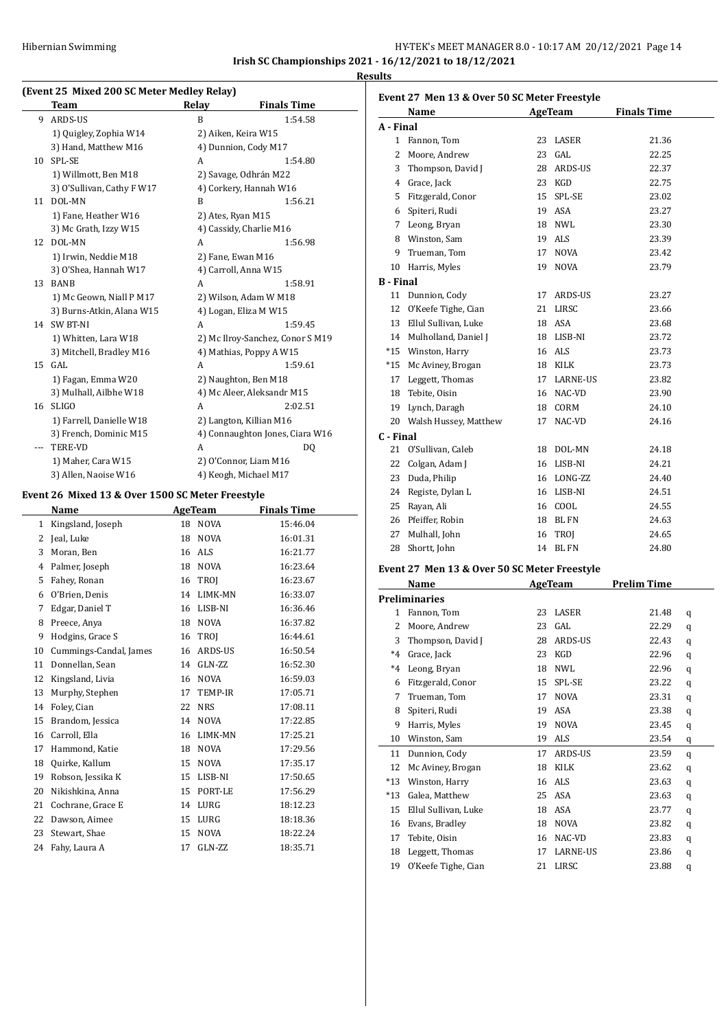# HY-TEK's MEET MANAGER 8.0 - 10:17 AM 20/12/2021 Page 14 **Irish SC Championships 2021 - 16/12/2021 to 18/12/2021**

**Results**

J.

 $\overline{a}$ 

# **(Event 25 Mixed 200 SC Meter Medley Relay)**

|    | Team                       | Relay | <b>Finals Time</b>               |
|----|----------------------------|-------|----------------------------------|
| 9  | ARDS-US                    | B     | 1:54.58                          |
|    | 1) Quigley, Zophia W14     |       | 2) Aiken, Keira W15              |
|    | 3) Hand, Matthew M16       |       | 4) Dunnion, Cody M17             |
| 10 | SPL-SE                     | A     | 1:54.80                          |
|    | 1) Willmott, Ben M18       |       | 2) Savage, Odhrán M22            |
|    | 3) O'Sullivan, Cathy F W17 |       | 4) Corkery, Hannah W16           |
| 11 | DOL-MN                     | B     | 1:56.21                          |
|    | 1) Fane, Heather W16       |       | 2) Ates, Ryan M15                |
|    | 3) Mc Grath, Izzy W15      |       | 4) Cassidy, Charlie M16          |
| 12 | DOL-MN                     | A     | 1:56.98                          |
|    | 1) Irwin, Neddie M18       |       | 2) Fane, Ewan M16                |
|    | 3) O'Shea, Hannah W17      |       | 4) Carroll, Anna W15             |
| 13 | <b>BANB</b>                | A     | 1:58.91                          |
|    | 1) Mc Geown, Niall P M17   |       | 2) Wilson, Adam W M18            |
|    | 3) Burns-Atkin, Alana W15  |       | 4) Logan, Eliza M W15            |
| 14 | <b>SW BT-NI</b>            | A     | 1:59.45                          |
|    | 1) Whitten, Lara W18       |       | 2) Mc Ilroy-Sanchez, Conor S M19 |
|    | 3) Mitchell, Bradley M16   |       | 4) Mathias, Poppy A W15          |
| 15 | GAL.                       | A     | 1:59.61                          |
|    | 1) Fagan, Emma W20         |       | 2) Naughton, Ben M18             |
|    | 3) Mulhall, Ailbhe W18     |       | 4) Mc Aleer, Aleksandr M15       |
| 16 | <b>SLIGO</b>               | A     | 2:02.51                          |
|    | 1) Farrell, Danielle W18   |       | 2) Langton, Killian M16          |
|    | 3) French, Dominic M15     |       | 4) Connaughton Jones, Ciara W16  |
|    | <b>TERE-VD</b>             | A     | DQ                               |
|    | 1) Maher, Cara W15         |       | 2) O'Connor, Liam M16            |
|    | 3) Allen, Naoise W16       |       | 4) Keogh, Michael M17            |

# **Event 26 Mixed 13 & Over 1500 SC Meter Freestyle**

|    | Name                   |    | AgeTeam     | <b>Finals Time</b> |
|----|------------------------|----|-------------|--------------------|
| 1  | Kingsland, Joseph      | 18 | <b>NOVA</b> | 15:46.04           |
| 2  | Jeal, Luke             | 18 | <b>NOVA</b> | 16:01.31           |
| 3  | Moran, Ben             | 16 | <b>ALS</b>  | 16:21.77           |
| 4  | Palmer, Joseph         | 18 | <b>NOVA</b> | 16:23.64           |
| 5  | Fahey, Ronan           | 16 | <b>TROI</b> | 16:23.67           |
| 6  | O'Brien, Denis         | 14 | LIMK-MN     | 16:33.07           |
| 7  | Edgar, Daniel T        | 16 | LISB-NI     | 16:36.46           |
| 8  | Preece, Anya           | 18 | <b>NOVA</b> | 16:37.82           |
| 9  | Hodgins, Grace S       | 16 | <b>TROI</b> | 16:44.61           |
| 10 | Cummings-Candal, James | 16 | ARDS-US     | 16:50.54           |
| 11 | Donnellan, Sean        | 14 | GLN-ZZ      | 16:52.30           |
| 12 | Kingsland, Livia       | 16 | <b>NOVA</b> | 16:59.03           |
| 13 | Murphy, Stephen        | 17 | TEMP-IR     | 17:05.71           |
| 14 | Foley, Cian            | 22 | <b>NRS</b>  | 17:08.11           |
| 15 | Brandom, Jessica       | 14 | NOVA        | 17:22.85           |
| 16 | Carroll, Ella          | 16 | LIMK-MN     | 17:25.21           |
| 17 | Hammond, Katie         | 18 | <b>NOVA</b> | 17:29.56           |
| 18 | Quirke, Kallum         | 15 | NOVA        | 17:35.17           |
| 19 | Robson, Jessika K      | 15 | LISB-NI     | 17:50.65           |
| 20 | Nikishkina, Anna       | 15 | PORT-LE     | 17:56.29           |
| 21 | Cochrane, Grace E      | 14 | LURG        | 18:12.23           |
| 22 | Dawson, Aimee          | 15 | <b>LURG</b> | 18:18.36           |
| 23 | Stewart, Shae          | 15 | <b>NOVA</b> | 18:22.24           |
| 24 | Fahy, Laura A          | 17 | GLN-ZZ      | 18:35.71           |

### **Event 27 Men 13 & Over 50 SC Meter Freestyle**

|                  | Name                     |    | <b>AgeTeam</b> | <b>Finals Time</b> |
|------------------|--------------------------|----|----------------|--------------------|
| A - Final        |                          |    |                |                    |
| 1                | Fannon, Tom              | 23 | LASER          | 21.36              |
| 2                | Moore, Andrew            | 23 | GAL            | 22.25              |
| 3                | Thompson, David J        | 28 | ARDS-US        | 22.37              |
| 4                | Grace, Jack              | 23 | KGD            | 22.75              |
| 5                | Fitzgerald, Conor        | 15 | SPL-SE         | 23.02              |
| 6                | Spiteri, Rudi            | 19 | ASA            | 23.27              |
| 7                | Leong, Bryan             | 18 | <b>NWL</b>     | 23.30              |
| 8                | Winston, Sam             | 19 | ALS            | 23.39              |
| 9                | Trueman, Tom             | 17 | <b>NOVA</b>    | 23.42              |
| 10               | Harris, Myles            | 19 | <b>NOVA</b>    | 23.79              |
| <b>B</b> - Final |                          |    |                |                    |
| 11               | Dunnion, Cody            | 17 | ARDS-US        | 23.27              |
| 12               | O'Keefe Tighe, Cian      | 21 | LIRSC          | 23.66              |
| 13               | Ellul Sullivan, Luke     | 18 | <b>ASA</b>     | 23.68              |
|                  | 14 Mulholland, Daniel J  | 18 | LISB-NI        | 23.72              |
| $*15$            | Winston, Harry           | 16 | <b>ALS</b>     | 23.73              |
| $*15$            | Mc Aviney, Brogan        | 18 | KILK           | 23.73              |
| 17               | Leggett, Thomas          | 17 | LARNE-US       | 23.82              |
| 18               | Tebite, Oisin            | 16 | NAC-VD         | 23.90              |
| 19               | Lynch, Daragh            | 18 | CORM           | 24.10              |
|                  | 20 Walsh Hussey, Matthew | 17 | NAC-VD         | 24.16              |
| C - Final        |                          |    |                |                    |
| 21               | O'Sullivan, Caleb        | 18 | DOL-MN         | 24.18              |
| 22               | Colgan, Adam J           | 16 | LISB-NI        | 24.21              |
| 23               | Duda, Philip             | 16 | LONG-ZZ        | 24.40              |
| 24               | Registe, Dylan L         | 16 | LISB-NI        | 24.51              |
| 25               | Rayan, Ali               | 16 | COOL           | 24.55              |
| 26               | Pfeiffer, Robin          | 18 | <b>BLFN</b>    | 24.63              |
| 27               | Mulhall, John            | 16 | TROJ           | 24.65              |
| 28               | Shortt, John             | 14 | <b>BLFN</b>    | 24.80              |

#### **Event 27 Men 13 & Over 50 SC Meter Freestyle**

|               | <b>Name</b>          |    | <b>AgeTeam</b> | <b>Prelim Time</b> |   |
|---------------|----------------------|----|----------------|--------------------|---|
| Preliminaries |                      |    |                |                    |   |
| 1             | Fannon, Tom          | 23 | LASER          | 21.48              | q |
| 2             | Moore, Andrew        | 23 | GAL            | 22.29              | q |
| 3             | Thompson, David J    | 28 | ARDS-US        | 22.43              | q |
| $*4$          | Grace, Jack          | 23 | KGD            | 22.96              | q |
| $*4$          | Leong, Bryan         | 18 | <b>NWL</b>     | 22.96              | q |
| 6             | Fitzgerald, Conor    | 15 | SPL-SE         | 23.22              | q |
| 7             | Trueman, Tom         | 17 | <b>NOVA</b>    | 23.31              | q |
| 8             | Spiteri, Rudi        | 19 | ASA            | 23.38              | q |
| 9             | Harris, Myles        | 19 | <b>NOVA</b>    | 23.45              | q |
| 10            | Winston, Sam         | 19 | ALS            | 23.54              | q |
| 11            | Dunnion, Cody        | 17 | ARDS-US        | 23.59              | q |
| 12            | Mc Aviney, Brogan    | 18 | KILK           | 23.62              | q |
| $*13$         | Winston, Harry       | 16 | ALS            | 23.63              | q |
| $*13$         | Galea, Matthew       | 25 | ASA            | 23.63              | q |
| 15            | Ellul Sullivan, Luke | 18 | ASA            | 23.77              | q |
| 16            | Evans, Bradley       | 18 | <b>NOVA</b>    | 23.82              | q |
| 17            | Tebite, Oisin        | 16 | NAC-VD         | 23.83              | q |
| 18            | Leggett, Thomas      | 17 | LARNE-US       | 23.86              | q |
| 19            | O'Keefe Tighe, Cian  | 21 | LIRSC          | 23.88              | q |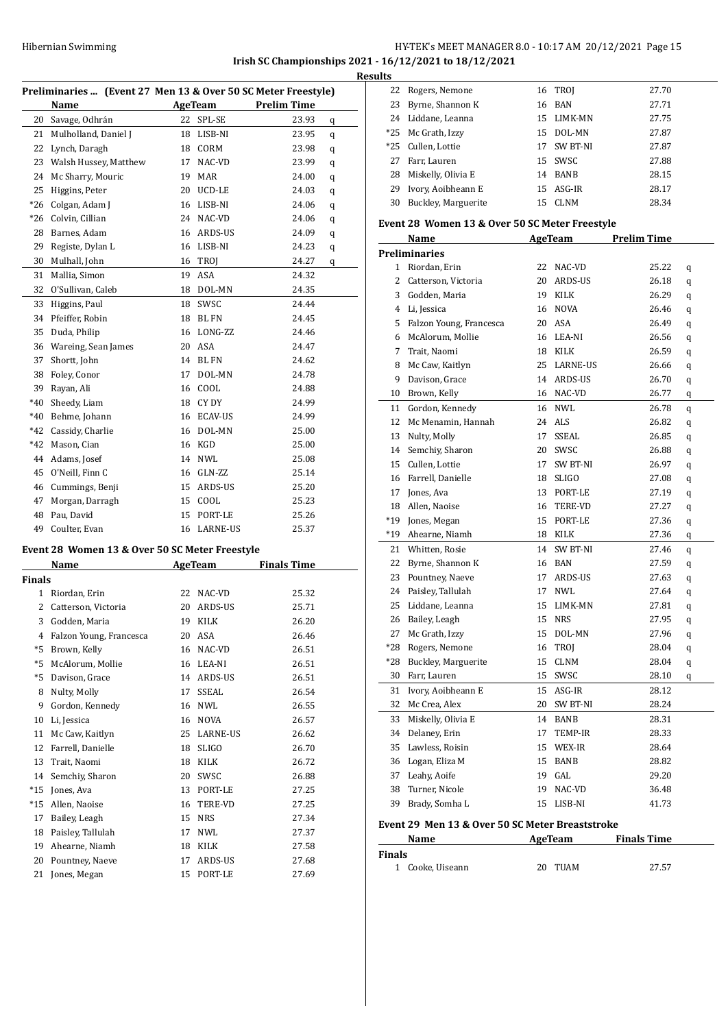### HY-TEK's MEET MANAGER 8.0 - 10:17 AM 20/12/2021 Page 15 **Irish SC Championships 2021 - 16/12/2021 to 18/12/2021 Results**

| Preliminaries  (Event 27 Men 13 & Over 50 SC Meter Freestyle) |                                                |    |              |                    |   |
|---------------------------------------------------------------|------------------------------------------------|----|--------------|--------------------|---|
|                                                               | Name                                           |    | AgeTeam      | <b>Prelim Time</b> |   |
| 20                                                            | Savage, Odhrán                                 | 22 | SPL-SE       | 23.93              | q |
| 21                                                            | Mulholland, Daniel J                           | 18 | LISB-NI      | 23.95              | q |
| 22                                                            | Lynch, Daragh                                  | 18 | CORM         | 23.98              | q |
| 23                                                            | Walsh Hussey, Matthew                          | 17 | NAC-VD       | 23.99              | q |
| 24                                                            | Mc Sharry, Mouric                              | 19 | MAR          | 24.00              | q |
| 25                                                            | Higgins, Peter                                 | 20 | UCD-LE       | 24.03              | q |
| $*26$                                                         | Colgan, Adam J                                 | 16 | LISB-NI      | 24.06              | q |
| $*26$                                                         | Colvin, Cillian                                | 24 | NAC-VD       | 24.06              | q |
| 28                                                            | Barnes, Adam                                   | 16 | ARDS-US      | 24.09              | q |
| 29                                                            | Registe, Dylan L                               | 16 | LISB-NI      | 24.23              | q |
| 30                                                            | Mulhall, John                                  | 16 | TROJ         | 24.27              | q |
| 31                                                            | Mallia, Simon                                  | 19 | ASA          | 24.32              |   |
| 32                                                            | O'Sullivan, Caleb                              | 18 | DOL-MN       | 24.35              |   |
| 33                                                            | Higgins, Paul                                  | 18 | SWSC         | 24.44              |   |
| 34                                                            | Pfeiffer, Robin                                | 18 | <b>BL FN</b> | 24.45              |   |
| 35                                                            | Duda, Philip                                   | 16 | LONG-ZZ      | 24.46              |   |
| 36                                                            | Wareing, Sean James                            | 20 | ASA          | 24.47              |   |
| 37                                                            | Shortt, John                                   | 14 | <b>BL FN</b> | 24.62              |   |
| 38                                                            | Foley, Conor                                   | 17 | DOL-MN       | 24.78              |   |
| 39                                                            | Rayan, Ali                                     | 16 | COOL         | 24.88              |   |
| $*40$                                                         | Sheedy, Liam                                   | 18 | CY DY        | 24.99              |   |
| $*40$                                                         | Behme, Johann                                  | 16 | ECAV-US      | 24.99              |   |
| $*42$                                                         | Cassidy, Charlie                               | 16 | DOL-MN       | 25.00              |   |
| $*42$                                                         | Mason, Cian                                    | 16 | KGD          | 25.00              |   |
| 44                                                            | Adams, Josef                                   | 14 | <b>NWL</b>   | 25.08              |   |
| 45                                                            | O'Neill, Finn C                                | 16 | GLN-ZZ       | 25.14              |   |
| 46                                                            | Cummings, Benji                                | 15 | ARDS-US      | 25.20              |   |
| 47                                                            | Morgan, Darragh                                | 15 | COOL         | 25.23              |   |
| 48                                                            | Pau, David                                     | 15 | PORT-LE      | 25.26              |   |
| 49                                                            | Coulter, Evan                                  | 16 | LARNE-US     | 25.37              |   |
|                                                               | Event 28 Women 13 & Over 50 SC Meter Freestyle |    |              |                    |   |

|               | Name                    |    | <b>AgeTeam</b>  | <b>Finals Time</b> |
|---------------|-------------------------|----|-----------------|--------------------|
| <b>Finals</b> |                         |    |                 |                    |
| $\mathbf{1}$  | Riordan, Erin           | 22 | NAC-VD          | 25.32              |
| 2             | Catterson, Victoria     | 20 | ARDS-US         | 25.71              |
| 3             | Godden, Maria           | 19 | <b>KILK</b>     | 26.20              |
| 4             | Falzon Young, Francesca | 20 | ASA             | 26.46              |
| $*5$          | Brown, Kelly            | 16 | NAC-VD          | 26.51              |
| $*5$          | McAlorum, Mollie        | 16 | LEA-NI          | 26.51              |
| $*5$          | Davison, Grace          | 14 | ARDS-US         | 26.51              |
| 8             | Nulty, Molly            | 17 | <b>SSEAL</b>    | 26.54              |
| 9             | Gordon, Kennedy         | 16 | <b>NWL</b>      | 26.55              |
| 10            | Li, Jessica             | 16 | <b>NOVA</b>     | 26.57              |
| 11            | Mc Caw, Kaitlyn         | 25 | <b>LARNE-US</b> | 26.62              |
| 12            | Farrell, Danielle       | 18 | <b>SLIGO</b>    | 26.70              |
| 13            | Trait, Naomi            | 18 | KILK            | 26.72              |
| 14            | Semchiy, Sharon         | 20 | <b>SWSC</b>     | 26.88              |
| $*15$         | Jones, Ava              | 13 | PORT-LE         | 27.25              |
| $*15$         | Allen, Naoise           | 16 | <b>TERE-VD</b>  | 27.25              |
| 17            | Bailey, Leagh           | 15 | <b>NRS</b>      | 27.34              |
| 18            | Paisley, Tallulah       | 17 | <b>NWL</b>      | 27.37              |
| 19            | Ahearne, Niamh          | 18 | <b>KILK</b>     | 27.58              |
| 20            | Pountney, Naeve         | 17 | ARDS-US         | 27.68              |
| 21            | Jones, Megan            | 15 | PORT-LE         | 27.69              |

| LS. |                       |    |             |       |
|-----|-----------------------|----|-------------|-------|
|     | 22 Rogers, Nemone     |    | 16 TROI     | 27.70 |
|     | 23 Byrne, Shannon K   |    | 16 BAN      | 27.71 |
|     | 24 Liddane, Leanna    |    | 15 LIMK-MN  | 27.75 |
|     | *25 Mc Grath, Izzy    |    | 15 DOL-MN   | 27.87 |
|     | *25 Cullen, Lottie    | 17 | SW BT-NI    | 27.87 |
| 27  | Farr, Lauren          |    | 15 SWSC     | 27.88 |
|     | 28 Miskelly, Olivia E |    | 14 BANB     | 28.15 |
| 29  | Ivory, Aoibheann E    |    | 15 ASG-IR   | 28.17 |
| 30  | Buckley, Marguerite   | 15 | <b>CLNM</b> | 28.34 |

#### **Event 28 Women 13 & Over 50 SC Meter Freestyle**

|                | Name                    | AgeTeam |             | <b>Prelim Time</b> |   |
|----------------|-------------------------|---------|-------------|--------------------|---|
|                | <b>Preliminaries</b>    |         |             |                    |   |
| $\mathbf{1}$   | Riordan, Erin           | 22      | NAC-VD      | 25.22              | q |
| $\overline{c}$ | Catterson, Victoria     | 20      | ARDS-US     | 26.18              | q |
| 3              | Godden, Maria           |         | 19 KILK     | 26.29              | q |
| $\overline{4}$ | Li, Jessica             |         | 16 NOVA     | 26.46              | q |
| 5              | Falzon Young, Francesca |         | 20 ASA      | 26.49              | q |
| 6              | McAlorum, Mollie        |         | 16 LEA-NI   | 26.56              | q |
| 7              | Trait, Naomi            |         | 18 KILK     | 26.59              | q |
| 8              | Mc Caw, Kaitlyn         |         | 25 LARNE-US | 26.66              | q |
| 9              | Davison, Grace          |         | 14 ARDS-US  | 26.70              | q |
| 10             | Brown, Kelly            |         | 16 NAC-VD   | 26.77              | q |
| 11             | Gordon, Kennedy         |         | 16 NWL      | 26.78              | q |
| 12             | Mc Menamin, Hannah      |         | 24 ALS      | 26.82              | q |
| 13             | Nulty, Molly            | 17      | SSEAL       | 26.85              | q |
| 14             | Semchiy, Sharon         |         | 20 SWSC     | 26.88              | q |
| 15             | Cullen, Lottie          |         | 17 SW BT-NI | 26.97              | q |
| 16             | Farrell, Danielle       |         | 18 SLIGO    | 27.08              | q |
| 17             | Jones, Ava              | 13      | PORT-LE     | 27.19              | q |
| 18             | Allen, Naoise           |         | 16 TERE-VD  | 27.27              | q |
| *19            | Jones, Megan            |         | 15 PORT-LE  | 27.36              | q |
| *19            | Ahearne, Niamh          |         | 18 KILK     | 27.36              | q |
| 21             | Whitten, Rosie          |         | 14 SW BT-NI | 27.46              | q |
| 22             | Byrne, Shannon K        |         | 16 BAN      | 27.59              | q |
| 23             | Pountney, Naeve         |         | 17 ARDS-US  | 27.63              | q |
| 24             | Paisley, Tallulah       | 17      | <b>NWL</b>  | 27.64              | q |
| 25             | Liddane, Leanna         |         | 15 LIMK-MN  | 27.81              | q |
| 26             | Bailey, Leagh           | 15      | NRS         | 27.95              | q |
| 27             | Mc Grath, Izzy          |         | 15 DOL-MN   | 27.96              | q |
| *28            | Rogers, Nemone          | 16      | TROJ        | 28.04              | q |
| $*28$          | Buckley, Marguerite     | 15      | CLNM        | 28.04              | q |
| 30             | Farr, Lauren            | 15      | SWSC        | 28.10              | q |
| 31             | Ivory, Aoibheann E      | 15      | ASG-IR      | 28.12              |   |
| 32             | Mc Crea, Alex           |         | 20 SW BT-NI | 28.24              |   |
| 33             | Miskelly, Olivia E      |         | 14 BANB     | 28.31              |   |
| 34             | Delaney, Erin           | 17      | TEMP-IR     | 28.33              |   |
| 35             | Lawless, Roisin         |         | 15 WEX-IR   | 28.64              |   |
| 36             | Logan, Eliza M          | 15      | BANB        | 28.82              |   |
| 37             | Leahy, Aoife            | 19      | GAL         | 29.20              |   |
| 38             | Turner, Nicole          | 19      | NAC-VD      | 36.48              |   |
| 39             | Brady, Somha L          | 15      | LISB-NI     | 41.73              |   |
|                |                         |         |             |                    |   |

# **Event 29 Men 13 & Over 50 SC Meter Breaststroke**

| Name             | AgeTeam     | <b>Finals Time</b> |  |
|------------------|-------------|--------------------|--|
| <b>Finals</b>    |             |                    |  |
| 1 Cooke, Uiseann | TUAM<br>20. | 27.57              |  |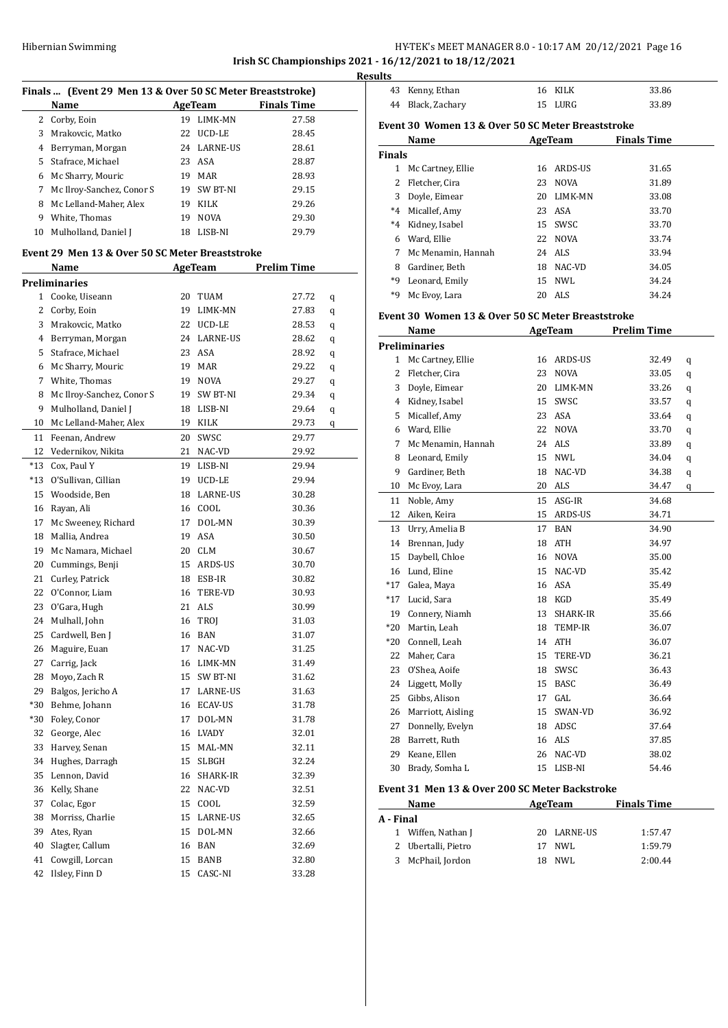#### Hibernian Swimming HY-TEK's MEET MANAGER 8.0 - 10:17 AM 20/12/2021 Page 16 **Irish SC Championships 2021 - 16/12/2021 to 18/12/2021**

**Finals ... (Event 29 Men 13 & Over 50 SC Meter Breaststroke) Name AgeTeam Finals Time** 2 Corby, Eoin 19 LIMK-MN 27.58 3 Mrakovcic, Matko 22 UCD-LE 28.45 4 Berryman, Morgan 24 LARNE-US 28.61 5 Stafrace, Michael 23 ASA 28.87 6 Mc Sharry, Mouric 19 MAR 28.93 7 Mc Ilroy-Sanchez, Conor S 19 SW BT-NI 29.15 8 Mc Lelland-Maher, Alex 19 KILK 29.26 9 White, Thomas 19 NOVA 29.30 10 Mulholland, Daniel J 18 LISB-NI 29.79 **Event 29 Men 13 & Over 50 SC Meter Breaststroke Name AgeTeam Prelim Time Preliminaries** 1 Cooke, Uiseann 20 TUAM 27.72 q 2 Corby, Eoin 19 LIMK-MN 27.83 q 3 Mrakovcic, Matko 22 UCD-LE 28.53 q 4 Berryman, Morgan 24 LARNE-US 28.62 q 5 Stafrace, Michael 23 ASA 28.92 q 6 Mc Sharry, Mouric 19 MAR 29.22 q 7 White, Thomas 19 NOVA 29.27 q 8 Mc Ilroy-Sanchez, Conor S 19 SW BT-NI 29.34 q 9 Mulholland, Daniel J 18 LISB-NI 29.64 q 10 Mc Lelland-Maher, Alex 19 KILK 29.73 q 11 Feenan, Andrew 20 SWSC 29.77 12 Vedernikov, Nikita 21 NAC-VD 29.92 \*13 Cox, Paul Y 19 LISB-NI 29.94 \*13 O'Sullivan, Cillian 19 UCD-LE 29.94 15 Woodside, Ben 18 LARNE-US 30.28 16 Rayan, Ali 16 COOL 30.36 17 Mc Sweeney, Richard 17 DOL-MN 30.39 18 Mallia, Andrea 19 ASA 30.50 19 Mc Namara, Michael 20 CLM 30.67 20 Cummings, Benji 15 ARDS-US 30.70 21 Curley, Patrick 18 ESB-IR 30.82 22 O'Connor, Liam 16 TERE-VD 30.93 23 O'Gara, Hugh 21 ALS 30.99 24 Mulhall, John 16 TROJ 31.03 25 Cardwell, Ben J 16 BAN 31.07 26 Maguire, Euan 17 NAC-VD 31.25 27 Carrig, Jack 16 LIMK-MN 31.49 28 Moyo, Zach R 15 SW BT-NI 31.62 29 Balgos, Jericho A 17 LARNE-US 31.63 \*30 Behme, Johann 16 ECAV-US 31.78 \*30 Foley, Conor 17 DOL-MN 31.78 32 George, Alec 16 LVADY 32.01 33 Harvey, Senan 15 MAL-MN 32.11 34 Hughes, Darragh 15 SLBGH 32.24 35 Lennon, David 16 SHARK-IR 32.39 36 Kelly, Shane 22 NAC-VD 32.51 37 Colac, Egor 15 COOL 32.59 38 Morriss, Charlie 15 LARNE-US 32.65 39 Ates, Ryan 15 DOL-MN 32.66 40 Slagter, Callum 16 BAN 32.69 41 Cowgill, Lorcan 15 BANB 32.80 42 Ilsley, Finn D 15 CASC-NI 33.28

|               | 43 Kenny, Ethan                                   |    | 16 KILK             | 33.86              |   |
|---------------|---------------------------------------------------|----|---------------------|--------------------|---|
|               | 44 Black, Zachary                                 |    | 15 LURG             | 33.89              |   |
|               | Event 30 Women 13 & Over 50 SC Meter Breaststroke |    |                     |                    |   |
|               | Name                                              |    | <b>AgeTeam</b>      | <b>Finals Time</b> |   |
| <b>Finals</b> |                                                   |    |                     |                    |   |
|               | 1 Mc Cartney, Ellie                               |    | 16 ARDS-US          | 31.65              |   |
|               | 2 Fletcher, Cira                                  | 23 | <b>NOVA</b>         | 31.89              |   |
|               | 3 Doyle, Eimear                                   |    | 20 LIMK-MN          | 33.08              |   |
|               | *4 Micallef, Amy                                  |    | 23 ASA              | 33.70              |   |
|               | *4 Kidney, Isabel                                 |    | 15 SWSC             | 33.70              |   |
|               | 6 Ward, Ellie                                     |    | 22 NOVA             | 33.74              |   |
|               |                                                   |    | 24 ALS              | 33.94              |   |
|               | 7 Mc Menamin, Hannah                              |    |                     |                    |   |
|               | 8 Gardiner, Beth                                  |    | 18 NAC-VD<br>15 NWL | 34.05              |   |
|               | *9 Leonard, Emily                                 |    |                     | 34.24              |   |
|               | *9 Mc Evoy, Lara                                  |    | 20 ALS              | 34.24              |   |
|               | Event 30 Women 13 & Over 50 SC Meter Breaststroke |    |                     |                    |   |
|               | Name                                              |    | AgeTeam             | <b>Prelim Time</b> |   |
|               | <b>Preliminaries</b>                              |    |                     |                    |   |
|               | 1 Mc Cartney, Ellie                               |    | 16 ARDS-US          | 32.49              | q |
|               | 2 Fletcher, Cira                                  |    | 23 NOVA             | 33.05              | q |
|               | 3 Doyle, Eimear                                   |    | 20 LIMK-MN          | 33.26              | q |
|               | 4 Kidney, Isabel                                  |    | 15 SWSC             | 33.57              | q |
|               | 5 Micallef, Amy                                   |    | 23 ASA              | 33.64              | q |
|               | 6 Ward, Ellie                                     |    | 22 NOVA             | 33.70              | q |
|               | 7 Mc Menamin, Hannah                              |    | 24 ALS              | 33.89              | q |
|               | 8 Leonard, Emily                                  |    | 15 NWL              | 34.04              | q |
|               | 9 Gardiner, Beth                                  |    | 18 NAC-VD           | 34.38              | q |
|               | 10 Mc Evoy, Lara                                  |    | 20 ALS              | 34.47              | q |
|               | 11 Noble, Amy                                     |    | 15 ASG-IR           | 34.68              |   |
|               | 12 Aiken, Keira                                   |    | 15 ARDS-US          | 34.71              |   |
|               | 13 Urry, Amelia B                                 |    | 17 BAN              | 34.90              |   |
|               | 14 Brennan, Judy                                  |    | 18 ATH              | 34.97              |   |
|               | 15 Daybell, Chloe                                 |    | 16 NOVA             | 35.00              |   |
|               | 16 Lund, Eline                                    |    | 15 NAC-VD           | 35.42              |   |
|               | *17 Galea, Maya                                   |    | 16 ASA              | 35.49              |   |
|               | *17 Lucid, Sara                                   |    | 18 KGD              | 35.49              |   |
| 19            | Connery, Niamh                                    | 13 | SHARK-IR            | 35.66              |   |
| *20           | Martin, Leah                                      |    | 18 TEMP-IR          | 36.07              |   |
|               | *20 Connell, Leah                                 |    | 14 ATH              | 36.07              |   |
|               | 22 Maher, Cara                                    | 15 | TERE-VD             | 36.21              |   |
|               | 23 O'Shea, Aoife                                  |    | 18 SWSC             | 36.43              |   |
|               | 24 Liggett, Molly                                 |    | 15 BASC             | 36.49              |   |
|               | 25 Gibbs, Alison                                  |    | 17 GAL              | 36.64              |   |
|               | 26 Marriott, Aisling                              | 15 | SWAN-VD             | 36.92              |   |
|               |                                                   |    |                     |                    |   |
|               | 27 Donnelly, Evelyn                               |    | 18 ADSC             | 37.64              |   |
|               | 28 Barrett, Ruth                                  |    | 16 ALS              | 37.85              |   |
|               | 29 Keane, Ellen                                   | 26 | NAC-VD<br>LISB-NI   | 38.02<br>54.46     |   |
| 30            | Brady, Somha L                                    | 15 |                     |                    |   |

| Name<br>AgeTeam |                     |    | <b>Finals Time</b> |         |
|-----------------|---------------------|----|--------------------|---------|
| A - Final       |                     |    |                    |         |
|                 | 1 Wiffen, Nathan J  |    | 20 LARNE-US        | 1:57.47 |
|                 | 2 Ubertalli, Pietro | 17 | NWL.               | 1:59.79 |
| 3               | McPhail, Jordon     |    | NWL.               | 2:00.44 |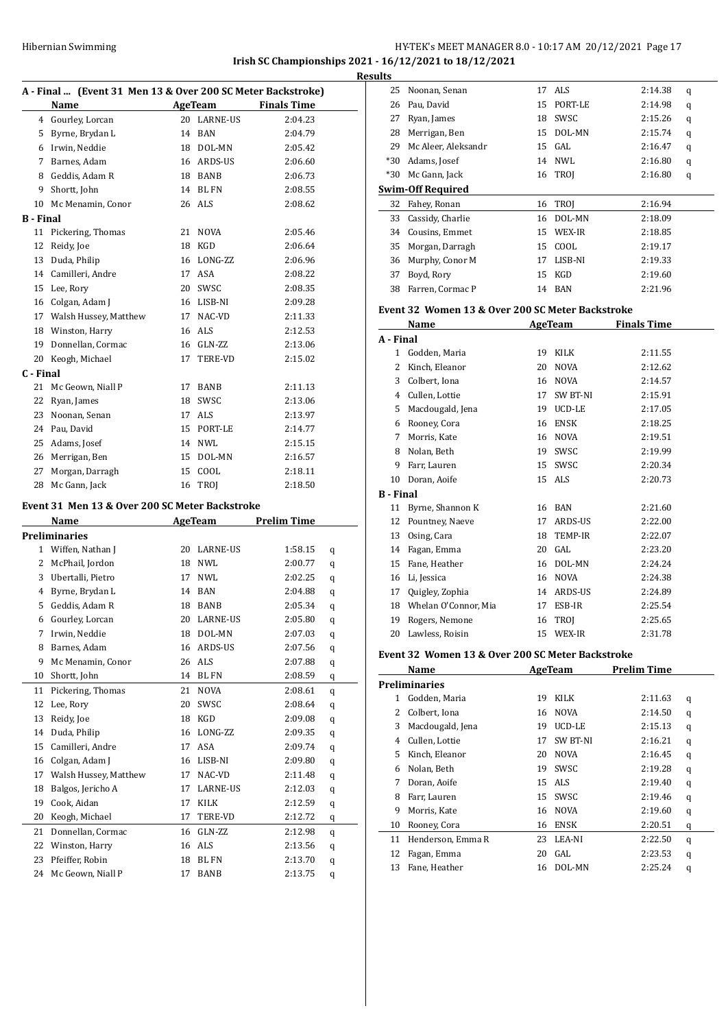# HY-TEK's MEET MANAGER 8.0 - 10:17 AM 20/12/2021 Page 17 **Irish SC Championships 2021 - 16/12/2021 to 18/12/2021**

|           | A - Final  (Event 31 Men 13 & Over 200 SC Meter Backstroke)<br>Name |    | AgeTeam     | <b>Finals Time</b> |  |
|-----------|---------------------------------------------------------------------|----|-------------|--------------------|--|
|           | 4 Gourley, Lorcan                                                   | 20 | LARNE-US    | 2:04.23            |  |
| 5         | Byrne, Brydan L                                                     | 14 | BAN         | 2:04.79            |  |
|           | 6 Irwin, Neddie                                                     |    | 18 DOL-MN   | 2:05.42            |  |
| 7         | Barnes, Adam                                                        |    | 16 ARDS-US  | 2:06.60            |  |
| 8         | Geddis, Adam R                                                      |    | 18 BANB     | 2:06.73            |  |
| 9         | Shortt, John                                                        |    | 14 BL FN    | 2:08.55            |  |
| 10        | Mc Menamin, Conor                                                   |    | 26 ALS      | 2:08.62            |  |
| B - Final |                                                                     |    |             |                    |  |
| 11        | Pickering, Thomas                                                   | 21 | <b>NOVA</b> | 2:05.46            |  |
| 12        | Reidy, Joe                                                          | 18 | KGD         | 2:06.64            |  |
| 13        | Duda, Philip                                                        |    | 16 LONG-ZZ  | 2:06.96            |  |
| 14        | Camilleri, Andre                                                    |    | 17 ASA      | 2:08.22            |  |
| 15        | Lee, Rory                                                           |    | 20 SWSC     | 2:08.35            |  |
|           | 16 Colgan, Adam J                                                   |    | 16 LISB-NI  | 2:09.28            |  |
|           | 17 Walsh Hussey, Matthew                                            |    | 17 NAC-VD   | 2:11.33            |  |
| 18        | Winston, Harry                                                      |    | 16 ALS      | 2:12.53            |  |
| 19        | Donnellan, Cormac                                                   |    | 16 GLN-ZZ   | 2:13.06            |  |
| 20        | Keogh, Michael                                                      | 17 | TERE-VD     | 2:15.02            |  |
| C - Final |                                                                     |    |             |                    |  |
| 21        | Mc Geown, Niall P                                                   | 17 | BANB        | 2:11.13            |  |
| 22        | Ryan, James                                                         | 18 | SWSC        | 2:13.06            |  |
| 23        | Noonan, Senan                                                       | 17 | ALS         | 2:13.97            |  |
| 24        | Pau, David                                                          |    | 15 PORT-LE  | 2:14.77            |  |
| 25        | Adams, Josef                                                        |    | 14 NWL      | 2:15.15            |  |
| 26        | Merrigan, Ben                                                       |    | 15 DOL-MN   | 2:16.57            |  |
| 27        | Morgan, Darragh                                                     |    | 15 COOL     | 2:18.11            |  |
| 28        | Mc Gann, Jack                                                       |    | 16 TROJ     | 2:18.50            |  |
|           |                                                                     |    |             |                    |  |
|           | Event 31 Men 13 & Over 200 SC Meter Backstroke                      |    |             |                    |  |
|           | Name                                                                |    | AgeTeam     | <b>Prelim Time</b> |  |
|           | Preliminaries                                                       |    |             |                    |  |
|           | 1 Wiffen, Nathan J                                                  |    | 20 LARNE-US | 1:58.15<br>q       |  |
| 2         | McPhail, Jordon                                                     |    | 18 NWL      | 2:00.77<br>q       |  |
| 3         | Ubertalli, Pietro                                                   | 17 | NWL         | 2:02.25<br>q       |  |
| 4         | Byrne, Brydan L                                                     |    | 14 BAN      | 2:04.88<br>q       |  |
| 5         | Geddis, Adam R                                                      |    | 18 BANB     | 2:05.34<br>q       |  |
| 6         | Gourley, Lorcan                                                     |    | 20 LARNE-US | 2:05.80<br>q       |  |
|           | 7 Irwin, Neddie                                                     |    | 18 DOL-MN   | 2:07.03<br>q       |  |
| 8         | Barnes, Adam                                                        | 16 | ARDS-US     | 2:07.56<br>q       |  |
| 9         | Mc Menamin, Conor                                                   | 26 | ALS         | 2:07.88<br>q       |  |
| 10        | Shortt, John                                                        | 14 | BL FN       | 2:08.59<br>q       |  |
| 11        | Pickering, Thomas                                                   | 21 | NOVA        | 2:08.61<br>q       |  |
| 12        | Lee, Rory                                                           | 20 | SWSC        | 2:08.64<br>q       |  |
| 13        | Reidy, Joe                                                          | 18 | KGD         | 2:09.08<br>q       |  |
| 14        | Duda, Philip                                                        | 16 | LONG-ZZ     | 2:09.35<br>q       |  |
| 15        | Camilleri, Andre                                                    | 17 | ASA         | 2:09.74<br>q       |  |
| 16        | Colgan, Adam J                                                      | 16 | LISB-NI     | 2:09.80<br>q       |  |
| 17        | Walsh Hussey, Matthew                                               | 17 | NAC-VD      | 2:11.48<br>q       |  |
| 18        | Balgos, Jericho A                                                   | 17 | LARNE-US    | 2:12.03<br>q       |  |
| 19        | Cook, Aidan                                                         | 17 | KILK        | 2:12.59<br>q       |  |
| 20        | Keogh, Michael<br>Donnellan, Cormac                                 | 17 | TERE-VD     | 2:12.72<br>q       |  |
| 21        |                                                                     | 16 | GLN-ZZ      | 2:12.98<br>q       |  |

 Winston, Harry 16 ALS 2:13.56 q Pfeiffer, Robin 18 BL FN 2:13.70 q 24 Mc Geown, Niall P 17 BANB 2:13.75 q

| <b>Results</b> |                          |    |                |         |   |
|----------------|--------------------------|----|----------------|---------|---|
| 25             | Noonan, Senan            |    | 17 ALS         | 2:14.38 | q |
| 26             | Pau, David               | 15 | PORT-LE        | 2:14.98 | q |
| 27             | Ryan, James              | 18 | SWSC           | 2:15.26 | q |
| 28             | Merrigan, Ben            | 15 | DOL-MN         | 2:15.74 | q |
| 29             | Mc Aleer, Aleksandr      |    | 15 GAL         | 2:16.47 | q |
| $*30$          | Adams, Josef             |    | 14 NWL         | 2:16.80 | q |
| $*30$          | Mc Gann, Jack            |    | <b>16 TROI</b> | 2:16.80 | q |
|                | <b>Swim-Off Required</b> |    |                |         |   |
| 32             | Fahey, Ronan             | 16 | TROI           | 2:16.94 |   |
| 33             | Cassidy, Charlie         | 16 | DOL-MN         | 2:18.09 |   |
| 34             | Cousins, Emmet           | 15 | WEX-IR         | 2:18.85 |   |
| 35             | Morgan, Darragh          | 15 | COOL           | 2:19.17 |   |
| 36             | Murphy, Conor M          | 17 | LISB-NI        | 2:19.33 |   |
| 37             | Boyd, Rory               | 15 | KGD            | 2:19.60 |   |
| 38             | Farren, Cormac P         | 14 | BAN            | 2:21.96 |   |

#### **Event 32 Women 13 & Over 200 SC Meter Backstroke**

|                  | Name                 |    | <b>AgeTeam</b> | <b>Finals Time</b> |
|------------------|----------------------|----|----------------|--------------------|
| A - Final        |                      |    |                |                    |
| 1                | Godden, Maria        | 19 | KILK           | 2:11.55            |
| 2                | Kinch, Eleanor       | 20 | <b>NOVA</b>    | 2:12.62            |
| 3                | Colbert, Iona        | 16 | <b>NOVA</b>    | 2:14.57            |
| 4                | Cullen, Lottie       | 17 | SW BT-NI       | 2:15.91            |
| 5                | Macdougald, Jena     | 19 | UCD-LE         | 2:17.05            |
| 6                | Rooney, Cora         | 16 | <b>ENSK</b>    | 2:18.25            |
| 7                | Morris, Kate         | 16 | <b>NOVA</b>    | 2:19.51            |
| 8                | Nolan, Beth          | 19 | SWSC           | 2:19.99            |
| 9                | Farr, Lauren         | 15 | SWSC           | 2:20.34            |
| 10               | Doran, Aoife         | 15 | ALS            | 2:20.73            |
| <b>B</b> - Final |                      |    |                |                    |
| 11               | Byrne, Shannon K     | 16 | <b>BAN</b>     | 2:21.60            |
| 12               | Pountney, Naeve      | 17 | ARDS-US        | 2:22.00            |
| 13               | Osing, Cara          | 18 | <b>TEMP-IR</b> | 2:22.07            |
| 14               | Fagan, Emma          | 20 | GAL            | 2:23.20            |
| 15               | Fane, Heather        | 16 | DOL-MN         | 2:24.24            |
| 16               | Li, Jessica          | 16 | <b>NOVA</b>    | 2:24.38            |
| 17               | Quigley, Zophia      | 14 | ARDS-US        | 2:24.89            |
| 18               | Whelan O'Connor, Mia | 17 | ESB-IR         | 2:25.54            |
| 19               | Rogers, Nemone       | 16 | <b>TROI</b>    | 2:25.65            |
| 20               | Lawless, Roisin      | 15 | WEX-IR         | 2:31.78            |

#### **Event 32 Women 13 & Over 200 SC Meter Backstroke**

| Name |                      | AgeTeam |                 | <b>Prelim Time</b> |   |
|------|----------------------|---------|-----------------|--------------------|---|
|      | <b>Preliminaries</b> |         |                 |                    |   |
| 1.   | Godden, Maria        | 19      | <b>KILK</b>     | 2:11.63            | q |
| 2    | Colbert, Iona        | 16      | <b>NOVA</b>     | 2:14.50            | q |
| 3    | Macdougald, Jena     | 19      | UCD-LE          | 2:15.13            | q |
| 4    | Cullen, Lottie       | 17      | <b>SW BT-NI</b> | 2:16.21            | q |
| 5    | Kinch, Eleanor       | 20      | <b>NOVA</b>     | 2:16.45            | q |
| 6    | Nolan, Beth          | 19      | SWSC            | 2:19.28            | q |
| 7    | Doran, Aoife         | 15      | ALS.            | 2:19.40            | q |
| 8    | Farr, Lauren         | 15      | SWSC            | 2:19.46            | q |
| 9    | Morris, Kate         | 16      | <b>NOVA</b>     | 2:19.60            | q |
| 10   | Rooney, Cora         | 16      | ENSK            | 2:20.51            | q |
| 11   | Henderson, Emma R    | 23      | LEA-NI          | 2:22.50            | q |
| 12   | Fagan, Emma          | 20      | GAL.            | 2:23.53            | q |
| 13   | Fane, Heather        | 16      | DOL-MN          | 2:25.24            | q |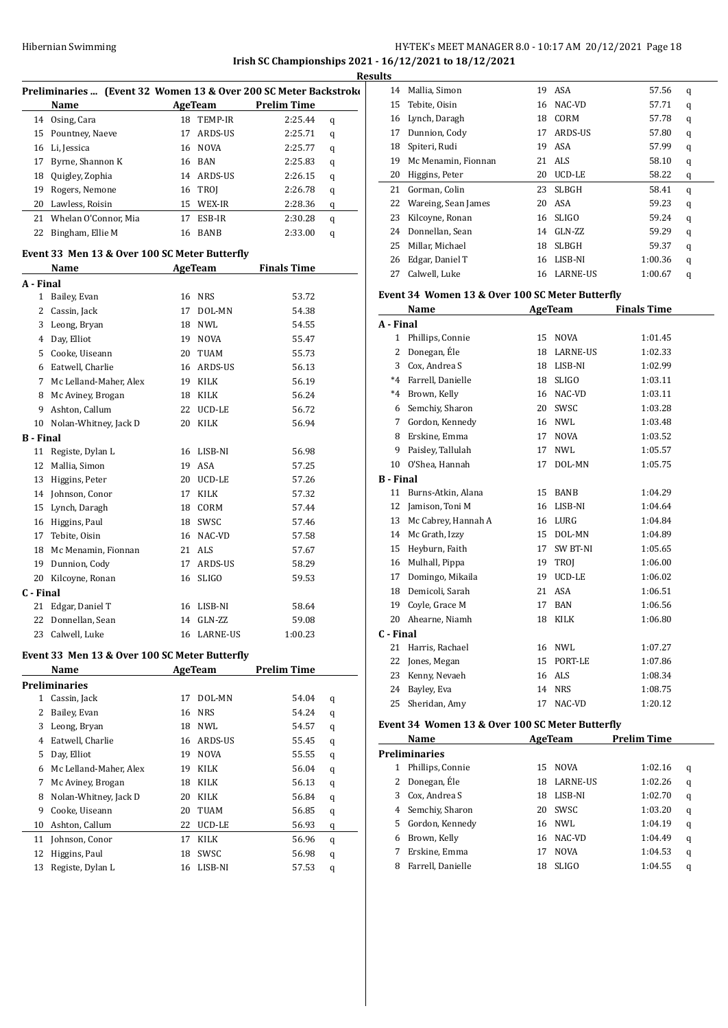### Hibernian Swimming **HY-TEK's MEET MANAGER 8.0 - 10:17 AM 20/12/2021** Page 18 **Irish SC Championships 2021 - 16/12/2021 to 18/12/2021 Results**

|                              | Preliminaries  (Event 32 Women 13 & Over 200 SC Meter Backstroke |          |                |                    |   |
|------------------------------|------------------------------------------------------------------|----------|----------------|--------------------|---|
|                              | Name                                                             |          | <b>AgeTeam</b> | <b>Prelim Time</b> |   |
| 14                           | Osing, Cara                                                      |          | 18 TEMP-IR     | 2:25.44            | q |
| 15                           | Pountney, Naeve                                                  | 17       | ARDS-US        | 2:25.71            |   |
| 16                           | Li, Jessica                                                      | 16       | NOVA           | 2:25.77            | q |
| 17                           | Byrne, Shannon K                                                 | 16       | BAN            | 2:25.83            | q |
| 18                           | Quigley, Zophia                                                  |          | 14 ARDS-US     | 2:26.15            | q |
|                              |                                                                  |          |                |                    | q |
| 19<br>20                     | Rogers, Nemone<br>Lawless, Roisin                                | 16<br>15 | <b>TROJ</b>    | 2:26.78            | q |
|                              |                                                                  |          | WEX-IR         | 2:28.36            | q |
| 21                           | Whelan O'Connor, Mia                                             | 17       | ESB-IR         | 2:30.28            | q |
| 22                           | Bingham, Ellie M                                                 | 16       | <b>BANB</b>    | 2:33.00            | q |
|                              | Event 33 Men 13 & Over 100 SC Meter Butterfly                    |          |                |                    |   |
|                              | Name                                                             |          | AgeTeam        | <b>Finals Time</b> |   |
| A - Final                    |                                                                  |          |                |                    |   |
|                              | 1 Bailey, Evan                                                   |          | 16 NRS         | 53.72              |   |
|                              | 2 Cassin, Jack                                                   | 17       | DOL-MN         | 54.38              |   |
| 3                            | Leong, Bryan                                                     | 18       | NWL            | 54.55              |   |
| 4                            | Day, Elliot                                                      | 19       | <b>NOVA</b>    | 55.47              |   |
| 5                            | Cooke, Uiseann                                                   | 20       | <b>TUAM</b>    | 55.73              |   |
|                              | 6 Eatwell, Charlie                                               | 16       | ARDS-US        | 56.13              |   |
|                              | 7 Mc Lelland-Maher, Alex                                         | 19       | KILK           | 56.19              |   |
| 8                            | Mc Aviney, Brogan                                                | 18       | KILK           | 56.24              |   |
| 9                            | Ashton, Callum                                                   | 22       | UCD-LE         | 56.72              |   |
| 10                           | Nolan-Whitney, Jack D                                            | 20       | KILK           | 56.94              |   |
| <b>B</b> - Final             |                                                                  |          |                |                    |   |
| 11                           | Registe, Dylan L                                                 | 16       | LISB-NI        | 56.98              |   |
| 12                           | Mallia, Simon                                                    | 19       | ASA            | 57.25              |   |
| 13                           | Higgins, Peter                                                   | 20       | UCD-LE         | 57.26              |   |
| 14                           | Johnson, Conor                                                   | 17       | KILK           | 57.32              |   |
| 15                           | Lynch, Daragh                                                    | 18       | CORM           | 57.44              |   |
|                              | 16 Higgins, Paul                                                 | 18       | SWSC           | 57.46              |   |
| 17                           | Tebite, Oisin                                                    | 16       | NAC-VD         | 57.58              |   |
| 18                           | Mc Menamin, Fionnan                                              | 21       | ALS            | 57.67              |   |
| 19                           | Dunnion, Cody                                                    | 17       | ARDS-US        | 58.29              |   |
| 20                           | Kilcoyne, Ronan                                                  | 16       | <b>SLIGO</b>   | 59.53              |   |
| C - Final                    |                                                                  |          |                |                    |   |
| 21                           | Edgar, Daniel T                                                  | 16       | LISB-NI        | 58.64              |   |
| 22                           | Donnellan, Sean                                                  | 14       | GLN-ZZ         | 59.08              |   |
| 23                           | Calwell, Luke                                                    |          | 16 LARNE-US    | 1:00.23            |   |
|                              |                                                                  |          |                |                    |   |
|                              | Event 33 Men 13 & Over 100 SC Meter Butterfly                    |          |                |                    |   |
|                              | Name                                                             |          | AgeTeam        | <b>Prelim Time</b> |   |
|                              | <b>Preliminaries</b>                                             |          |                |                    |   |
| $1 \ \overline{\phantom{0}}$ | Cassin, Jack                                                     | 17       | DOL-MN         | 54.04              | q |
| 2                            | Bailey, Evan                                                     | 16       | NRS            | 54.24              | q |
| 3                            | Leong, Bryan                                                     | 18       | NWL            | 54.57              | q |
| 4                            | Eatwell, Charlie                                                 | 16       | ARDS-US        | 55.45              | q |
| 5                            | Day, Elliot                                                      | 19       | <b>NOVA</b>    | 55.55              | q |
| 6                            | Mc Lelland-Maher, Alex                                           | 19       | KILK           | 56.04              | q |
| 7                            | Mc Aviney, Brogan                                                | 18       | KILK           | 56.13              | q |
| 8                            | Nolan-Whitney, Jack D                                            | 20       | KILK           | 56.84              | q |
| 9                            | Cooke, Uiseann                                                   | 20       | TUAM           | 56.85              | q |
| 10                           | Ashton, Callum                                                   | 22       | UCD-LE         | 56.93              | q |
| 11                           | Johnson, Conor                                                   | 17       | KILK           | 56.96              | q |
| 12                           | Higgins, Paul                                                    | 18       | SWSC           | 56.98              | q |
| 13                           | Registe, Dylan L                                                 | 16       | LISB-NI        | 57.53              | q |

| uits |                     |    |               |         |   |
|------|---------------------|----|---------------|---------|---|
| 14   | Mallia, Simon       | 19 | ASA           | 57.56   | q |
| 15   | Tebite, Oisin       | 16 | NAC-VD        | 57.71   | q |
| 16   | Lynch, Daragh       | 18 | CORM          | 57.78   | q |
| 17   | Dunnion, Cody       | 17 | ARDS-US       | 57.80   | q |
| 18   | Spiteri, Rudi       | 19 | ASA           | 57.99   | q |
| 19   | Mc Menamin, Fionnan | 21 | ALS           | 58.10   | q |
| 20   | Higgins, Peter      | 20 | <b>UCD-LE</b> | 58.22   | q |
| 21   | Gorman, Colin       | 23 | <b>SLBGH</b>  | 58.41   | q |
| 22   | Wareing, Sean James | 20 | ASA           | 59.23   | q |
| 23   | Kilcoyne, Ronan     | 16 | <b>SLIGO</b>  | 59.24   | q |
| 24   | Donnellan, Sean     | 14 | GLN-ZZ        | 59.29   | q |
| 25   | Millar, Michael     | 18 | <b>SLBGH</b>  | 59.37   | q |
| 26   | Edgar, Daniel T     | 16 | LISB-NI       | 1:00.36 | q |
| 27   | Calwell, Luke       | 16 | LARNE-US      | 1:00.67 | q |

# **Event 34 Women 13 & Over 100 SC Meter Butterfly**

|                  | Name                |    | AgeTeam         | <b>Finals Time</b> |
|------------------|---------------------|----|-----------------|--------------------|
| A - Final        |                     |    |                 |                    |
| $\mathbf{1}$     | Phillips, Connie    | 15 | <b>NOVA</b>     | 1:01.45            |
| 2                | Donegan, Éle        | 18 | <b>LARNE-US</b> | 1:02.33            |
| 3                | Cox, Andrea S       | 18 | LISB-NI         | 1:02.99            |
| $*4$             | Farrell, Danielle   | 18 | <b>SLIGO</b>    | 1:03.11            |
| $*4$             | Brown, Kelly        | 16 | NAC-VD          | 1:03.11            |
| 6                | Semchiy, Sharon     | 20 | SWSC            | 1:03.28            |
| 7                | Gordon, Kennedy     | 16 | NWL             | 1:03.48            |
| 8                | Erskine, Emma       | 17 | <b>NOVA</b>     | 1:03.52            |
| 9                | Paisley, Tallulah   | 17 | NWI.            | 1:05.57            |
| 10               | O'Shea, Hannah      | 17 | DOL-MN          | 1:05.75            |
| <b>B</b> - Final |                     |    |                 |                    |
| 11               | Burns-Atkin, Alana  | 15 | <b>BANB</b>     | 1:04.29            |
| 12               | Jamison, Toni M     | 16 | LISB-NI         | 1:04.64            |
| 13               | Mc Cabrey, Hannah A | 16 | LURG            | 1:04.84            |
| 14               | Mc Grath, Izzy      | 15 | DOL-MN          | 1:04.89            |
| 15               | Heyburn, Faith      | 17 | SW BT-NI        | 1:05.65            |
| 16               | Mulhall, Pippa      | 19 | TROJ            | 1:06.00            |
| 17               | Domingo, Mikaila    | 19 | UCD-LE          | 1:06.02            |
| 18               | Demicoli, Sarah     | 21 | <b>ASA</b>      | 1:06.51            |
| 19               | Coyle, Grace M      | 17 | <b>BAN</b>      | 1:06.56            |
| 20               | Ahearne, Niamh      | 18 | <b>KILK</b>     | 1:06.80            |
| C - Final        |                     |    |                 |                    |
| 21               | Harris, Rachael     | 16 | <b>NWL</b>      | 1:07.27            |
| 22               | Jones, Megan        | 15 | PORT-LE         | 1:07.86            |
| 23               | Kenny, Nevaeh       | 16 | ALS             | 1:08.34            |
| 24               | Bayley, Eva         | 14 | <b>NRS</b>      | 1:08.75            |
| 25               | Sheridan, Amy       | 17 | NAC-VD          | 1:20.12            |

#### **Event 34 Women 13 & Over 100 SC Meter Butterfly**

|                      | Name<br>AgeTeam   |    | <b>Prelim Time</b> |         |   |  |
|----------------------|-------------------|----|--------------------|---------|---|--|
| <b>Preliminaries</b> |                   |    |                    |         |   |  |
|                      | Phillips, Connie  |    | 15 NOVA            | 1:02.16 | q |  |
| 2                    | Donegan, Éle      | 18 | <b>LARNE-US</b>    | 1:02.26 | q |  |
| 3                    | Cox, Andrea S     | 18 | LISB-NI            | 1:02.70 | q |  |
|                      | 4 Semchiy, Sharon | 20 | <b>SWSC</b>        | 1:03.20 | q |  |
| 5.                   | Gordon, Kennedy   |    | 16 NWL             | 1:04.19 | q |  |
| 6                    | Brown, Kelly      | 16 | NAC-VD             | 1:04.49 | q |  |
|                      | Erskine, Emma     | 17 | <b>NOVA</b>        | 1:04.53 | q |  |
| 8                    | Farrell, Danielle | 18 | <b>SLIGO</b>       | 1:04.55 | q |  |
|                      |                   |    |                    |         |   |  |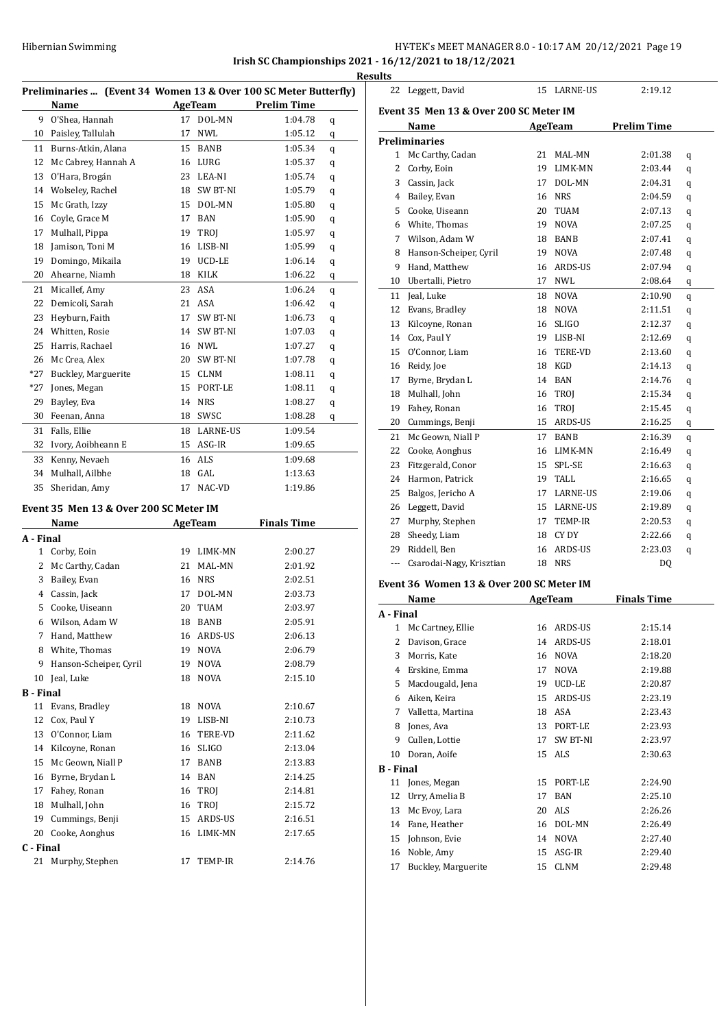# HY-TEK's MEET MANAGER 8.0 - 10:17 AM 20/12/2021 Page 19 **Irish SC Championships 2021 - 16/12/2021 to 18/12/2021**

**Results**

|                  | Preliminaries  (Event 34 Women 13 & Over 100 SC Meter Butterfly) |    |                |                    |   |
|------------------|------------------------------------------------------------------|----|----------------|--------------------|---|
|                  | Name                                                             |    | <b>AgeTeam</b> | <b>Prelim Time</b> |   |
| 9                | O'Shea, Hannah                                                   | 17 | DOL-MN         | 1:04.78            | q |
| 10               | Paisley, Tallulah                                                | 17 | NWL            | 1:05.12            | q |
| 11               | Burns-Atkin, Alana                                               | 15 | BANB           | 1:05.34            | q |
| 12               | Mc Cabrey, Hannah A                                              |    | 16 LURG        | 1:05.37            | q |
| 13               | O'Hara, Brogán                                                   |    | 23 LEA-NI      | 1:05.74            | q |
| 14               | Wolseley, Rachel                                                 | 18 | SW BT-NI       | 1:05.79            | q |
| 15               | Mc Grath, Izzy                                                   |    | 15 DOL-MN      | 1:05.80            | q |
| 16               | Coyle, Grace M                                                   | 17 | <b>BAN</b>     | 1:05.90            | q |
| 17               | Mulhall, Pippa                                                   | 19 | TROJ           | 1:05.97            | q |
| 18               | Jamison, Toni M                                                  | 16 | LISB-NI        | 1:05.99            | q |
| 19               | Domingo, Mikaila                                                 | 19 | UCD-LE         | 1:06.14            | q |
| 20               | Ahearne, Niamh                                                   | 18 | KILK           | 1:06.22            | q |
| 21               | Micallef, Amy                                                    |    | 23 ASA         | 1:06.24            | q |
| 22               | Demicoli, Sarah                                                  | 21 | ASA            | 1:06.42            |   |
| 23               | Heyburn, Faith                                                   | 17 | SW BT-NI       | 1:06.73            | q |
| 24               | Whitten, Rosie                                                   | 14 | SW BT-NI       | 1:07.03            | q |
| 25               | Harris, Rachael                                                  |    | 16 NWL         | 1:07.27            | q |
| 26               | Mc Crea, Alex                                                    |    | 20 SW BT-NI    | 1:07.78            | q |
| *27              | Buckley, Marguerite                                              |    | 15 CLNM        | 1:08.11            | q |
| *27              | Jones, Megan                                                     |    | 15 PORT-LE     | 1:08.11            | q |
| 29               | Bayley, Eva                                                      | 14 | <b>NRS</b>     | 1:08.27            | q |
| 30               | Feenan, Anna                                                     |    | 18 SWSC        | 1:08.28            | q |
|                  | Falls, Ellie                                                     |    | 18 LARNE-US    | 1:09.54            | q |
| 31               |                                                                  |    |                |                    |   |
| 32               | Ivory, Aoibheann E                                               |    | 15 ASG-IR      | 1:09.65            |   |
| 33               | Kenny, Nevaeh                                                    |    | 16 ALS         | 1:09.68            |   |
| 34               | Mulhall, Ailbhe                                                  | 18 | GAL            | 1:13.63            |   |
| 35               | Sheridan, Amy                                                    | 17 | NAC-VD         | 1:19.86            |   |
|                  | Event 35 Men 13 & Over 200 SC Meter IM                           |    |                |                    |   |
|                  | Name                                                             |    | AgeTeam        | <b>Finals Time</b> |   |
| A - Final        |                                                                  |    |                |                    |   |
|                  | 1 Corby, Eoin                                                    |    | 19 LIMK-MN     | 2:00.27            |   |
| $\overline{2}$   | Mc Carthy, Cadan                                                 |    | 21 MAL-MN      | 2:01.92            |   |
| 3                | Bailey, Evan                                                     |    | 16 NRS         | 2:02.51            |   |
|                  | 4 Cassin, Jack                                                   |    | 17 DOL-MN      | 2:03.73            |   |
|                  | 5 Cooke, Uiseann                                                 | 20 | TUAM           | 2:03.97            |   |
|                  | 6 Wilson, Adam W                                                 |    | 18 BANB        | 2:05.91            |   |
|                  | 7 Hand, Matthew                                                  |    | 16 ARDS-US     | 2:06.13            |   |
|                  | 8 White, Thomas                                                  | 19 | <b>NOVA</b>    | 2:06.79            |   |
|                  | 9 Hanson-Scheiper, Cyril                                         | 19 | NOVA           | 2:08.79            |   |
|                  | 10 Jeal, Luke                                                    | 18 | NOVA           | 2:15.10            |   |
| <b>B</b> - Final |                                                                  |    |                |                    |   |
| 11               | Evans, Bradley                                                   |    | 18 NOVA        | 2:10.67            |   |
| 12               | Cox, Paul Y                                                      |    | 19 LISB-NI     | 2:10.73            |   |
|                  | 13 O'Connor, Liam                                                |    | 16 TERE-VD     | 2:11.62            |   |
|                  | 14 Kilcoyne, Ronan                                               |    | 16 SLIGO       | 2:13.04            |   |
|                  | 15 Mc Geown, Niall P                                             |    | 17 BANB        | 2:13.83            |   |
|                  | 16 Byrne, Brydan L                                               |    | 14 BAN         | 2:14.25            |   |
|                  | 17 Fahey, Ronan                                                  |    | 16 TROJ        | 2:14.81            |   |
|                  | 18 Mulhall, John                                                 |    | 16 TROJ        | 2:15.72            |   |
|                  | 19 Cummings, Benji                                               |    | 15 ARDS-US     | 2:16.51            |   |
|                  | 20 Cooke, Aonghus                                                | 16 | LIMK-MN        | 2:17.65            |   |
| C - Final        |                                                                  |    |                |                    |   |
| 21               | Murphy, Stephen                                                  | 17 | TEMP-IR        | 2:14.76            |   |

|    | Event 35 Men 13 & Over 200 SC Meter IM |    |                |                    |   |
|----|----------------------------------------|----|----------------|--------------------|---|
|    | Name                                   |    | AgeTeam        | <b>Prelim Time</b> |   |
|    | <b>Preliminaries</b>                   |    |                |                    |   |
| 1  | Mc Carthy, Cadan                       | 21 | MAL-MN         | 2:01.38            | q |
| 2  | Corby, Eoin                            | 19 | LIMK-MN        | 2:03.44            | q |
| 3  | Cassin, Jack                           | 17 | DOL-MN         | 2:04.31            | q |
| 4  | Bailey, Evan                           | 16 | <b>NRS</b>     | 2:04.59            | q |
| 5  | Cooke, Uiseann                         | 20 | TUAM           | 2:07.13            | q |
| 6  | White, Thomas                          | 19 | <b>NOVA</b>    | 2:07.25            | q |
| 7  | Wilson, Adam W                         | 18 | <b>BANB</b>    | 2:07.41            | q |
| 8  | Hanson-Scheiper, Cyril                 | 19 | <b>NOVA</b>    | 2:07.48            | q |
| 9  | Hand, Matthew                          | 16 | ARDS-US        | 2:07.94            | q |
| 10 | Ubertalli, Pietro                      | 17 | <b>NWL</b>     | 2:08.64            | q |
| 11 | Jeal, Luke                             | 18 | <b>NOVA</b>    | 2:10.90            | q |
| 12 | Evans, Bradley                         | 18 | <b>NOVA</b>    | 2:11.51            | q |
| 13 | Kilcoyne, Ronan                        | 16 | <b>SLIGO</b>   | 2:12.37            | q |
| 14 | Cox, Paul Y                            | 19 | LISB-NI        | 2:12.69            | q |
| 15 | O'Connor, Liam                         | 16 | <b>TERE-VD</b> | 2:13.60            | q |
| 16 | Reidy, Joe                             | 18 | KGD            | 2:14.13            | q |
| 17 | Byrne, Brydan L                        | 14 | <b>BAN</b>     | 2:14.76            | q |
| 18 | Mulhall, John                          | 16 | TROJ           | 2:15.34            | q |
| 19 | Fahey, Ronan                           | 16 | TROJ           | 2:15.45            | q |
| 20 | Cummings, Benji                        | 15 | ARDS-US        | 2:16.25            | q |
| 21 | Mc Geown, Niall P                      | 17 | <b>BANB</b>    | 2:16.39            | q |
| 22 | Cooke, Aonghus                         | 16 | LIMK-MN        | 2:16.49            | q |
| 23 | Fitzgerald, Conor                      | 15 | SPL-SE         | 2:16.63            | q |
| 24 | Harmon, Patrick                        | 19 | TALL           | 2:16.65            | q |
| 25 | Balgos, Jericho A                      | 17 | LARNE-US       | 2:19.06            | q |
| 26 | Leggett, David                         | 15 | LARNE-US       | 2:19.89            | q |
| 27 | Murphy, Stephen                        | 17 | TEMP-IR        | 2:20.53            | q |
| 28 | Sheedy, Liam                           | 18 | CY DY          | 2:22.66            | q |
| 29 | Riddell, Ben                           | 16 | ARDS-US        | 2:23.03            | q |
|    | Csarodai-Nagy, Krisztian               | 18 | <b>NRS</b>     | DQ                 |   |

|                  | <b>Name</b>         |    | <b>AgeTeam</b> | <b>Finals Time</b> |  |
|------------------|---------------------|----|----------------|--------------------|--|
| A - Final        |                     |    |                |                    |  |
| 1                | Mc Cartney, Ellie   | 16 | ARDS-US        | 2:15.14            |  |
| 2                | Davison, Grace      | 14 | ARDS-US        | 2:18.01            |  |
| 3                | Morris, Kate        | 16 | <b>NOVA</b>    | 2:18.20            |  |
| 4                | Erskine, Emma       | 17 | <b>NOVA</b>    | 2:19.88            |  |
| 5                | Macdougald, Jena    | 19 | UCD-LE         | 2:20.87            |  |
| 6                | Aiken, Keira        | 15 | ARDS-US        | 2:23.19            |  |
| 7                | Valletta, Martina   | 18 | ASA            | 2:23.43            |  |
| 8                | Jones, Ava          | 13 | PORT-LE        | 2:23.93            |  |
| 9                | Cullen, Lottie      | 17 | SW BT-NI       | 2:23.97            |  |
| 10               | Doran, Aoife        | 15 | ALS            | 2:30.63            |  |
| <b>B</b> - Final |                     |    |                |                    |  |
| 11               | Jones, Megan        | 15 | PORT-LE        | 2:24.90            |  |
| 12               | Urry, Amelia B      | 17 | <b>BAN</b>     | 2:25.10            |  |
| 13               | Mc Evoy, Lara       | 20 | ALS            | 2:26.26            |  |
| 14               | Fane, Heather       | 16 | DOL-MN         | 2:26.49            |  |
| 15               | Johnson, Evie       | 14 | <b>NOVA</b>    | 2:27.40            |  |
| 16               | Noble, Amy          | 15 | ASG-IR         | 2:29.40            |  |
| 17               | Buckley, Marguerite | 15 | <b>CLNM</b>    | 2:29.48            |  |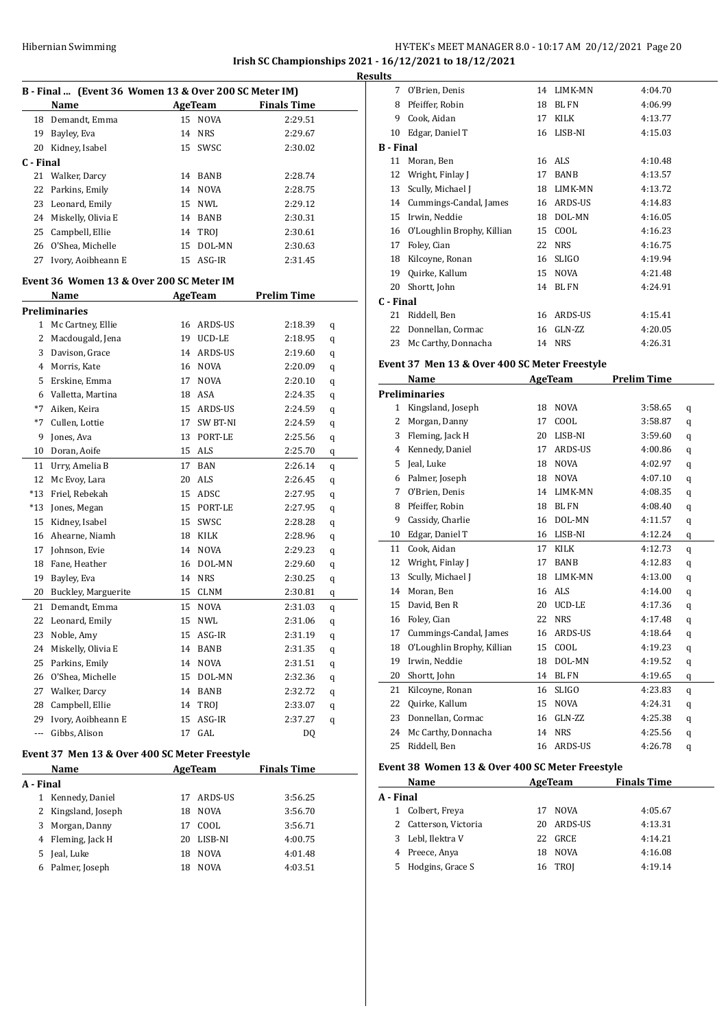### HY-TEK's MEET MANAGER 8.0 - 10:17 AM 20/12/2021 Page 20 **Irish SC Championships 2021 - 16/12/2021 to 18/12/2021 Results**

| B - Final  (Event 36 Women 13 & Over 200 SC Meter IM) |                                           |          |                      |                    |   |  |
|-------------------------------------------------------|-------------------------------------------|----------|----------------------|--------------------|---|--|
|                                                       | Name                                      |          | AgeTeam              | <b>Finals Time</b> |   |  |
| 18                                                    | Demandt, Emma                             | 15       | <b>NOVA</b>          | 2:29.51            |   |  |
| 19                                                    | Bayley, Eva                               |          | 14 NRS               | 2:29.67            |   |  |
| 20                                                    | Kidney, Isabel                            | 15       | SWSC                 | 2:30.02            |   |  |
| C - Final                                             |                                           |          |                      |                    |   |  |
| 21                                                    | Walker, Darcy                             |          | 14 BANB              | 2:28.74            |   |  |
| 22                                                    | Parkins, Emily                            | 14       | <b>NOVA</b>          | 2:28.75            |   |  |
| 23                                                    | Leonard, Emily                            |          | 15 NWL               | 2:29.12            |   |  |
| 24                                                    | Miskelly, Olivia E                        |          | 14 BANB              | 2:30.31            |   |  |
| 25                                                    | Campbell, Ellie                           | 14       | TROJ                 | 2:30.61            |   |  |
| 26                                                    | O'Shea, Michelle                          | 15       | DOL-MN               | 2:30.63            |   |  |
| 27                                                    | Ivory, Aoibheann E                        | 15       | ASG-IR               | 2:31.45            |   |  |
|                                                       | Event 36  Women 13 & Over 200 SC Meter IM |          |                      |                    |   |  |
|                                                       | Name                                      |          | AgeTeam              | <b>Prelim Time</b> |   |  |
|                                                       | <b>Preliminaries</b>                      |          |                      |                    |   |  |
| 1                                                     | Mc Cartney, Ellie                         |          | 16 ARDS-US           | 2:18.39            | q |  |
| 2                                                     | Macdougald, Jena                          |          | 19 UCD-LE            | 2:18.95            |   |  |
| 3                                                     | Davison, Grace                            |          | 14 ARDS-US           | 2:19.60            | q |  |
| 4                                                     | Morris, Kate                              |          | 16 NOVA              | 2:20.09            | q |  |
| 5                                                     | Erskine, Emma                             | 17       | <b>NOVA</b>          | 2:20.10            | q |  |
| 6                                                     | Valletta, Martina                         |          | 18 ASA               | 2:24.35            | q |  |
| *7                                                    | Aiken, Keira                              |          | 15 ARDS-US           | 2:24.59            | q |  |
| $*7$                                                  | Cullen, Lottie                            |          | 17 SW BT-NI          | 2:24.59            | q |  |
| 9                                                     | Jones, Ava                                |          | 13 PORT-LE           | 2:25.56            | q |  |
| 10                                                    | Doran, Aoife                              |          | 15 ALS               | 2:25.70            | q |  |
|                                                       |                                           | 17       | BAN                  |                    | q |  |
| 11<br>12                                              | Urry, Amelia B                            |          |                      | 2:26.14            | q |  |
|                                                       | Mc Evoy, Lara                             |          | 20 ALS               | 2:26.45            | q |  |
| *13                                                   | Friel, Rebekah                            |          | 15 ADSC              | 2:27.95            | q |  |
| *13                                                   | Jones, Megan                              |          | 15 PORT-LE           | 2:27.95            | q |  |
| 15<br>16                                              | Kidney, Isabel<br>Ahearne, Niamh          |          | 15 SWSC              | 2:28.28            | q |  |
| 17                                                    |                                           |          | 18 KILK              | 2:28.96            | q |  |
|                                                       | Johnson, Evie<br>Fane, Heather            |          | 14 NOVA              | 2:29.23            | q |  |
| 18<br>19                                              | Bayley, Eva                               | 16<br>14 | DOL-MN<br><b>NRS</b> | 2:29.60            | q |  |
|                                                       |                                           |          | 15 CLNM              | 2:30.25            | q |  |
| 20<br>21                                              | Buckley, Marguerite<br>Demandt, Emma      |          |                      | 2:30.81            | q |  |
|                                                       |                                           | 15       | <b>NOVA</b>          | 2:31.03            | q |  |
| 22                                                    | Leonard, Emily                            | 15       | <b>NWL</b>           | 2:31.06            | q |  |
| 23                                                    | Noble, Amy                                | 15       | ASG-IR               | 2:31.19            | q |  |
| 24                                                    | Miskelly, Olivia E                        | 14       | BANB                 | 2:31.35            | q |  |
| 25                                                    | Parkins, Emily                            | 14       | NOVA                 | 2:31.51            | q |  |
| 26                                                    | O'Shea, Michelle                          | 15       | DOL-MN               | 2:32.36            | q |  |
| 27                                                    | Walker, Darcy                             | 14       | BANB                 | 2:32.72            | q |  |
| 28                                                    | Campbell, Ellie                           | 14       | TROJ                 | 2:33.07            | q |  |
| 29                                                    | Ivory, Aoibheann E                        | 15       | ASG-IR               | 2:37.27            | q |  |
| ---                                                   | Gibbs, Alison                             | 17       | GAL                  | DQ                 |   |  |

# **Event 37 Men 13 & Over 400 SC Meter Freestyle**

| Name      |                     |    | AgeTeam     | <b>Finals Time</b> |  |
|-----------|---------------------|----|-------------|--------------------|--|
| A - Final |                     |    |             |                    |  |
| 1         | Kennedy, Daniel     |    | 17 ARDS-US  | 3:56.25            |  |
|           | 2 Kingsland, Joseph | 18 | <b>NOVA</b> | 3:56.70            |  |
|           | 3 Morgan, Danny     | 17 | COOL.       | 3:56.71            |  |
|           | 4 Fleming, Jack H   | 20 | LISB-NI     | 4:00.75            |  |
| 5.        | Jeal, Luke          | 18 | <b>NOVA</b> | 4:01.48            |  |
| 6         | Palmer, Joseph      | 18 | <b>NOVA</b> | 4:03.51            |  |

| . |                  |                            |    |              |         |
|---|------------------|----------------------------|----|--------------|---------|
|   | 7                | O'Brien, Denis             | 14 | LIMK-MN      | 4:04.70 |
|   | 8                | Pfeiffer, Robin            | 18 | <b>BL FN</b> | 4:06.99 |
|   | 9                | Cook, Aidan                | 17 | KILK         | 4:13.77 |
|   | 10               | Edgar, Daniel T            | 16 | LISB-NI      | 4:15.03 |
|   | <b>B</b> - Final |                            |    |              |         |
|   | 11               | Moran, Ben                 | 16 | ALS          | 4:10.48 |
|   | 12               | Wright, Finlay J           | 17 | BANB         | 4:13.57 |
|   | 13               | Scully, Michael J          | 18 | LIMK-MN      | 4:13.72 |
|   | 14               | Cummings-Candal, James     | 16 | ARDS-US      | 4:14.83 |
|   | 15               | Irwin, Neddie              | 18 | DOL-MN       | 4:16.05 |
|   | 16               | O'Loughlin Brophy, Killian | 15 | COOL         | 4:16.23 |
|   | 17               | Foley, Cian                | 22 | <b>NRS</b>   | 4:16.75 |
|   | 18               | Kilcoyne, Ronan            | 16 | <b>SLIGO</b> | 4:19.94 |
|   | 19               | Quirke, Kallum             | 15 | <b>NOVA</b>  | 4:21.48 |
|   | 20               | Shortt, John               | 14 | <b>BLFN</b>  | 4:24.91 |
|   | C - Final        |                            |    |              |         |
|   | 21               | Riddell, Ben               | 16 | ARDS-US      | 4:15.41 |
|   | 22               | Donnellan, Cormac          | 16 | GLN-ZZ       | 4:20.05 |
|   | 23               | Mc Carthy, Donnacha        | 14 | <b>NRS</b>   | 4:26.31 |
|   |                  |                            |    |              |         |

# **Event 37 Men 13 & Over 400 SC Meter Freestyle**

|                      | Name                       |    | <b>AgeTeam</b> | <b>Prelim Time</b> |   |
|----------------------|----------------------------|----|----------------|--------------------|---|
| <b>Preliminaries</b> |                            |    |                |                    |   |
| 1                    | Kingsland, Joseph          | 18 | <b>NOVA</b>    | 3:58.65            | q |
| 2                    | Morgan, Danny              | 17 | COOL           | 3:58.87            | q |
| 3                    | Fleming, Jack H            | 20 | LISB-NI        | 3:59.60            | q |
| 4                    | Kennedy, Daniel            | 17 | ARDS-US        | 4:00.86            | q |
| 5                    | Jeal, Luke                 | 18 | <b>NOVA</b>    | 4:02.97            | q |
| 6                    | Palmer, Joseph             | 18 | <b>NOVA</b>    | 4:07.10            | q |
| 7                    | O'Brien, Denis             | 14 | LIMK-MN        | 4:08.35            | q |
| 8                    | Pfeiffer, Robin            | 18 | <b>BLFN</b>    | 4:08.40            | q |
| 9                    | Cassidy, Charlie           | 16 | DOL-MN         | 4:11.57            | q |
| 10                   | Edgar, Daniel T            | 16 | LISB-NI        | 4:12.24            | q |
| 11                   | Cook, Aidan                | 17 | <b>KILK</b>    | 4:12.73            | q |
| 12                   | Wright, Finlay J           | 17 | <b>BANB</b>    | 4:12.83            | q |
| 13                   | Scully, Michael J          | 18 | LIMK-MN        | 4:13.00            | q |
| 14                   | Moran, Ben                 | 16 | <b>ALS</b>     | 4:14.00            | q |
| 15                   | David, Ben R               | 20 | UCD-LE         | 4:17.36            | q |
| 16                   | Foley, Cian                | 22 | <b>NRS</b>     | 4:17.48            | q |
| 17                   | Cummings-Candal, James     | 16 | <b>ARDS-US</b> | 4:18.64            | q |
| 18                   | O'Loughlin Brophy, Killian | 15 | COOL           | 4:19.23            | q |
| 19                   | Irwin, Neddie              | 18 | DOL-MN         | 4:19.52            | q |
| 20                   | Shortt, John               | 14 | <b>BLFN</b>    | 4:19.65            | q |
| 21                   | Kilcoyne, Ronan            | 16 | <b>SLIGO</b>   | 4:23.83            | q |
| 22                   | Quirke, Kallum             | 15 | <b>NOVA</b>    | 4:24.31            | q |
| 23                   | Donnellan, Cormac          | 16 | GLN-ZZ         | 4:25.38            | q |
| 24                   | Mc Carthy, Donnacha        | 14 | <b>NRS</b>     | 4:25.56            | q |
| 25                   | Riddell, Ben               | 16 | <b>ARDS-US</b> | 4:26.78            | q |
|                      |                            |    |                |                    |   |

#### **Event 38 Women 13 & Over 400 SC Meter Freestyle**

| Name      |                       | AgeTeam |         | <b>Finals Time</b> |  |
|-----------|-----------------------|---------|---------|--------------------|--|
| A - Final |                       |         |         |                    |  |
|           | 1 Colbert, Freya      | 17      | NOVA    | 4:05.67            |  |
|           | 2 Catterson, Victoria | 20      | ARDS-US | 4:13.31            |  |
|           | 3 Lebl, Ilektra V     | 22.     | GRCE    | 4:14.21            |  |
|           | 4 Preece, Anya        | 18      | NOVA    | 4:16.08            |  |
| 5         | Hodgins, Grace S      | 16      | TROI    | 4:19.14            |  |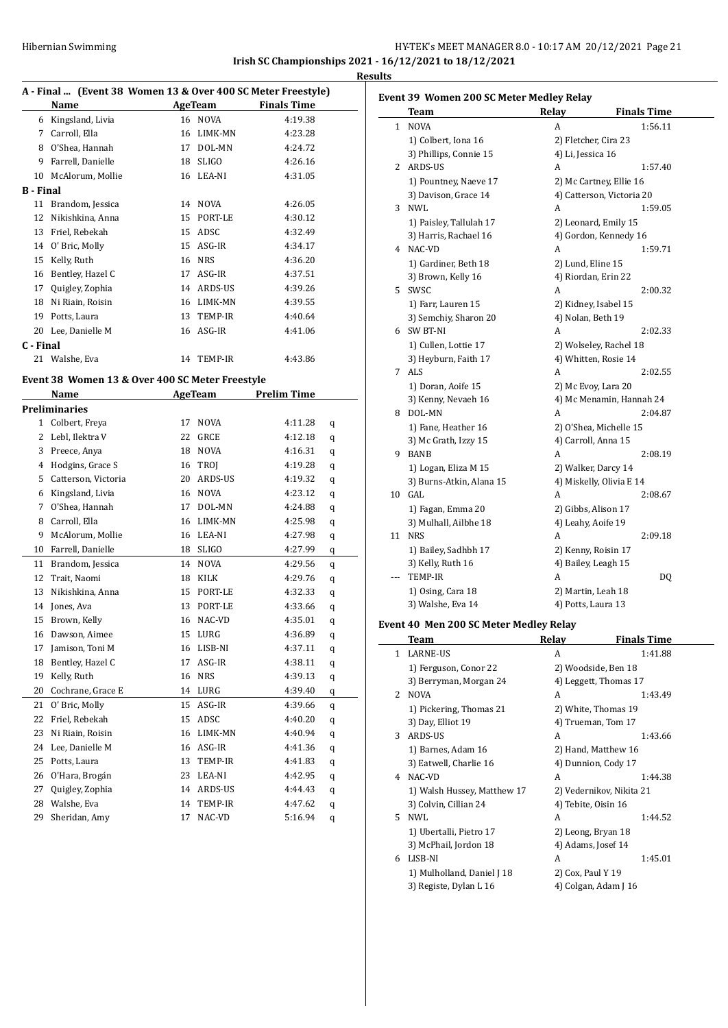# Hibernian Swimming **HY-TEK's MEET MANAGER 8.0 - 10:17 AM 20/12/2021** Page 21 **Irish SC Championships 2021 - 16/12/2021 to 18/12/2021**

**Results**

 $\overline{a}$ 

| A - Final  (Event 38 Women 13 & Over 400 SC Meter Freestyle) |                                                 |    |                    |                    |   |
|--------------------------------------------------------------|-------------------------------------------------|----|--------------------|--------------------|---|
|                                                              | Name                                            |    | <b>AgeTeam</b>     | <b>Finals Time</b> |   |
|                                                              | 6 Kingsland, Livia                              |    | 16 NOVA            | 4:19.38            |   |
|                                                              | 7 Carroll, Ella                                 |    | 16 LIMK-MN         | 4:23.28            |   |
|                                                              | 8 O'Shea, Hannah                                |    | 17 DOL-MN          | 4:24.72            |   |
|                                                              | 9 Farrell, Danielle                             |    | 18 SLIGO           | 4:26.16            |   |
|                                                              | 10 McAlorum, Mollie                             |    | 16 LEA-NI          | 4:31.05            |   |
| <b>B</b> - Final                                             |                                                 |    |                    |                    |   |
| 11                                                           | Brandom, Jessica                                |    | 14 NOVA            | 4:26.05            |   |
| 12                                                           | Nikishkina, Anna                                |    | 15 PORT-LE         | 4:30.12            |   |
|                                                              | 13 Friel. Rebekah                               |    | 15 ADSC            | 4:32.49            |   |
|                                                              | 14 O' Bric, Molly                               |    | 15 ASG-IR          | 4:34.17            |   |
|                                                              |                                                 |    |                    |                    |   |
|                                                              | 15 Kelly, Ruth                                  |    | 16 NRS             | 4:36.20            |   |
|                                                              | 16 Bentley, Hazel C                             |    | 17 ASG-IR          | 4:37.51            |   |
|                                                              | 17 Quigley, Zophia                              |    | 14 ARDS-US         | 4:39.26            |   |
|                                                              | 18 Ni Riain, Roisin                             |    | 16 LIMK-MN         | 4:39.55            |   |
|                                                              | 19 Potts, Laura                                 |    | 13 TEMP-IR         | 4:40.64            |   |
|                                                              | 20 Lee, Danielle M                              |    | 16 ASG-IR          | 4:41.06            |   |
| C - Final                                                    |                                                 |    |                    |                    |   |
| 21                                                           | Walshe, Eva                                     | 14 | TEMP-IR            | 4:43.86            |   |
|                                                              | Event 38 Women 13 & Over 400 SC Meter Freestyle |    |                    |                    |   |
|                                                              | Name                                            |    | AgeTeam            | Prelim Time        |   |
|                                                              | <b>Preliminaries</b>                            |    |                    |                    |   |
|                                                              | 1 Colbert, Freya                                |    | 17 NOVA            | 4:11.28            | q |
|                                                              | 2 Lebl, Ilektra V                               |    | 22 GRCE            | 4:12.18            | q |
|                                                              | 3 Preece, Anya                                  |    | 18 NOVA            | 4:16.31            | q |
|                                                              | 4 Hodgins, Grace S                              |    | 16 TROJ            | 4:19.28            | q |
|                                                              | 5 Catterson, Victoria                           |    | 20 ARDS-US         | 4:19.32            | q |
|                                                              | 6 Kingsland, Livia                              |    | 16 NOVA            | 4:23.12            |   |
|                                                              | 7 O'Shea, Hannah                                |    | 17 DOL-MN          | 4:24.88            | q |
|                                                              | 8 Carroll, Ella                                 |    | 16 LIMK-MN         | 4:25.98            | q |
| 9                                                            | McAlorum, Mollie                                |    | 16 LEA-NI          | 4:27.98            | q |
|                                                              | 10 Farrell, Danielle                            |    |                    |                    | q |
|                                                              |                                                 |    | 18 SLIGO           | 4:27.99            | q |
|                                                              | 11 Brandom, Jessica                             |    | 14 NOVA<br>18 KILK | 4:29.56            | q |
|                                                              | 12 Trait, Naomi                                 |    |                    | 4:29.76            | q |
| 13                                                           | Nikishkina, Anna                                |    | 15 PORT-LE         | 4:32.33            | q |
| 14                                                           | Jones, Ava                                      |    | 13 PORT-LE         | 4:33.66            | q |
| 15                                                           | Brown, Kelly                                    |    | 16 NAC-VD          | 4:35.01            | q |
| 16                                                           | Dawson, Aimee                                   | 15 | LURG               | 4:36.89            | q |
| 17                                                           | Jamison, Toni M                                 | 16 | LISB-NI            | 4:37.11            | q |
| 18                                                           | Bentley, Hazel C                                | 17 | ASG-IR             | 4:38.11            | q |
| 19                                                           | Kelly, Ruth                                     | 16 | <b>NRS</b>         | 4:39.13            | q |
| 20                                                           | Cochrane, Grace E                               | 14 | ${\rm LURG}$       | 4:39.40            | q |
| 21                                                           | O' Bric, Molly                                  | 15 | ASG-IR             | 4:39.66            | q |
| 22                                                           | Friel, Rebekah                                  | 15 | ADSC               | 4:40.20            | q |
| 23                                                           | Ni Riain, Roisin                                | 16 | LIMK-MN            | 4:40.94            | q |
| 24                                                           | Lee, Danielle M                                 | 16 | ASG-IR             | 4:41.36            | q |
| 25                                                           | Potts, Laura                                    | 13 | TEMP-IR            | 4:41.83            | q |
| 26                                                           | O'Hara, Brogán                                  | 23 | LEA-NI             | 4:42.95            | q |
| 27                                                           | Quigley, Zophia                                 | 14 | ARDS-US            | 4:44.43            | q |
| 28                                                           | Walshe, Eva                                     | 14 | TEMP-IR            | 4:47.62            | q |
| 29                                                           | Sheridan, Amy                                   | 17 | NAC-VD             | 5:16.94            | q |

|                | <b>Team</b>              | Relay              | <b>Finals Time</b>        |  |  |
|----------------|--------------------------|--------------------|---------------------------|--|--|
|                | 1 NOVA                   | A                  | 1:56.11                   |  |  |
|                | 1) Colbert, Iona 16      |                    | 2) Fletcher, Cira 23      |  |  |
|                | 3) Phillips, Connie 15   | 4) Li, Jessica 16  |                           |  |  |
|                | 2 ARDS-US                | A                  | 1:57.40                   |  |  |
|                | 1) Pountney, Naeve 17    |                    | 2) Mc Cartney, Ellie 16   |  |  |
|                | 3) Davison, Grace 14     |                    | 4) Catterson, Victoria 20 |  |  |
| 3              | NWL                      | A                  | 1:59.05                   |  |  |
|                | 1) Paisley, Tallulah 17  |                    | 2) Leonard, Emily 15      |  |  |
|                | 3) Harris, Rachael 16    |                    | 4) Gordon, Kennedy 16     |  |  |
|                | 4 NAC-VD                 | A                  | 1:59.71                   |  |  |
|                | 1) Gardiner, Beth 18     | 2) Lund, Eline 15  |                           |  |  |
|                | 3) Brown, Kelly 16       |                    | 4) Riordan, Erin 22       |  |  |
|                | 5 SWSC                   | A                  | 2:00.32                   |  |  |
|                | 1) Farr, Lauren 15       |                    | 2) Kidney, Isabel 15      |  |  |
|                | 3) Semchiy, Sharon 20    | 4) Nolan, Beth 19  |                           |  |  |
|                | 6 SW BT-NI               | A                  | 2:02.33                   |  |  |
|                | 1) Cullen, Lottie 17     |                    | 2) Wolseley, Rachel 18    |  |  |
|                | 3) Heyburn, Faith 17     |                    | 4) Whitten, Rosie 14      |  |  |
| 7              | ALS                      | A                  | 2:02.55                   |  |  |
|                | 1) Doran, Aoife 15       |                    | 2) Mc Evoy, Lara 20       |  |  |
|                | 3) Kenny, Nevaeh 16      |                    | 4) Mc Menamin, Hannah 24  |  |  |
|                | 8 DOL-MN                 | A                  | 2:04.87                   |  |  |
|                | 1) Fane, Heather 16      |                    | 2) O'Shea, Michelle 15    |  |  |
|                | 3) Mc Grath, Izzy 15     |                    | 4) Carroll, Anna 15       |  |  |
| 9              | BANB                     | A                  | 2:08.19                   |  |  |
|                | 1) Logan, Eliza M 15     |                    | 2) Walker, Darcy 14       |  |  |
|                | 3) Burns-Atkin, Alana 15 |                    | 4) Miskelly, Olivia E 14  |  |  |
|                | 10 GAL                   | A                  | 2:08.67                   |  |  |
|                | 1) Fagan, Emma 20        |                    | 2) Gibbs, Alison 17       |  |  |
|                | 3) Mulhall, Ailbhe 18    | 4) Leahy, Aoife 19 |                           |  |  |
| 11             | <b>NRS</b>               | A                  | 2:09.18                   |  |  |
|                | 1) Bailey, Sadhbh 17     |                    | 2) Kenny, Roisin 17       |  |  |
|                | 3) Kelly, Ruth 16        |                    | 4) Bailey, Leagh 15       |  |  |
| $\overline{a}$ | TEMP-IR                  | A                  | DQ                        |  |  |
|                | 1) Osing, Cara 18        |                    | 2) Martin, Leah 18        |  |  |
|                | 3) Walshe, Eva 14        | 4) Potts, Laura 13 |                           |  |  |
|                |                          |                    |                           |  |  |

# **Event 40 Men 200 SC Meter Medley Relay**

|   | Team                        | Relav                    | <b>Finals Time</b>    |  |
|---|-----------------------------|--------------------------|-----------------------|--|
| 1 | <b>LARNE-US</b>             | A                        | 1:41.88               |  |
|   | 1) Ferguson, Conor 22       |                          | 2) Woodside, Ben 18   |  |
|   | 3) Berryman, Morgan 24      |                          | 4) Leggett, Thomas 17 |  |
| 2 | NOVA                        | A                        | 1:43.49               |  |
|   | 1) Pickering, Thomas 21     |                          | 2) White, Thomas 19   |  |
|   | 3) Day, Elliot 19           |                          | 4) Trueman, Tom 17    |  |
| 3 | ARDS-US                     | A                        | 1:43.66               |  |
|   | 1) Barnes, Adam 16          |                          | 2) Hand, Matthew 16   |  |
|   | 3) Eatwell, Charlie 16      |                          | 4) Dunnion, Cody 17   |  |
| 4 | NAC-VD                      | A                        | 1:44.38               |  |
|   | 1) Walsh Hussey, Matthew 17 | 2) Vedernikov, Nikita 21 |                       |  |
|   | 3) Colvin, Cillian 24       |                          | 4) Tebite, Oisin 16   |  |
|   | 5 NWL                       | A                        | 1:44.52               |  |
|   | 1) Ubertalli, Pietro 17     |                          | 2) Leong, Bryan 18    |  |
|   | 3) McPhail, Jordon 18       |                          | 4) Adams, Josef 14    |  |
| 6 | LISB-NI                     | A                        | 1:45.01               |  |
|   | 1) Mulholland, Daniel J 18  | 2) Cox, Paul Y 19        |                       |  |
|   | 3) Registe, Dylan L 16      |                          | 4) Colgan, Adam J 16  |  |